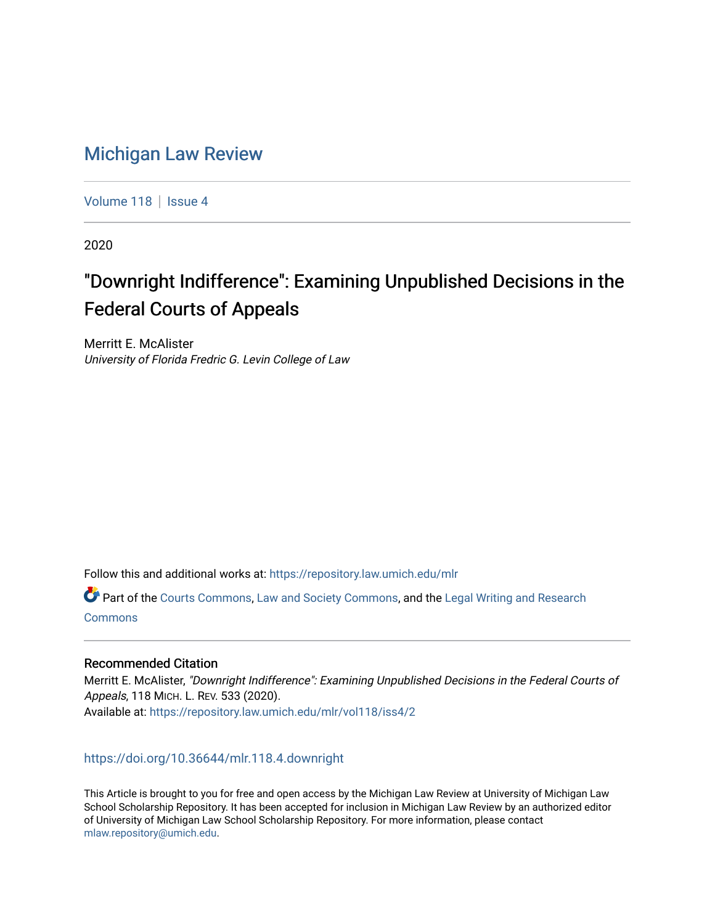# [Michigan Law Review](https://repository.law.umich.edu/mlr)

[Volume 118](https://repository.law.umich.edu/mlr/vol118) | [Issue 4](https://repository.law.umich.edu/mlr/vol118/iss4)

2020

# "Downright Indifference": Examining Unpublished Decisions in the Federal Courts of Appeals

Merritt E. McAlister University of Florida Fredric G. Levin College of Law

Follow this and additional works at: [https://repository.law.umich.edu/mlr](https://repository.law.umich.edu/mlr?utm_source=repository.law.umich.edu%2Fmlr%2Fvol118%2Fiss4%2F2&utm_medium=PDF&utm_campaign=PDFCoverPages) 

Part of the [Courts Commons,](http://network.bepress.com/hgg/discipline/839?utm_source=repository.law.umich.edu%2Fmlr%2Fvol118%2Fiss4%2F2&utm_medium=PDF&utm_campaign=PDFCoverPages) [Law and Society Commons](http://network.bepress.com/hgg/discipline/853?utm_source=repository.law.umich.edu%2Fmlr%2Fvol118%2Fiss4%2F2&utm_medium=PDF&utm_campaign=PDFCoverPages), and the [Legal Writing and Research](http://network.bepress.com/hgg/discipline/614?utm_source=repository.law.umich.edu%2Fmlr%2Fvol118%2Fiss4%2F2&utm_medium=PDF&utm_campaign=PDFCoverPages) **[Commons](http://network.bepress.com/hgg/discipline/614?utm_source=repository.law.umich.edu%2Fmlr%2Fvol118%2Fiss4%2F2&utm_medium=PDF&utm_campaign=PDFCoverPages)** 

# Recommended Citation

Merritt E. McAlister, "Downright Indifference": Examining Unpublished Decisions in the Federal Courts of Appeals, 118 MICH. L. REV. 533 (2020). Available at: [https://repository.law.umich.edu/mlr/vol118/iss4/2](https://repository.law.umich.edu/mlr/vol118/iss4/2?utm_source=repository.law.umich.edu%2Fmlr%2Fvol118%2Fiss4%2F2&utm_medium=PDF&utm_campaign=PDFCoverPages) 

<https://doi.org/10.36644/mlr.118.4.downright>

This Article is brought to you for free and open access by the Michigan Law Review at University of Michigan Law School Scholarship Repository. It has been accepted for inclusion in Michigan Law Review by an authorized editor of University of Michigan Law School Scholarship Repository. For more information, please contact [mlaw.repository@umich.edu.](mailto:mlaw.repository@umich.edu)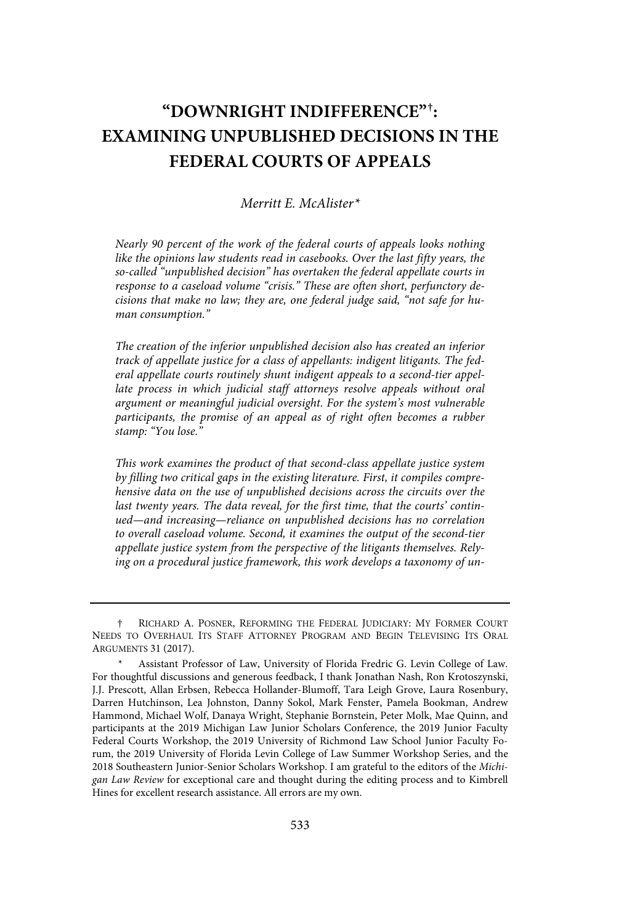# **"DOWNRIGHT INDIFFERENCE" † : EXAMINING UNPUBLISHED DECISIONS IN THE FEDERAL COURTS OF APPEALS**

# Merritt E. McAlister\*

Nearly 90 percent of the work of the federal courts of appeals looks nothing like the opinions law students read in casebooks. Over the last fifty years, the so-called "unpublished decision" has overtaken the federal appellate courts in response to a caseload volume "crisis." These are often short, perfunctory decisions that make no law; they are, one federal judge said, "not safe for human consumption."

The creation of the inferior unpublished decision also has created an inferior track of appellate justice for a class of appellants: indigent litigants. The federal appellate courts routinely shunt indigent appeals to a second-tier appellate process in which judicial staff attorneys resolve appeals without oral argument or meaningful judicial oversight. For the system's most vulnerable participants, the promise of an appeal as of right often becomes a rubber stamp: "You lose."

This work examines the product of that second-class appellate justice system by filling two critical gaps in the existing literature . First, it compiles comprehensive data on the use of unpublished decisions across the circuits over the last twenty years. The data reveal, for the first time, that the courts' continued—and increasing—reliance on unpublished decisions has no correlation to overall caseload volume. Second, it examines the output of the second-tier appellate justice system from the perspective of the litigants themselves. Relying on a procedural justice framework, this work develops a taxonomy of un-

<sup>†</sup> RICHARD A. POSNER, REFORMING THE FEDERAL JUDICIARY: MY FORMER COURT NEEDS TO OVERHAUL ITS STAFF ATTORNEY PROGRAM AND BEGIN TELEVISING ITS ORAL ARGUMENTS 31 (2017).

Assistant Professor of Law, University of Florida Fredric G. Levin College of Law. For thoughtful discussions and generous feedback, I thank Jonathan Nash, Ron Krotoszynski, J.J. Prescott, Allan Erbsen, Rebecca Hollander-Blumoff, Tara Leigh Grove, Laura Rosenbury, Darren Hutchinson, Lea Johnston, Danny Sokol, Mark Fenster, Pamela Bookman, Andrew Hammond, Michael Wolf, Danaya Wright, Stephanie Bornstein, Peter Molk, Mae Quinn, and participants at the 2019 Michigan Law Junior Scholars Conference, the 2019 Junior Faculty Federal Courts Workshop, the 2019 University of Richmond Law School Junior Faculty Forum, the 2019 University of Florida Levin College of Law Summer Workshop Series, and the 2018 Southeastern Junior-Senior Scholars Workshop. I am grateful to the editors of the Michigan Law Review for exceptional care and thought during the editing process and to Kimbrell Hines for excellent research assistance. All errors are my own.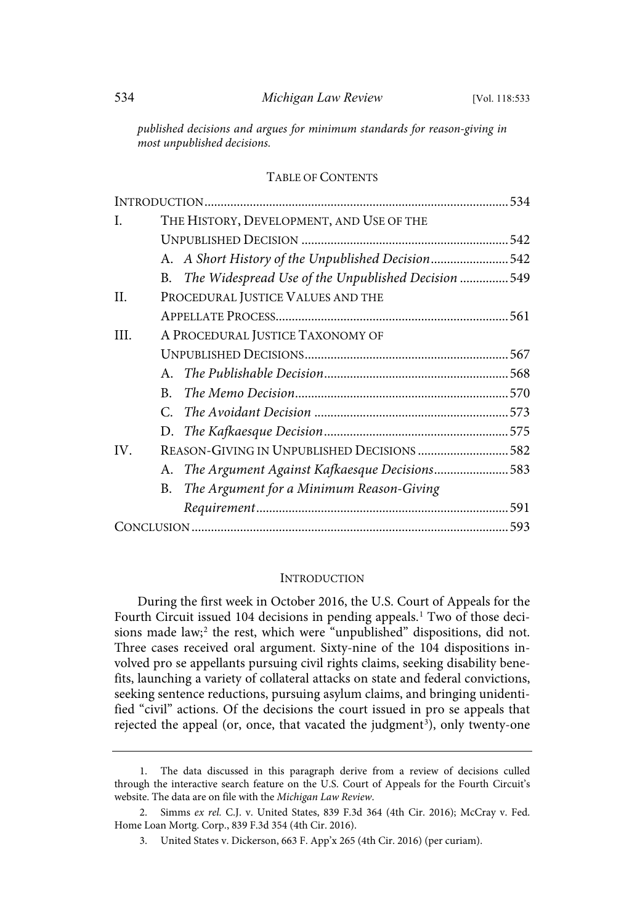published decisions and argues for minimum standards for reason-giving in most unpublished decisions.

# TABLE OF CONTENTS

| I.   | THE HISTORY, DEVELOPMENT, AND USE OF THE              |  |
|------|-------------------------------------------------------|--|
|      |                                                       |  |
|      | A. A Short History of the Unpublished Decision542     |  |
|      | B. The Widespread Use of the Unpublished Decision 549 |  |
| II.  | PROCEDURAL JUSTICE VALUES AND THE                     |  |
|      |                                                       |  |
| III. | A PROCEDURAL JUSTICE TAXONOMY OF                      |  |
|      |                                                       |  |
|      |                                                       |  |
|      | B.                                                    |  |
|      |                                                       |  |
|      |                                                       |  |
| IV.  | REASON-GIVING IN UNPUBLISHED DECISIONS 582            |  |
|      | A. The Argument Against Kafkaesque Decisions583       |  |
|      | The Argument for a Minimum Reason-Giving<br>В.        |  |
|      |                                                       |  |
|      |                                                       |  |

#### **INTRODUCTION**

During the first week in October 2016, the U.S. Court of Appeals for the Fourth Circuit issued 104 decisions in pending appeals.<sup>1</sup> Two of those decisions made law;<sup>2</sup> the rest, which were "unpublished" dispositions, did not. Three cases received oral argument. Sixty-nine of the 104 dispositions involved pro se appellants pursuing civil rights claims, seeking disability benefits, launching a variety of collateral attacks on state and federal convictions, seeking sentence reductions, pursuing asylum claims, and bringing unidentified "civil" actions. Of the decisions the court issued in pro se appeals that rejected the appeal (or, once, that vacated the judgment 3 ), only twenty-one

<sup>1.</sup> The data discussed in this paragraph derive from a review of decisions culled through the interactive search feature on the U.S. Court of Appeals for the Fourth Circuit's website. The data are on file with the Michigan Law Review.

<sup>2.</sup> Simms ex rel. C.J. v. United States, 839 F.3d 364 (4th Cir. 2016); McCray v. Fed. Home Loan Mortg. Corp., 839 F.3d 354 (4th Cir. 2016).

<sup>3.</sup> United States v. Dickerson, 663 F. App'x 265 (4th Cir. 2016) (per curiam).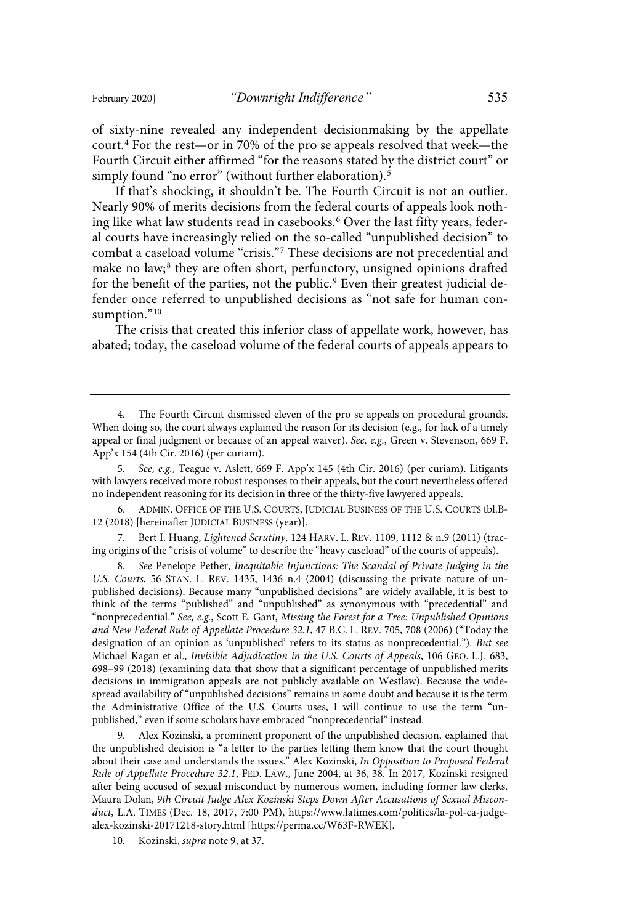of sixty-nine revealed any independent decisionmaking by the appellate court. <sup>4</sup> For the rest—or in 70% of the pro se appeals resolved that week—the Fourth Circuit either affirmed "for the reasons stated by the district court" or simply found "no error" (without further elaboration). 5

If that's shocking, it shouldn't be. The Fourth Circuit is not an outlier. Nearly 90% of merits decisions from the federal courts of appeals look nothing like what law students read in casebooks.<sup>6</sup> Over the last fifty years, federal courts have increasingly relied on the so-called "unpublished decision" to combat a caseload volume "crisis."<sup>7</sup> These decisions are not precedential and make no law;<sup>8</sup> they are often short, perfunctory, unsigned opinions drafted for the benefit of the parties, not the public.<sup>9</sup> Even their greatest judicial defender once referred to unpublished decisions as "not safe for human consumption."<sup>10</sup>

The crisis that created this inferior class of appellate work, however, has abated; today, the caseload volume of the federal courts of appeals appears to

6. ADMIN. OFFICE OF THE U.S. COURTS, JUDICIAL BUSINESS OF THE U.S. COURTS tbl.B-12 (2018) [hereinafter JUDICIAL BUSINESS (year)].

7. Bert I. Huang, Lightened Scrutiny, 124 HARV. L. REV. 1109, 1112 & n.9 (2011) (tracing origins of the "crisis of volume" to describe the "heavy caseload" of the courts of appeals).

8 . See Penelope Pether, Inequitable Injunctions: The Scandal of Private Judging in the U.S. Courts, 56 STAN. L. REV. 1435, 1436 n.4 (2004) (discussing the private nature of unpublished decisions). Because many "unpublished decisions" are widely available, it is best to think of the terms "published" and "unpublished" as synonymous with "precedential" and "nonprecedential." See, e.g., Scott E. Gant, Missing the Forest for a Tree: Unpublished Opinions and New Federal Rule of Appellate Procedure 32 .1, 47 B.C. L. REV. 705, 708 (2006) ("Today the designation of an opinion as 'unpublished' refers to its status as nonprecedential."). But see Michael Kagan et al., Invisible Adjudication in the U.S. Courts of Appeals, 106 GEO. L.J. 683, 698–99 (2018) (examining data that show that a significant percentage of unpublished merits decisions in immigration appeals are not publicly available on Westlaw). Because the widespread availability of "unpublished decisions" remains in some doubt and because it is the term the Administrative Office of the U.S. Courts uses, I will continue to use the term "unpublished," even if some scholars have embraced "nonprecedential" instead.

9. Alex Kozinski, a prominent proponent of the unpublished decision, explained that the unpublished decision is "a letter to the parties letting them know that the court thought about their case and understands the issues." Alex Kozinski, In Opposition to Proposed Federal Rule of Appellate Procedure 32 .1, FED. LAW., June 2004, at 36, 38. In 2017, Kozinski resigned after being accused of sexual misconduct by numerous women, including former law clerks. Maura Dolan, 9th Circuit Judge Alex Kozinski Steps Down After Accusations of Sexual Misconduct, L.A. TIMES (Dec. 18, 2017, 7:00 PM), https://www.latimes.com/politics/la-pol-ca-judgealex-kozinski-20171218-story.html [https://perma.cc/W63F-RWEK].

10. Kozinski, *supra* note 9, at 37.

<sup>4.</sup> The Fourth Circuit dismissed eleven of the pro se appeals on procedural grounds. When doing so, the court always explained the reason for its decision (e.g., for lack of a timely appeal or final judgment or because of an appeal waiver). See, e.g., Green v. Stevenson, 669 F. App'x 154 (4th Cir. 2016) (per curiam).

<sup>5.</sup> See, e.g., Teague v. Aslett, 669 F. App'x 145 (4th Cir. 2016) (per curiam). Litigants with lawyers received more robust responses to their appeals, but the court nevertheless offered no independent reasoning for its decision in three of the thirty-five lawyered appeals.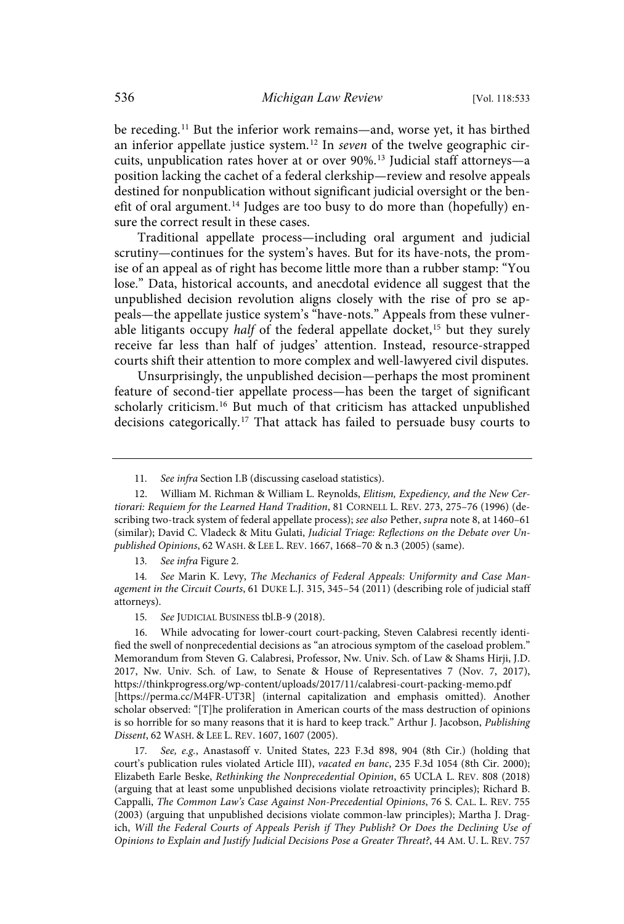be receding. <sup>11</sup> But the inferior work remains—and, worse yet, it has birthed an inferior appellate justice system.<sup>12</sup> In *seven* of the twelve geographic circuits, unpublication rates hover at or over 90%. <sup>13</sup> Judicial staff attorneys—a position lacking the cachet of a federal clerkship—review and resolve appeals destined for nonpublication without significant judicial oversight or the benefit of oral argument.<sup>14</sup> Judges are too busy to do more than (hopefully) ensure the correct result in these cases.

Traditional appellate process—including oral argument and judicial scrutiny—continues for the system's haves. But for its have-nots, the promise of an appeal as of right has become little more than a rubber stamp: "You lose." Data, historical accounts, and anecdotal evidence all suggest that the unpublished decision revolution aligns closely with the rise of pro se appeals—the appellate justice system's "have-nots." Appeals from these vulnerable litigants occupy *half* of the federal appellate docket,<sup>15</sup> but they surely receive far less than half of judges' attention. Instead, resource-strapped courts shift their attention to more complex and well-lawyered civil disputes.

Unsurprisingly, the unpublished decision—perhaps the most prominent feature of second-tier appellate process—has been the target of significant scholarly criticism.<sup>16</sup> But much of that criticism has attacked unpublished decisions categorically.<sup>17</sup> That attack has failed to persuade busy courts to

13. See infra Figure 2.

14. See Marin K. Levy, The Mechanics of Federal Appeals: Uniformity and Case Management in the Circuit Courts, 61 DUKE L.J. 315, 345–54 (2011) (describing role of judicial staff attorneys).

16. While advocating for lower-court court-packing, Steven Calabresi recently identified the swell of nonprecedential decisions as "an atrocious symptom of the caseload problem." Memorandum from Steven G. Calabresi, Professor, Nw. Univ. Sch. of Law & Shams Hirji, J.D. 2017, Nw. Univ. Sch. of Law, to Senate & House of Representatives 7 (Nov. 7, 2017), https://thinkprogress.org/wp-content/uploads/2017/11/calabresi-court-packing-memo.pdf [https://perma.cc/M4FR-UT3R] (internal capitalization and emphasis omitted). Another scholar observed: "[T]he proliferation in American courts of the mass destruction of opinions is so horrible for so many reasons that it is hard to keep track." Arthur J. Jacobson, Publishing Dissent, 62 WASH. & LEE L. REV. 1607, 1607 (2005).

17. See, e.g., Anastasoff v. United States, 223 F.3d 898, 904 (8th Cir.) (holding that court's publication rules violated Article III), vacated en banc, 235 F.3d 1054 (8th Cir. 2000); Elizabeth Earle Beske, Rethinking the Nonprecedential Opinion, 65 UCLA L. REV. 808 (2018) (arguing that at least some unpublished decisions violate retroactivity principles); Richard B. Cappalli, The Common Law's Case Against Non-Precedential Opinions, 76 S. CAL. L. REV. 755 (2003) (arguing that unpublished decisions violate common-law principles); Martha J. Dragich, Will the Federal Courts of Appeals Perish if They Publish? Or Does the Declining Use of Opinions to Explain and Justify Judicial Decisions Pose a Greater Threat?, 44 AM. U. L. REV. 757

<sup>11.</sup> See infra Section I.B (discussing caseload statistics).

<sup>12.</sup> William M. Richman & William L. Reynolds, Elitism, Expediency, and the New Certiorari: Requiem for the Learned Hand Tradition, 81 CORNELL L. REV. 273, 275–76 (1996) (describing two-track system of federal appellate process); see also Pether, supra note 8, at 1460–61 (similar); David C. Vladeck & Mitu Gulati, Judicial Triage: Reflections on the Debate over Unpublished Opinions, 62 WASH. & LEE L. REV. 1667, 1668–70 & n.3 (2005) (same).

<sup>15.</sup> See JUDICIAL BUSINESS tbl.B-9 (2018).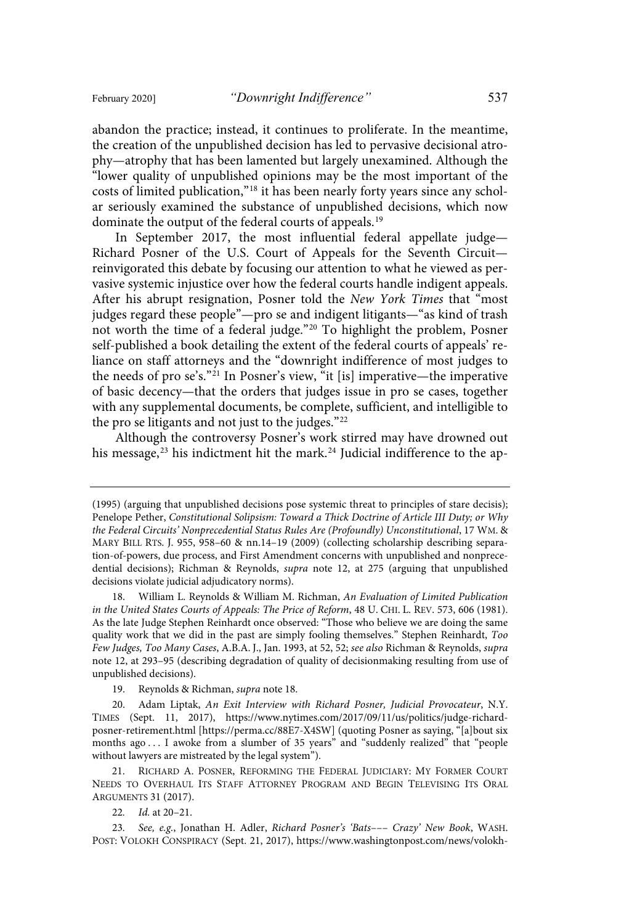abandon the practice; instead, it continues to proliferate. In the meantime, the creation of the unpublished decision has led to pervasive decisional atrophy—atrophy that has been lamented but largely unexamined. Although the "lower quality of unpublished opinions may be the most important of the costs of limited publication,"<sup>18</sup> it has been nearly forty years since any scholar seriously examined the substance of unpublished decisions, which now dominate the output of the federal courts of appeals.<sup>19</sup>

In September 2017, the most influential federal appellate judge— Richard Posner of the U.S. Court of Appeals for the Seventh Circuit reinvigorated this debate by focusing our attention to what he viewed as pervasive systemic injustice over how the federal courts handle indigent appeals. After his abrupt resignation, Posner told the New York Times that "most judges regard these people"—pro se and indigent litigants—"as kind of trash not worth the time of a federal judge." <sup>20</sup> To highlight the problem, Posner self-published a book detailing the extent of the federal courts of appeals' reliance on staff attorneys and the "downright indifference of most judges to the needs of pro se's." <sup>21</sup> In Posner's view, "it [is] imperative—the imperative of basic decency—that the orders that judges issue in pro se cases, together with any supplemental documents, be complete, sufficient, and intelligible to the pro se litigants and not just to the judges."<sup>22</sup>

Although the controversy Posner's work stirred may have drowned out his message, <sup>23</sup> his indictment hit the mark. <sup>24</sup> Judicial indifference to the ap-

21. RICHARD A. POSNER, REFORMING THE FEDERAL JUDICIARY: MY FORMER COURT NEEDS TO OVERHAUL ITS STAFF ATTORNEY PROGRAM AND BEGIN TELEVISING ITS ORAL ARGUMENTS 31 (2017).

<sup>(1995)</sup> (arguing that unpublished decisions pose systemic threat to principles of stare decisis); Penelope Pether, Constitutional Solipsism: Toward a Thick Doctrine of Article III Duty; or Why the Federal Circuits' Nonprecedential Status Rules Are (Profoundly) Unconstitutional, 17 WM. & MARY BILL RTS. J. 955, 958–60 & nn.14–19 (2009) (collecting scholarship describing separation-of-powers, due process, and First Amendment concerns with unpublished and nonprecedential decisions); Richman & Reynolds, supra note 12, at 275 (arguing that unpublished decisions violate judicial adjudicatory norms).

<sup>18.</sup> William L. Reynolds & William M. Richman, An Evaluation of Limited Publication in the United States Courts of Appeals: The Price of Reform, 48 U. CHI. L. REV. 573, 606 (1981). As the late Judge Stephen Reinhardt once observed: "Those who believe we are doing the same quality work that we did in the past are simply fooling themselves." Stephen Reinhardt, Too Few Judges, Too Many Cases, A.B.A. J., Jan. 1993, at 52, 52; see also Richman & Reynolds, supra note 12, at 293–95 (describing degradation of quality of decisionmaking resulting from use of unpublished decisions).

<sup>19.</sup> Reynolds & Richman, supra note 18.

<sup>20.</sup> Adam Liptak, An Exit Interview with Richard Posner, Judicial Provocateur, N.Y. TIMES (Sept. 11, 2017), https://www.nytimes.com/2017/09/11/us/politics/judge-richardposner-retirement.html [https://perma.cc/88E7-X4SW] (quoting Posner as saying, "[a]bout six months ago . . . I awoke from a slumber of 35 years" and "suddenly realized" that "people without lawyers are mistreated by the legal system").

<sup>22.</sup> *Id.* at 20–21.

<sup>23.</sup> See, e.g., Jonathan H. Adler, Richard Posner's 'Bats--- Crazy' New Book, WASH. POST: VOLOKH CONSPIRACY (Sept. 21, 2017), https://www.washingtonpost.com/news/volokh-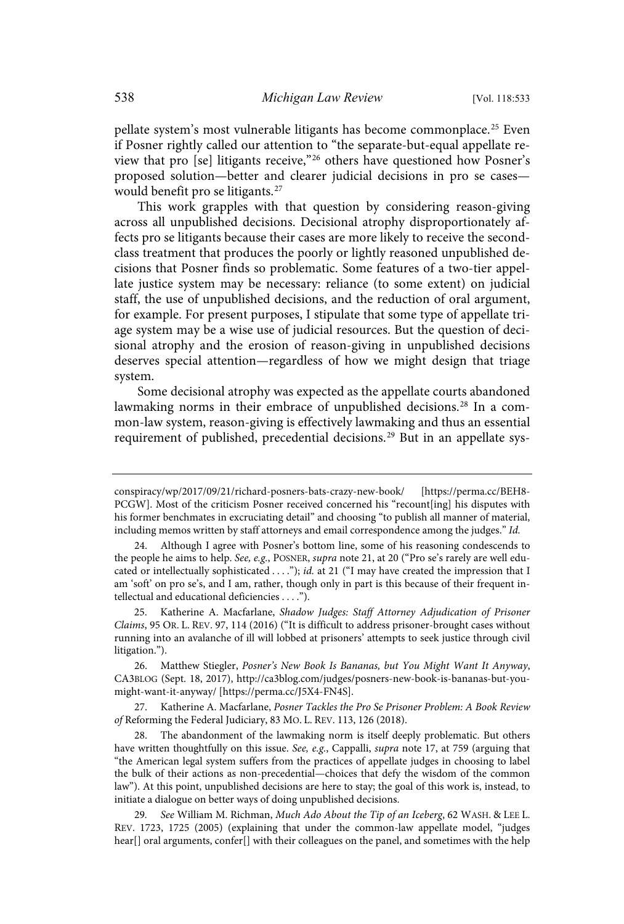pellate system's most vulnerable litigants has become commonplace.<sup>25</sup> Even if Posner rightly called our attention to "the separate-but-equal appellate review that pro [se] litigants receive,"<sup>26</sup> others have questioned how Posner's proposed solution—better and clearer judicial decisions in pro se cases would benefit pro se litigants.<sup>27</sup>

This work grapples with that question by considering reason-giving across all unpublished decisions. Decisional atrophy disproportionately affects pro se litigants because their cases are more likely to receive the secondclass treatment that produces the poorly or lightly reasoned unpublished decisions that Posner finds so problematic. Some features of a two-tier appellate justice system may be necessary: reliance (to some extent) on judicial staff, the use of unpublished decisions, and the reduction of oral argument, for example. For present purposes, I stipulate that some type of appellate triage system may be a wise use of judicial resources. But the question of decisional atrophy and the erosion of reason-giving in unpublished decisions deserves special attention—regardless of how we might design that triage system.

Some decisional atrophy was expected as the appellate courts abandoned lawmaking norms in their embrace of unpublished decisions. <sup>28</sup> In a common-law system, reason-giving is effectively lawmaking and thus an essential requirement of published, precedential decisions.<sup>29</sup> But in an appellate sys-

27. Katherine A. Macfarlane, Posner Tackles the Pro Se Prisoner Problem: A Book Review of Reforming the Federal Judiciary, 83 MO. L. REV. 113, 126 (2018).

The abandonment of the lawmaking norm is itself deeply problematic. But others have written thoughtfully on this issue. See, e.g., Cappalli, supra note 17, at 759 (arguing that "the American legal system suffers from the practices of appellate judges in choosing to label the bulk of their actions as non-precedential—choices that defy the wisdom of the common law"). At this point, unpublished decisions are here to stay; the goal of this work is, instead, to initiate a dialogue on better ways of doing unpublished decisions.

29. See William M. Richman, Much Ado About the Tip of an Iceberg, 62 WASH. & LEE L. REV. 1723, 1725 (2005) (explaining that under the common-law appellate model, "judges hear[] oral arguments, confer[] with their colleagues on the panel, and sometimes with the help

conspiracy/wp/2017/09/21/richard-posners-bats-crazy-new-book/ [https://perma.cc/BEH8- PCGW]. Most of the criticism Posner received concerned his "recount[ing] his disputes with his former benchmates in excruciating detail" and choosing "to publish all manner of material, including memos written by staff attorneys and email correspondence among the judges." Id.

<sup>24.</sup> Although I agree with Posner's bottom line, some of his reasoning condescends to the people he aims to help. See, e.g., POSNER, supra note 21, at 20 ("Pro se's rarely are well educated or intellectually sophisticated ...."); id. at 21 ("I may have created the impression that I am 'soft' on pro se's, and I am, rather, though only in part is this because of their frequent intellectual and educational deficiencies . . . .").

<sup>25.</sup> Katherine A. Macfarlane, Shadow Judges: Staff Attorney Adjudication of Prisoner Claims, 95 OR. L. REV. 97, 114 (2016) ("It is difficult to address prisoner-brought cases without running into an avalanche of ill will lobbed at prisoners' attempts to seek justice through civil litigation.").

<sup>26.</sup> Matthew Stiegler, Posner's New Book Is Bananas, but You Might Want It Anyway, CA3BLOG (Sept. 18, 2017), http://ca3blog.com/judges/posners-new-book-is-bananas-but-youmight-want-it-anyway/ [https://perma.cc/J5X4-FN4S].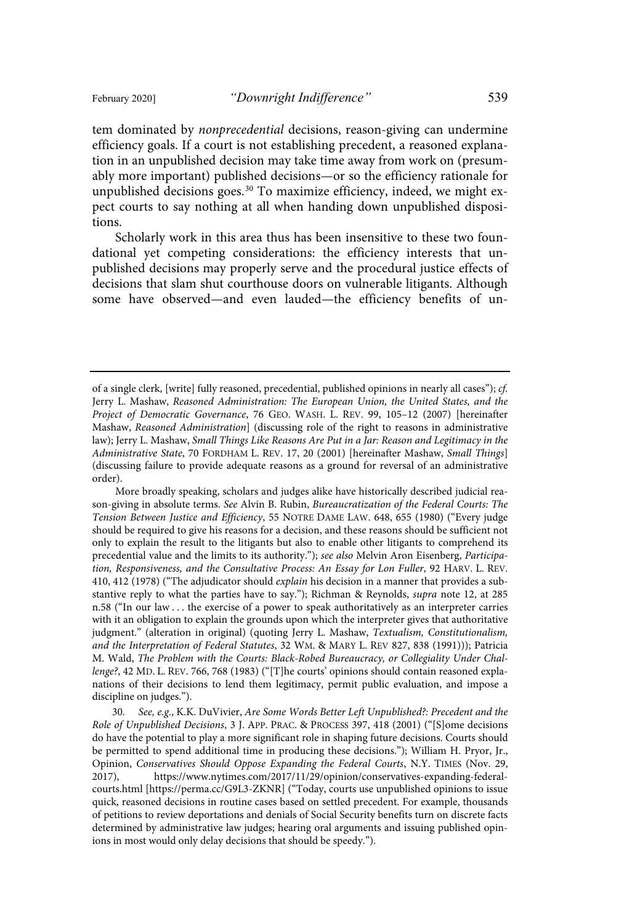tem dominated by nonprecedential decisions, reason-giving can undermine efficiency goals. If a court is not establishing precedent, a reasoned explanation in an unpublished decision may take time away from work on (presumably more important) published decisions—or so the efficiency rationale for unpublished decisions goes.<sup>30</sup> To maximize efficiency, indeed, we might expect courts to say nothing at all when handing down unpublished dispositions.

Scholarly work in this area thus has been insensitive to these two foundational yet competing considerations: the efficiency interests that unpublished decisions may properly serve and the procedural justice effects of decisions that slam shut courthouse doors on vulnerable litigants. Although some have observed—and even lauded—the efficiency benefits of un-

of a single clerk, [write] fully reasoned, precedential, published opinions in nearly all cases"); cf. Jerry L. Mashaw, Reasoned Administration: The European Union, the United States, and the Project of Democratic Governance, 76 GEO. WASH. L. REV. 99, 105–12 (2007) [hereinafter Mashaw, Reasoned Administration] (discussing role of the right to reasons in administrative law); Jerry L. Mashaw, Small Things Like Reasons Are Put in a Jar: Reason and Legitimacy in the Administrative State, 70 FORDHAM L. REV. 17, 20 (2001) [hereinafter Mashaw, Small Things] (discussing failure to provide adequate reasons as a ground for reversal of an administrative order).

More broadly speaking, scholars and judges alike have historically described judicial reason-giving in absolute terms. See Alvin B. Rubin, Bureaucratization of the Federal Courts: The Tension Between Justice and Efficiency, 55 NOTRE DAME LAW. 648, 655 (1980) ("Every judge should be required to give his reasons for a decision, and these reasons should be sufficient not only to explain the result to the litigants but also to enable other litigants to comprehend its precedential value and the limits to its authority."); see also Melvin Aron Eisenberg, Participation, Responsiveness, and the Consultative Process: An Essay for Lon Fuller, 92 HARV. L. REV. 410, 412 (1978) ("The adjudicator should explain his decision in a manner that provides a substantive reply to what the parties have to say."); Richman & Reynolds, supra note 12, at 285 n.58 ("In our law . . . the exercise of a power to speak authoritatively as an interpreter carries with it an obligation to explain the grounds upon which the interpreter gives that authoritative judgment." (alteration in original) (quoting Jerry L. Mashaw, Textualism, Constitutionalism, and the Interpretation of Federal Statutes, 32 WM. & MARY L. REV 827, 838 (1991))); Patricia M. Wald, The Problem with the Courts: Black-Robed Bureaucracy, or Collegiality Under Challenge?, 42 MD. L. REV. 766, 768 (1983) ("[T]he courts' opinions should contain reasoned explanations of their decisions to lend them legitimacy, permit public evaluation, and impose a discipline on judges.").

<sup>30.</sup> See, e.g., K.K. DuVivier, Are Some Words Better Left Unpublished?: Precedent and the Role of Unpublished Decisions, 3 J. APP. PRAC. & PROCESS 397, 418 (2001) ("[S]ome decisions do have the potential to play a more significant role in shaping future decisions. Courts should be permitted to spend additional time in producing these decisions."); William H. Pryor, Jr., Opinion, Conservatives Should Oppose Expanding the Federal Courts, N.Y. TIMES (Nov. 29, 2017), https://www.nytimes.com/2017/11/29/opinion/conservatives-expanding-federalcourts.html [https://perma.cc/G9L3-ZKNR] ("Today, courts use unpublished opinions to issue quick, reasoned decisions in routine cases based on settled precedent. For example, thousands of petitions to review deportations and denials of Social Security benefits turn on discrete facts determined by administrative law judges; hearing oral arguments and issuing published opinions in most would only delay decisions that should be speedy.").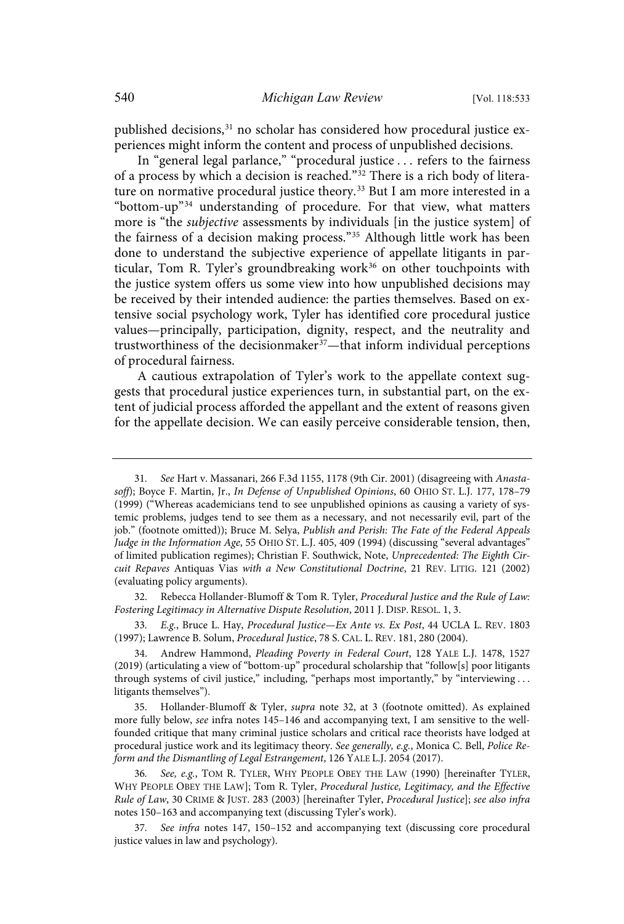published decisions,<sup>31</sup> no scholar has considered how procedural justice experiences might inform the content and process of unpublished decisions.

In "general legal parlance," "procedural justice . . . refers to the fairness of a process by which a decision is reached."<sup>32</sup> There is a rich body of literature on normative procedural justice theory.<sup>33</sup> But I am more interested in a "bottom-up"<sup>34</sup> understanding of procedure. For that view, what matters more is "the *subjective* assessments by individuals [in the justice system] of the fairness of a decision making process."<sup>35</sup> Although little work has been done to understand the subjective experience of appellate litigants in particular, Tom R. Tyler's groundbreaking work $36$  on other touchpoints with the justice system offers us some view into how unpublished decisions may be received by their intended audience: the parties themselves. Based on extensive social psychology work, Tyler has identified core procedural justice values—principally, participation, dignity, respect, and the neutrality and trustworthiness of the decisionmaker <sup>37</sup>—that inform individual perceptions of procedural fairness.

A cautious extrapolation of Tyler's work to the appellate context suggests that procedural justice experiences turn, in substantial part, on the extent of judicial process afforded the appellant and the extent of reasons given for the appellate decision. We can easily perceive considerable tension, then,

32. Rebecca Hollander-Blumoff & Tom R. Tyler, Procedural Justice and the Rule of Law: Fostering Legitimacy in Alternative Dispute Resolution, 2011 J. DISP. RESOL. 1, 3.

33. E.g., Bruce L. Hay, Procedural Justice—Ex Ante vs. Ex Post, 44 UCLA L. REV. 1803 (1997); Lawrence B. Solum, Procedural Justice, 78 S. CAL. L. REV. 181, 280 (2004).

35. Hollander-Blumoff & Tyler, supra note 32, at 3 (footnote omitted). As explained more fully below, see infra notes 145–146 and accompanying text, I am sensitive to the wellfounded critique that many criminal justice scholars and critical race theorists have lodged at procedural justice work and its legitimacy theory. See generally, e.g., Monica C. Bell, Police Reform and the Dismantling of Legal Estrangement, 126 YALE L.J. 2054 (2017).

36. See, e.g., TOM R. TYLER, WHY PEOPLE OBEY THE LAW (1990) [hereinafter TYLER, WHY PEOPLE OBEY THE LAW]; Tom R. Tyler, Procedural Justice, Legitimacy, and the Effective Rule of Law, 30 CRIME & JUST. 283 (2003) [hereinafter Tyler, Procedural Justice]; see also infra notes 150–163 and accompanying text (discussing Tyler's work).

37. See infra notes 147, 150-152 and accompanying text (discussing core procedural justice values in law and psychology).

<sup>31.</sup> See Hart v. Massanari, 266 F.3d 1155, 1178 (9th Cir. 2001) (disagreeing with Anastasoff); Boyce F. Martin, Jr., In Defense of Unpublished Opinions, 60 OHIO ST. L.J. 177, 178-79 (1999) ("Whereas academicians tend to see unpublished opinions as causing a variety of systemic problems, judges tend to see them as a necessary, and not necessarily evil, part of the job." (footnote omitted)); Bruce M. Selya, Publish and Perish: The Fate of the Federal Appeals Judge in the Information Age, 55 OHIO ST. L.J. 405, 409 (1994) (discussing "several advantages" of limited publication regimes); Christian F. Southwick, Note, Unprecedented: The Eighth Circuit Repaves Antiquas Vias with a New Constitutional Doctrine, 21 REV. LITIG. 121 (2002) (evaluating policy arguments).

<sup>34.</sup> Andrew Hammond, Pleading Poverty in Federal Court, 128 YALE L.J. 1478, 1527 (2019) (articulating a view of "bottom-up" procedural scholarship that "follow[s] poor litigants through systems of civil justice," including, "perhaps most importantly," by "interviewing ... litigants themselves").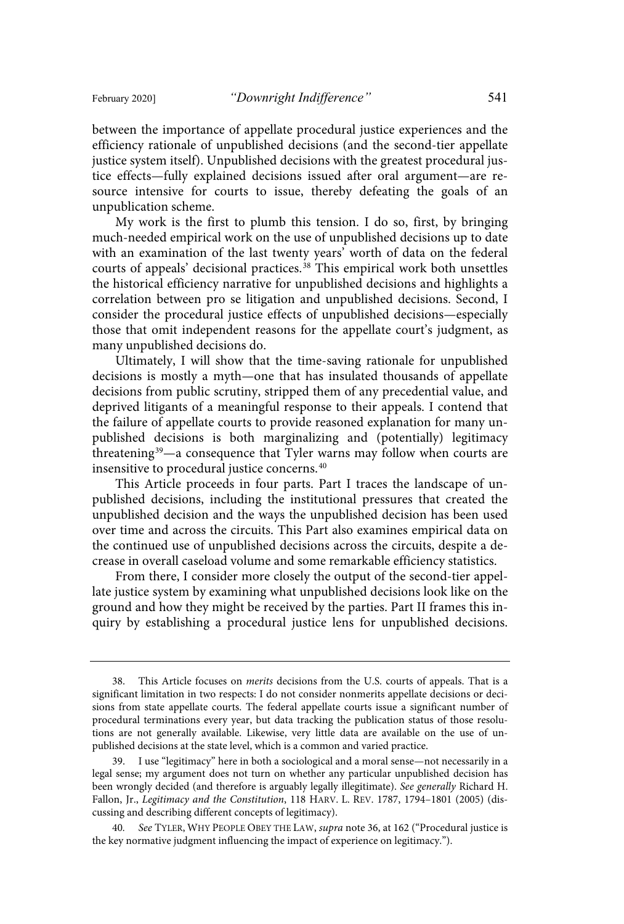between the importance of appellate procedural justice experiences and the efficiency rationale of unpublished decisions (and the second-tier appellate justice system itself). Unpublished decisions with the greatest procedural justice effects—fully explained decisions issued after oral argument—are resource intensive for courts to issue, thereby defeating the goals of an unpublication scheme.

My work is the first to plumb this tension. I do so, first, by bringing much-needed empirical work on the use of unpublished decisions up to date with an examination of the last twenty years' worth of data on the federal courts of appeals' decisional practices.<sup>38</sup> This empirical work both unsettles the historical efficiency narrative for unpublished decisions and highlights a correlation between pro se litigation and unpublished decisions. Second, I consider the procedural justice effects of unpublished decisions—especially those that omit independent reasons for the appellate court's judgment, as many unpublished decisions do.

Ultimately, I will show that the time-saving rationale for unpublished decisions is mostly a myth—one that has insulated thousands of appellate decisions from public scrutiny, stripped them of any precedential value, and deprived litigants of a meaningful response to their appeals. I contend that the failure of appellate courts to provide reasoned explanation for many unpublished decisions is both marginalizing and (potentially) legitimacy threatening<sup>39</sup>—a consequence that Tyler warns may follow when courts are insensitive to procedural justice concerns. 40

This Article proceeds in four parts. Part I traces the landscape of unpublished decisions, including the institutional pressures that created the unpublished decision and the ways the unpublished decision has been used over time and across the circuits. This Part also examines empirical data on the continued use of unpublished decisions across the circuits, despite a decrease in overall caseload volume and some remarkable efficiency statistics.

From there, I consider more closely the output of the second-tier appellate justice system by examining what unpublished decisions look like on the ground and how they might be received by the parties. Part II frames this inquiry by establishing a procedural justice lens for unpublished decisions.

<sup>38.</sup> This Article focuses on merits decisions from the U.S. courts of appeals. That is a significant limitation in two respects: I do not consider nonmerits appellate decisions or decisions from state appellate courts. The federal appellate courts issue a significant number of procedural terminations every year, but data tracking the publication status of those resolutions are not generally available. Likewise, very little data are available on the use of unpublished decisions at the state level, which is a common and varied practice.

<sup>39.</sup> I use "legitimacy" here in both a sociological and a moral sense—not necessarily in a legal sense; my argument does not turn on whether any particular unpublished decision has been wrongly decided (and therefore is arguably legally illegitimate). See generally Richard H. Fallon, Jr., Legitimacy and the Constitution, 118 HARV. L. REV. 1787, 1794–1801 (2005) (discussing and describing different concepts of legitimacy).

<sup>40.</sup> See TYLER, WHY PEOPLE OBEY THE LAW, supra note 36, at 162 ("Procedural justice is the key normative judgment influencing the impact of experience on legitimacy.").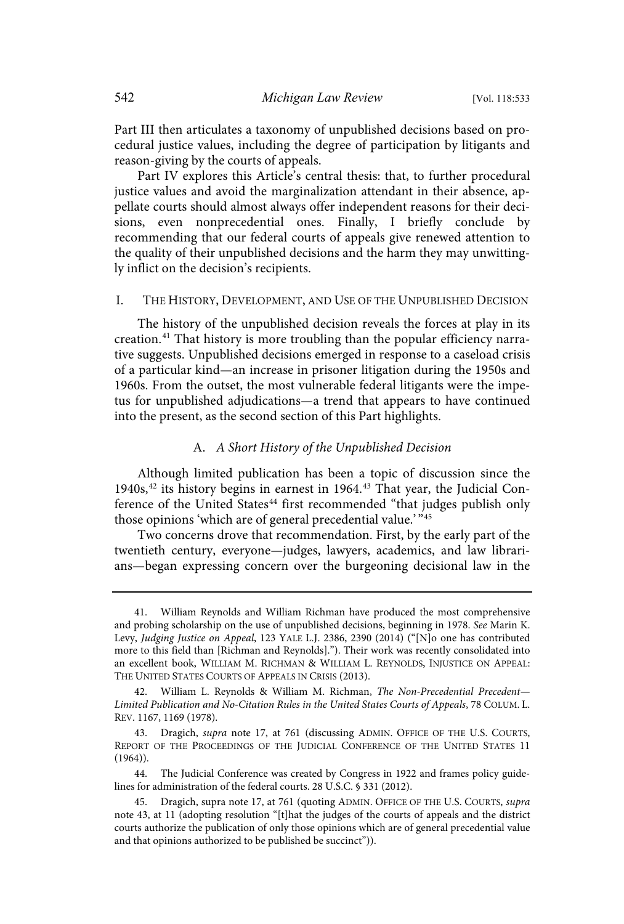Part III then articulates a taxonomy of unpublished decisions based on procedural justice values, including the degree of participation by litigants and reason-giving by the courts of appeals.

Part IV explores this Article's central thesis: that, to further procedural justice values and avoid the marginalization attendant in their absence, appellate courts should almost always offer independent reasons for their decisions, even nonprecedential ones. Finally, I briefly conclude by recommending that our federal courts of appeals give renewed attention to the quality of their unpublished decisions and the harm they may unwittingly inflict on the decision's recipients.

#### I. THE HISTORY, DEVELOPMENT, AND USE OF THE UNPUBLISHED DECISION

The history of the unpublished decision reveals the forces at play in its creation. <sup>41</sup> That history is more troubling than the popular efficiency narrative suggests. Unpublished decisions emerged in response to a caseload crisis of a particular kind—an increase in prisoner litigation during the 1950s and 1960s. From the outset, the most vulnerable federal litigants were the impetus for unpublished adjudications—a trend that appears to have continued into the present, as the second section of this Part highlights.

#### A. A Short History of the Unpublished Decision

Although limited publication has been a topic of discussion since the 1940s,<sup>42</sup> its history begins in earnest in 1964.<sup>43</sup> That year, the Judicial Conference of the United States<sup>44</sup> first recommended "that judges publish only those opinions 'which are of general precedential value.' "45

Two concerns drove that recommendation. First, by the early part of the twentieth century, everyone—judges, lawyers, academics, and law librarians—began expressing concern over the burgeoning decisional law in the

<sup>41.</sup> William Reynolds and William Richman have produced the most comprehensive and probing scholarship on the use of unpublished decisions, beginning in 1978. See Marin K. Levy, Judging Justice on Appeal, 123 YALE L.J. 2386, 2390 (2014) ("[N]o one has contributed more to this field than [Richman and Reynolds]."). Their work was recently consolidated into an excellent book, WILLIAM M. RICHMAN & WILLIAM L. REYNOLDS, INJUSTICE ON APPEAL: THE UNITED STATES COURTS OF APPEALS IN CRISIS (2013).

<sup>42.</sup> William L. Reynolds & William M. Richman, The Non-Precedential Precedent-Limited Publication and No-Citation Rules in the United States Courts of Appeals, 78 COLUM. L. REV. 1167, 1169 (1978).

<sup>43.</sup> Dragich, supra note 17, at 761 (discussing ADMIN. OFFICE OF THE U.S. COURTS, REPORT OF THE PROCEEDINGS OF THE JUDICIAL CONFERENCE OF THE UNITED STATES 11  $(1964)$ .

<sup>44.</sup> The Judicial Conference was created by Congress in 1922 and frames policy guidelines for administration of the federal courts. 28 U.S.C. § 331 (2012).

<sup>45.</sup> Dragich, supra note 17, at 761 (quoting ADMIN. OFFICE OF THE U.S. COURTS, supra note 43, at 11 (adopting resolution "[t]hat the judges of the courts of appeals and the district courts authorize the publication of only those opinions which are of general precedential value and that opinions authorized to be published be succinct")).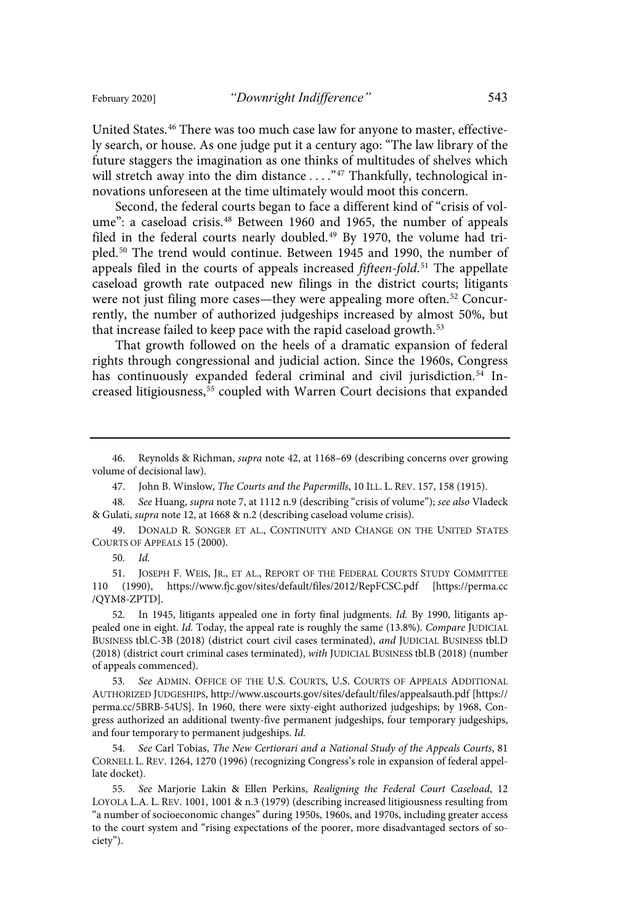United States.<sup>46</sup> There was too much case law for anyone to master, effectively search, or house. As one judge put it a century ago: "The law library of the future staggers the imagination as one thinks of multitudes of shelves which will stretch away into the dim distance . . . . "47 Thankfully, technological innovations unforeseen at the time ultimately would moot this concern.

Second, the federal courts began to face a different kind of "crisis of volume": a caseload crisis.<sup>48</sup> Between 1960 and 1965, the number of appeals filed in the federal courts nearly doubled.<sup>49</sup> By 1970, the volume had tripled.<sup>50</sup> The trend would continue. Between 1945 and 1990, the number of appeals filed in the courts of appeals increased *fifteen-fold*.<sup>51</sup> The appellate caseload growth rate outpaced new filings in the district courts; litigants were not just filing more cases—they were appealing more often.<sup>52</sup> Concurrently, the number of authorized judgeships increased by almost 50%, but that increase failed to keep pace with the rapid caseload growth.<sup>53</sup>

That growth followed on the heels of a dramatic expansion of federal rights through congressional and judicial action. Since the 1960s, Congress has continuously expanded federal criminal and civil jurisdiction.<sup>54</sup> Increased litigiousness,<sup>55</sup> coupled with Warren Court decisions that expanded

46. Reynolds & Richman, supra note 42, at 1168–69 (describing concerns over growing volume of decisional law).

47. John B. Winslow, The Courts and the Papermills, 10 ILL. L. REV. 157, 158 (1915).

48. See Huang, supra note 7, at 1112 n.9 (describing "crisis of volume"); see also Vladeck & Gulati, supra note 12, at 1668 & n.2 (describing caseload volume crisis).

49. DONALD R. SONGER ET AL., CONTINUITY AND CHANGE ON THE UNITED STATES COURTS OF APPEALS 15 (2000).

50.  $Id.$ 

51. JOSEPH F. WEIS, JR., ET AL., REPORT OF THE FEDERAL COURTS STUDY COMMITTEE 110 (1990), https://www.fjc.gov/sites/default/files/2012/RepFCSC.pdf [https://perma.cc /QYM8-ZPTD].

52. In 1945, litigants appealed one in forty final judgments. Id. By 1990, litigants appealed one in eight. Id. Today, the appeal rate is roughly the same (13.8%). Compare JUDICIAL BUSINESS tbl.C-3B (2018) (district court civil cases terminated), and JUDICIAL BUSINESS tbl.D (2018) (district court criminal cases terminated), with JUDICIAL BUSINESS tbl.B (2018) (number of appeals commenced).

53. See ADMIN. OFFICE OF THE U.S. COURTS, U.S. COURTS OF APPEALS ADDITIONAL AUTHORIZED JUDGESHIPS, http://www.uscourts.gov/sites/default/files/appealsauth.pdf [https:// perma.cc/5BRB-54US]. In 1960, there were sixty-eight authorized judgeships; by 1968, Congress authorized an additional twenty-five permanent judgeships, four temporary judgeships, and four temporary to permanent judgeships. Id.

54. See Carl Tobias, The New Certiorari and a National Study of the Appeals Courts, 81 CORNELL L. REV. 1264, 1270 (1996) (recognizing Congress's role in expansion of federal appellate docket).

55. See Marjorie Lakin & Ellen Perkins, Realigning the Federal Court Caseload, 12 LOYOLA L.A. L. REV. 1001, 1001 & n.3 (1979) (describing increased litigiousness resulting from "a number of socioeconomic changes" during 1950s, 1960s, and 1970s, including greater access to the court system and "rising expectations of the poorer, more disadvantaged sectors of society").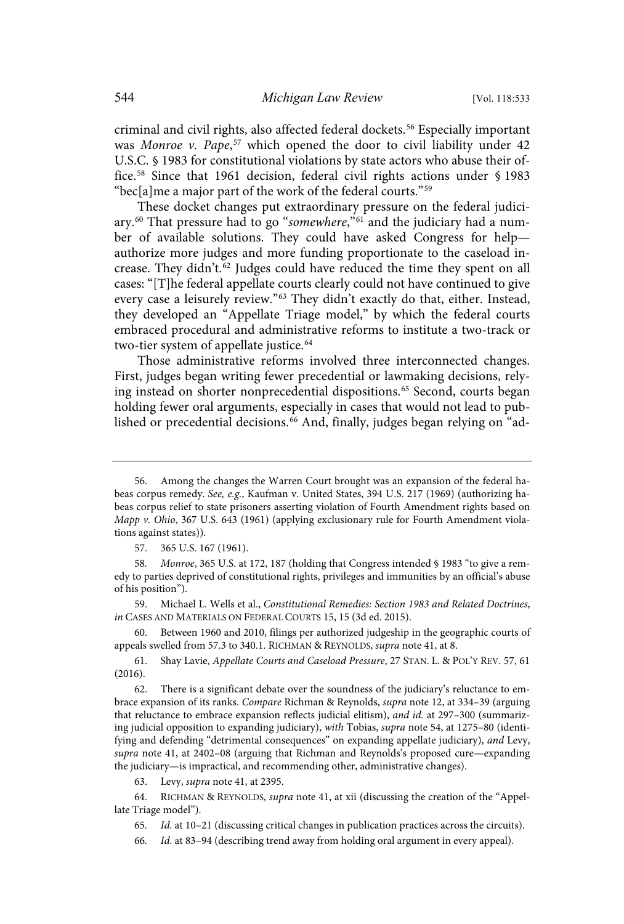criminal and civil rights, also affected federal dockets.<sup>56</sup> Especially important was Monroe v. Pape,<sup>57</sup> which opened the door to civil liability under 42 U.S.C. § 1983 for constitutional violations by state actors who abuse their office.<sup>58</sup> Since that 1961 decision, federal civil rights actions under § 1983 "bec[a]me a major part of the work of the federal courts." 59

These docket changes put extraordinary pressure on the federal judiciary.<sup>60</sup> That pressure had to go "*somewhere*,"<sup>61</sup> and the judiciary had a number of available solutions. They could have asked Congress for help authorize more judges and more funding proportionate to the caseload increase. They didn't.<sup>62</sup> Judges could have reduced the time they spent on all cases: "[T]he federal appellate courts clearly could not have continued to give every case a leisurely review."<sup>63</sup> They didn't exactly do that, either. Instead, they developed an "Appellate Triage model," by which the federal courts embraced procedural and administrative reforms to institute a two-track or two-tier system of appellate justice. 64

Those administrative reforms involved three interconnected changes. First, judges began writing fewer precedential or lawmaking decisions, relying instead on shorter nonprecedential dispositions. <sup>65</sup> Second, courts began holding fewer oral arguments, especially in cases that would not lead to published or precedential decisions.<sup>66</sup> And, finally, judges began relying on "ad-

59. Michael L. Wells et al., Constitutional Remedies: Section 1983 and Related Doctrines, in CASES AND MATERIALS ON FEDERAL COURTS 15, 15 (3d ed. 2015).

60. Between 1960 and 2010, filings per authorized judgeship in the geographic courts of appeals swelled from 57.3 to 340.1. RICHMAN & REYNOLDS, supra note 41, at 8.

61. Shay Lavie, Appellate Courts and Caseload Pressure, 27 STAN. L. & POL'Y REV. 57, 61 (2016).

There is a significant debate over the soundness of the judiciary's reluctance to embrace expansion of its ranks. Compare Richman & Reynolds, supra note 12, at 334-39 (arguing that reluctance to embrace expansion reflects judicial elitism), and id. at 297-300 (summarizing judicial opposition to expanding judiciary), with Tobias, supra note 54, at 1275-80 (identifying and defending "detrimental consequences" on expanding appellate judiciary), and Levy, supra note 41, at 2402-08 (arguing that Richman and Reynolds's proposed cure—expanding the judiciary—is impractical, and recommending other, administrative changes).

63. Levy, supra note 41, at 2395.

64. RICHMAN & REYNOLDS, supra note 41, at xii (discussing the creation of the "Appellate Triage model").

65. Id. at 10-21 (discussing critical changes in publication practices across the circuits).

66. Id. at 83-94 (describing trend away from holding oral argument in every appeal).

<sup>56.</sup> Among the changes the Warren Court brought was an expansion of the federal habeas corpus remedy. See, e.g., Kaufman v. United States, 394 U.S. 217 (1969) (authorizing habeas corpus relief to state prisoners asserting violation of Fourth Amendment rights based on Mapp v. Ohio, 367 U.S. 643 (1961) (applying exclusionary rule for Fourth Amendment violations against states)).

<sup>57.</sup> 365 U.S. 167 (1961).

<sup>58.</sup> *Monroe*, 365 U.S. at 172, 187 (holding that Congress intended § 1983 "to give a remedy to parties deprived of constitutional rights, privileges and immunities by an official's abuse of his position").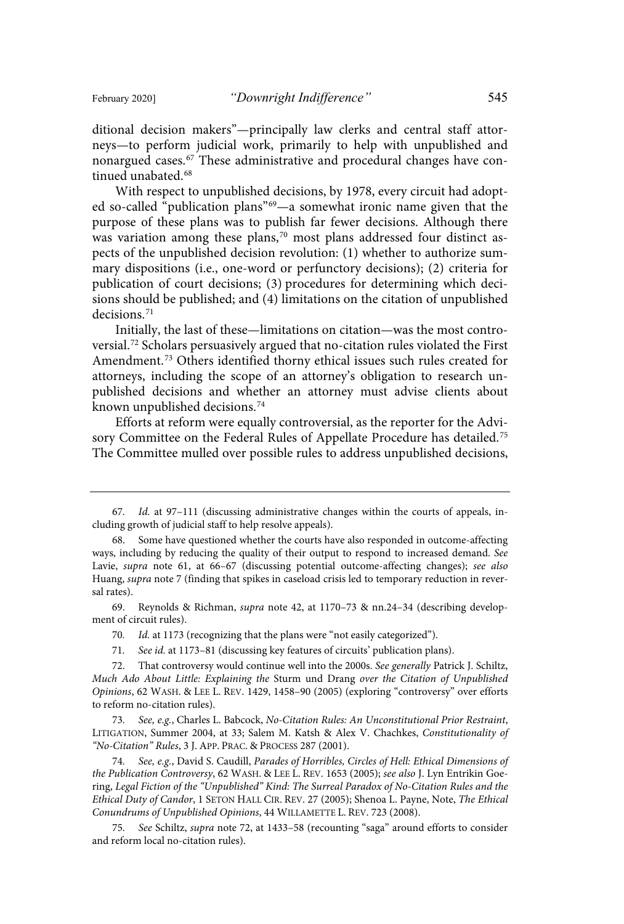ditional decision makers"—principally law clerks and central staff attorneys—to perform judicial work, primarily to help with unpublished and nonargued cases.<sup>67</sup> These administrative and procedural changes have continued unabated.<sup>68</sup>

With respect to unpublished decisions, by 1978, every circuit had adopted so-called "publication plans"<sup>69</sup>—a somewhat ironic name given that the purpose of these plans was to publish far fewer decisions. Although there was variation among these plans, <sup>70</sup> most plans addressed four distinct aspects of the unpublished decision revolution: (1) whether to authorize summary dispositions (i.e., one-word or perfunctory decisions); (2) criteria for publication of court decisions; (3) procedures for determining which decisions should be published; and (4) limitations on the citation of unpublished decisions.<sup>71</sup>

Initially, the last of these—limitations on citation—was the most controversial.<sup>72</sup> Scholars persuasively argued that no-citation rules violated the First Amendment.<sup>73</sup> Others identified thorny ethical issues such rules created for attorneys, including the scope of an attorney's obligation to research unpublished decisions and whether an attorney must advise clients about known unpublished decisions. 74

Efforts at reform were equally controversial, as the reporter for the Advisory Committee on the Federal Rules of Appellate Procedure has detailed.<sup>75</sup> The Committee mulled over possible rules to address unpublished decisions,

69. Reynolds & Richman, supra note 42, at 1170–73 & nn.24–34 (describing development of circuit rules).

70. Id. at 1173 (recognizing that the plans were "not easily categorized").

71. See id. at 1173-81 (discussing key features of circuits' publication plans).

73. See, e.g., Charles L. Babcock, No-Citation Rules: An Unconstitutional Prior Restraint, LITIGATION, Summer 2004, at 33; Salem M. Katsh & Alex V. Chachkes, Constitutionality of "No-Citation" Rules, 3 J. APP. PRAC. & PROCESS 287 (2001).

74. See, e.g., David S. Caudill, Parades of Horribles, Circles of Hell: Ethical Dimensions of the Publication Controversy, 62 WASH. & LEE L. REV. 1653 (2005); see also J. Lyn Entrikin Goering, Legal Fiction of the "Unpublished" Kind: The Surreal Paradox of No-Citation Rules and the Ethical Duty of Candor, 1 SETON HALL CIR. REV. 27 (2005); Shenoa L. Payne, Note, The Ethical Conundrums of Unpublished Opinions, 44 WILLAMETTE L. REV. 723 (2008).

75 . See Schiltz, supra note 72, at 1433–58 (recounting "saga" around efforts to consider and reform local no-citation rules).

<sup>67.</sup> Id. at 97-111 (discussing administrative changes within the courts of appeals, including growth of judicial staff to help resolve appeals).

<sup>68.</sup> Some have questioned whether the courts have also responded in outcome-affecting ways, including by reducing the quality of their output to respond to increased demand. See Lavie, *supra* note 61, at 66-67 (discussing potential outcome-affecting changes); see also Huang, supra note 7 (finding that spikes in caseload crisis led to temporary reduction in reversal rates).

<sup>72.</sup> That controversy would continue well into the 2000s. See generally Patrick J. Schiltz, Much Ado About Little: Explaining the Sturm und Drang over the Citation of Unpublished Opinions, 62 WASH. & LEE L. REV. 1429, 1458–90 (2005) (exploring "controversy" over efforts to reform no-citation rules).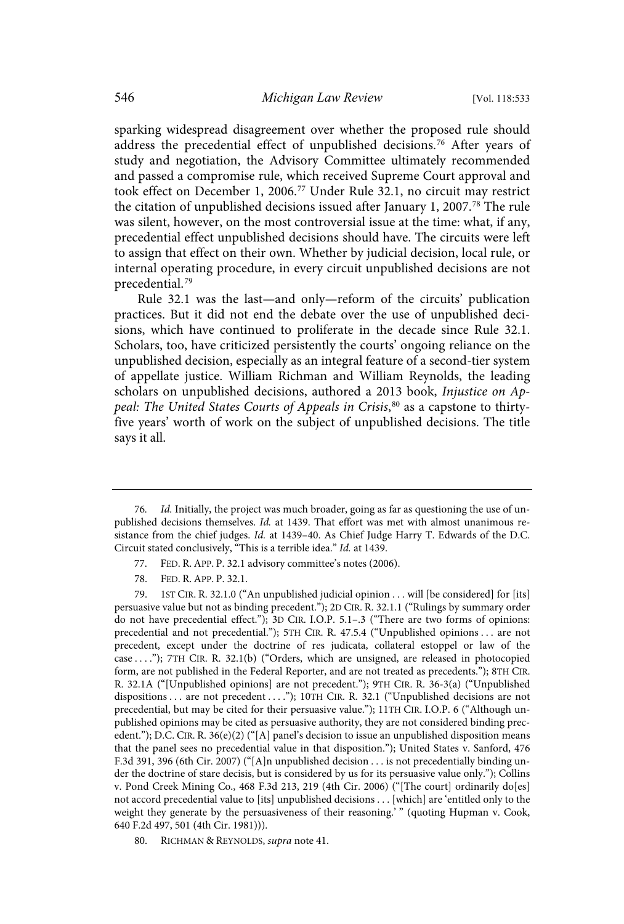sparking widespread disagreement over whether the proposed rule should address the precedential effect of unpublished decisions.<sup>76</sup> After years of study and negotiation, the Advisory Committee ultimately recommended and passed a compromise rule, which received Supreme Court approval and took effect on December 1, 2006.<sup>77</sup> Under Rule 32.1, no circuit may restrict the citation of unpublished decisions issued after January 1, 2007. <sup>78</sup> The rule was silent, however, on the most controversial issue at the time: what, if any, precedential effect unpublished decisions should have. The circuits were left to assign that effect on their own. Whether by judicial decision, local rule, or internal operating procedure, in every circuit unpublished decisions are not precedential. 79

Rule 32.1 was the last—and only—reform of the circuits' publication practices. But it did not end the debate over the use of unpublished decisions, which have continued to proliferate in the decade since Rule 32.1. Scholars, too, have criticized persistently the courts' ongoing reliance on the unpublished decision, especially as an integral feature of a second-tier system of appellate justice. William Richman and William Reynolds, the leading scholars on unpublished decisions, authored a 2013 book, Injustice on Appeal: The United States Courts of Appeals in Crisis,<sup>80</sup> as a capstone to thirtyfive years' worth of work on the subject of unpublished decisions. The title says it all.

- 77. FED. R. APP. P. 32.1 advisory committee's notes (2006).
- 78. FED. R. APP. P. 32.1.

80. RICHMAN & REYNOLDS, supra note 41.

<sup>76.</sup> Id. Initially, the project was much broader, going as far as questioning the use of unpublished decisions themselves. Id. at 1439. That effort was met with almost unanimous resistance from the chief judges. Id. at 1439–40. As Chief Judge Harry T. Edwards of the D.C. Circuit stated conclusively, "This is a terrible idea." Id. at 1439.

<sup>79.</sup> 1ST CIR. R. 32.1.0 ("An unpublished judicial opinion . . . will [be considered] for [its] persuasive value but not as binding precedent."); 2D CIR. R. 32.1.1 ("Rulings by summary order do not have precedential effect."); 3D CIR. I.O.P. 5.1–.3 ("There are two forms of opinions: precedential and not precedential."); 5TH CIR. R. 47.5.4 ("Unpublished opinions . . . are not precedent, except under the doctrine of res judicata, collateral estoppel or law of the case . . . ."); 7TH CIR. R. 32.1(b) ("Orders, which are unsigned, are released in photocopied form, are not published in the Federal Reporter, and are not treated as precedents."); 8TH CIR. R. 32.1A ("[Unpublished opinions] are not precedent."); 9TH CIR. R. 36-3(a) ("Unpublished dispositions . . . are not precedent . . . ."); 10TH CIR. R. 32.1 ("Unpublished decisions are not precedential, but may be cited for their persuasive value."); 11TH CIR. I.O.P. 6 ("Although unpublished opinions may be cited as persuasive authority, they are not considered binding precedent."); D.C. CIR. R.  $36(e)(2)$  ("[A] panel's decision to issue an unpublished disposition means that the panel sees no precedential value in that disposition."); United States v. Sanford, 476 F.3d 391, 396 (6th Cir. 2007) ("[A]n unpublished decision . . . is not precedentially binding under the doctrine of stare decisis, but is considered by us for its persuasive value only."); Collins v. Pond Creek Mining Co., 468 F.3d 213, 219 (4th Cir. 2006) ("[The court] ordinarily do[es] not accord precedential value to [its] unpublished decisions . . . [which] are 'entitled only to the weight they generate by the persuasiveness of their reasoning.' " (quoting Hupman v. Cook, 640 F.2d 497, 501 (4th Cir. 1981))).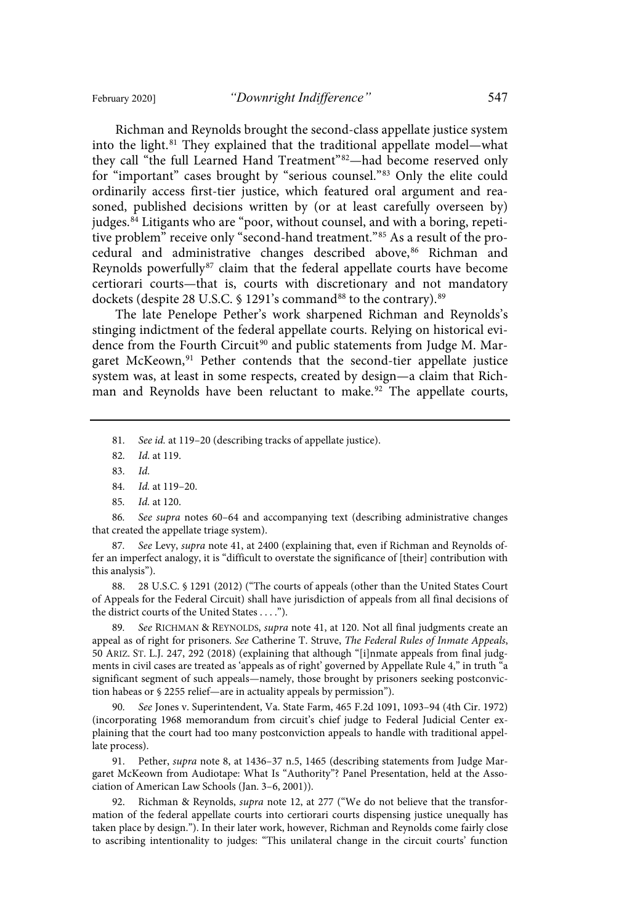Richman and Reynolds brought the second-class appellate justice system into the light.<sup>81</sup> They explained that the traditional appellate model—what they call "the full Learned Hand Treatment"<sup>82</sup>-had become reserved only for "important" cases brought by "serious counsel."<sup>83</sup> Only the elite could ordinarily access first-tier justice, which featured oral argument and reasoned, published decisions written by (or at least carefully overseen by) judges.<sup>84</sup> Litigants who are "poor, without counsel, and with a boring, repetitive problem" receive only "second-hand treatment." <sup>85</sup> As a result of the procedural and administrative changes described above,<sup>86</sup> Richman and Reynolds powerfully $87$  claim that the federal appellate courts have become certiorari courts—that is, courts with discretionary and not mandatory dockets (despite 28 U.S.C. § 1291's command<sup>88</sup> to the contrary).<sup>89</sup>

The late Penelope Pether's work sharpened Richman and Reynolds's stinging indictment of the federal appellate courts. Relying on historical evidence from the Fourth Circuit<sup>90</sup> and public statements from Judge M. Margaret McKeown,<sup>91</sup> Pether contends that the second-tier appellate justice system was, at least in some respects, created by design—a claim that Richman and Reynolds have been reluctant to make.<sup>92</sup> The appellate courts,

81. See id. at 119-20 (describing tracks of appellate justice).

86. See supra notes 60-64 and accompanying text (describing administrative changes that created the appellate triage system).

87. See Levy, supra note 41, at 2400 (explaining that, even if Richman and Reynolds offer an imperfect analogy, it is "difficult to overstate the significance of [their] contribution with this analysis").

88. 28 U.S.C. § 1291 (2012) ("The courts of appeals (other than the United States Court of Appeals for the Federal Circuit) shall have jurisdiction of appeals from all final decisions of the district courts of the United States . . . .").

89. See RICHMAN & REYNOLDS, *supra* note 41, at 120. Not all final judgments create an appeal as of right for prisoners. See Catherine T. Struve, The Federal Rules of Inmate Appeals, 50 ARIZ. ST. L.J. 247, 292 (2018) (explaining that although "[i]nmate appeals from final judgments in civil cases are treated as 'appeals as of right' governed by Appellate Rule 4," in truth "a significant segment of such appeals—namely, those brought by prisoners seeking postconviction habeas or § 2255 relief—are in actuality appeals by permission").

90 . See Jones v. Superintendent, Va. State Farm, 465 F.2d 1091, 1093–94 (4th Cir. 1972) (incorporating 1968 memorandum from circuit's chief judge to Federal Judicial Center explaining that the court had too many postconviction appeals to handle with traditional appellate process).

91. Pether, supra note 8, at 1436–37 n.5, 1465 (describing statements from Judge Margaret McKeown from Audiotape: What Is "Authority"? Panel Presentation, held at the Association of American Law Schools (Jan. 3–6, 2001)).

92. Richman & Reynolds, *supra* note 12, at 277 ("We do not believe that the transformation of the federal appellate courts into certiorari courts dispensing justice unequally has taken place by design."). In their later work, however, Richman and Reynolds come fairly close to ascribing intentionality to judges: "This unilateral change in the circuit courts' function

<sup>82.</sup> *Id.* at 119.

<sup>83.</sup> Id.

<sup>84.</sup> Id. at 119-20.

<sup>85.</sup> *Id.* at 120.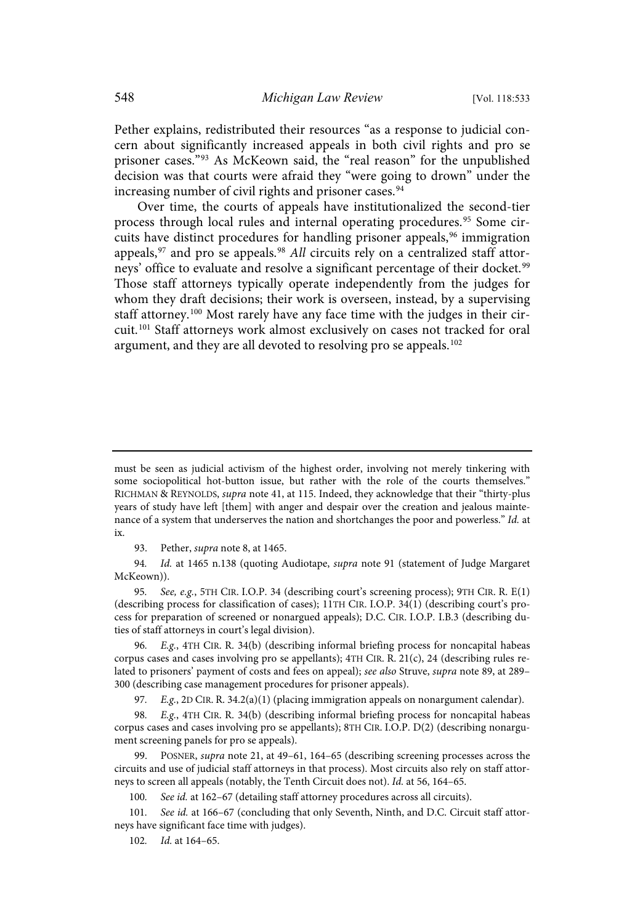Pether explains, redistributed their resources "as a response to judicial concern about significantly increased appeals in both civil rights and pro se prisoner cases." <sup>93</sup> As McKeown said, the "real reason" for the unpublished decision was that courts were afraid they "were going to drown" under the increasing number of civil rights and prisoner cases.<sup>94</sup>

Over time, the courts of appeals have institutionalized the second-tier process through local rules and internal operating procedures.<sup>95</sup> Some circuits have distinct procedures for handling prisoner appeals,  $96$  immigration appeals,  $97$  and pro se appeals.  $98$  All circuits rely on a centralized staff attorneys' office to evaluate and resolve a significant percentage of their docket.<sup>99</sup> Those staff attorneys typically operate independently from the judges for whom they draft decisions; their work is overseen, instead, by a supervising staff attorney.<sup>100</sup> Most rarely have any face time with the judges in their circuit. <sup>101</sup> Staff attorneys work almost exclusively on cases not tracked for oral argument, and they are all devoted to resolving pro se appeals.<sup>102</sup>

95. See, e.g., 5TH CIR. I.O.P. 34 (describing court's screening process); 9TH CIR. R. E(1) (describing process for classification of cases); 11TH CIR. I.O.P. 34(1) (describing court's process for preparation of screened or nonargued appeals); D.C. CIR. I.O.P. I.B.3 (describing duties of staff attorneys in court's legal division).

96. E.g., 4TH CIR. R. 34(b) (describing informal briefing process for noncapital habeas corpus cases and cases involving pro se appellants); 4TH CIR. R. 21(c), 24 (describing rules related to prisoners' payment of costs and fees on appeal); see also Struve, supra note 89, at 289-300 (describing case management procedures for prisoner appeals).

97. E.g., 2D CIR. R. 34.2(a)(1) (placing immigration appeals on nonargument calendar).

98. E.g., 4TH CIR. R. 34(b) (describing informal briefing process for noncapital habeas corpus cases and cases involving pro se appellants); 8TH CIR. I.O.P. D(2) (describing nonargument screening panels for pro se appeals).

POSNER, supra note 21, at 49-61, 164-65 (describing screening processes across the circuits and use of judicial staff attorneys in that process). Most circuits also rely on staff attorneys to screen all appeals (notably, the Tenth Circuit does not). Id. at 56, 164-65.

100. See id. at 162-67 (detailing staff attorney procedures across all circuits).

101. See id. at 166-67 (concluding that only Seventh, Ninth, and D.C. Circuit staff attorneys have significant face time with judges).

102. Id. at 164-65.

must be seen as judicial activism of the highest order, involving not merely tinkering with some sociopolitical hot-button issue, but rather with the role of the courts themselves." RICHMAN & REYNOLDS, supra note 41, at 115. Indeed, they acknowledge that their "thirty-plus years of study have left [them] with anger and despair over the creation and jealous maintenance of a system that underserves the nation and shortchanges the poor and powerless." Id. at ix.

<sup>93.</sup> Pether, supra note 8, at 1465.

<sup>94.</sup> Id. at 1465 n.138 (quoting Audiotape, supra note 91 (statement of Judge Margaret McKeown)).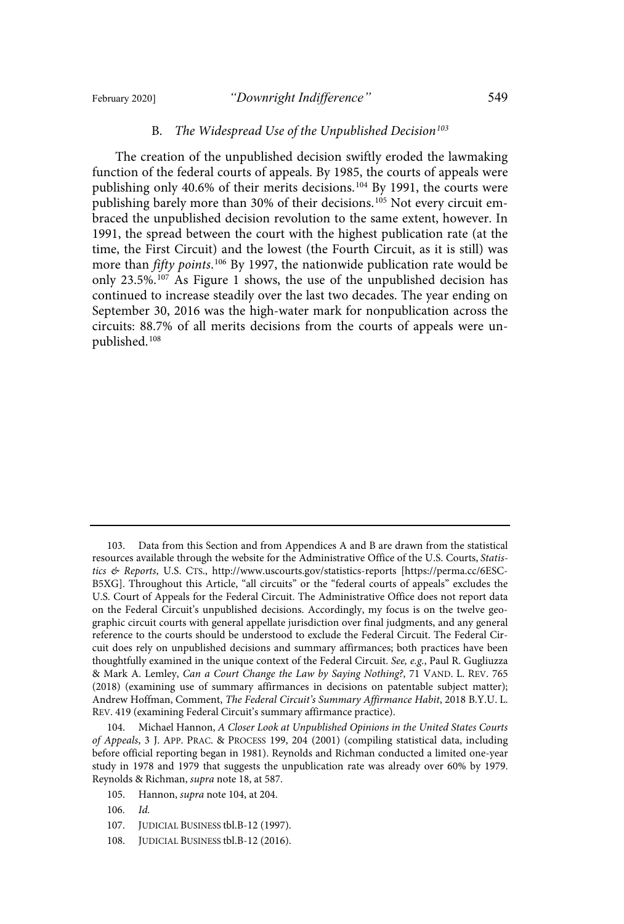#### February 2020] *"Downright Indifference"* 549

#### B. The Widespread Use of the Unpublished Decision<sup>103</sup>

The creation of the unpublished decision swiftly eroded the lawmaking function of the federal courts of appeals. By 1985, the courts of appeals were publishing only 40.6% of their merits decisions.<sup>104</sup> By 1991, the courts were publishing barely more than 30% of their decisions. <sup>105</sup> Not every circuit embraced the unpublished decision revolution to the same extent, however. In 1991, the spread between the court with the highest publication rate (at the time, the First Circuit) and the lowest (the Fourth Circuit, as it is still) was more than *fifty points*.<sup>106</sup> By 1997, the nationwide publication rate would be only 23.5%. <sup>107</sup> As Figure 1 shows, the use of the unpublished decision has continued to increase steadily over the last two decades. The year ending on September 30, 2016 was the high-water mark for nonpublication across the circuits: 88.7% of all merits decisions from the courts of appeals were unpublished.<sup>108</sup>

104. Michael Hannon, A Closer Look at Unpublished Opinions in the United States Courts of Appeals, 3 J. APP. PRAC. & PROCESS 199, 204 (2001) (compiling statistical data, including before official reporting began in 1981). Reynolds and Richman conducted a limited one-year study in 1978 and 1979 that suggests the unpublication rate was already over 60% by 1979. Reynolds & Richman, supra note 18, at 587.

- 107. JUDICIAL BUSINESS tbl.B-12 (1997).
- 108. JUDICIAL BUSINESS tbl.B-12 (2016).

<sup>103.</sup> Data from this Section and from Appendices A and B are drawn from the statistical resources available through the website for the Administrative Office of the U.S. Courts, Statistics & Reports, U.S. CTS., http://www.uscourts.gov/statistics-reports [https://perma.cc/6ESC-B5XG]. Throughout this Article, "all circuits" or the "federal courts of appeals" excludes the U.S. Court of Appeals for the Federal Circuit. The Administrative Office does not report data on the Federal Circuit's unpublished decisions. Accordingly, my focus is on the twelve geographic circuit courts with general appellate jurisdiction over final judgments, and any general reference to the courts should be understood to exclude the Federal Circuit. The Federal Circuit does rely on unpublished decisions and summary affirmances; both practices have been thoughtfully examined in the unique context of the Federal Circuit. See, e.g., Paul R. Gugliuzza & Mark A. Lemley, Can a Court Change the Law by Saying Nothing?, 71 VAND. L. REV. 765 (2018) (examining use of summary affirmances in decisions on patentable subject matter); Andrew Hoffman, Comment, The Federal Circuit's Summary Affirmance Habit, 2018 B.Y.U. L. REV. 419 (examining Federal Circuit's summary affirmance practice).

<sup>105.</sup> Hannon, supra note 104, at 204.

 $106.$   $Id.$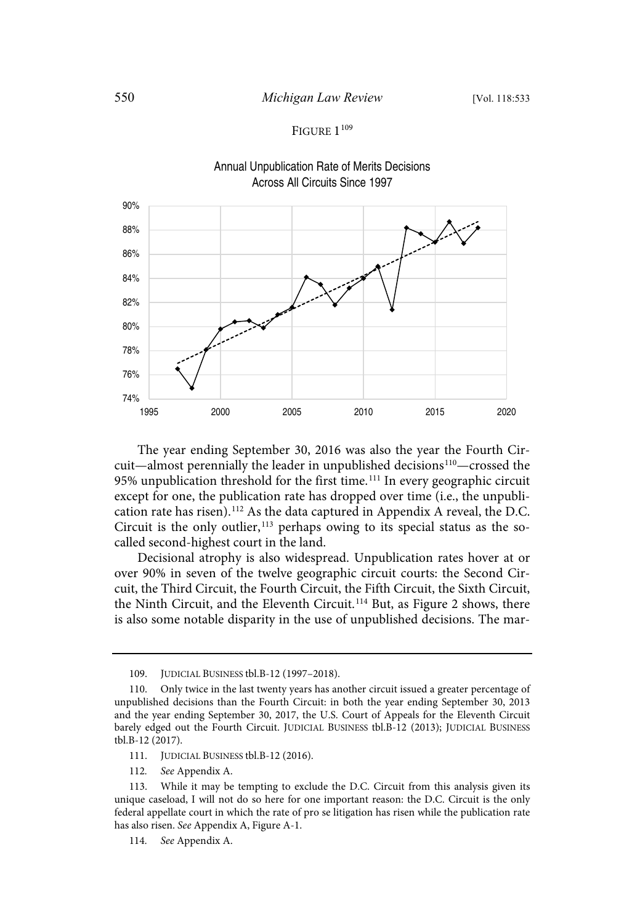### FIGURE 1<sup>109</sup>



The year ending September 30, 2016 was also the year the Fourth Circuit—almost perennially the leader in unpublished decisions <sup>110</sup>—crossed the 95% unpublication threshold for the first time.<sup>111</sup> In every geographic circuit except for one, the publication rate has dropped over time (i.e., the unpublication rate has risen).<sup>112</sup> As the data captured in Appendix A reveal, the D.C. Circuit is the only outlier, <sup>113</sup> perhaps owing to its special status as the socalled second-highest court in the land.

Decisional atrophy is also widespread. Unpublication rates hover at or over 90% in seven of the twelve geographic circuit courts: the Second Circuit, the Third Circuit, the Fourth Circuit, the Fifth Circuit, the Sixth Circuit, the Ninth Circuit, and the Eleventh Circuit. <sup>114</sup> But, as Figure 2 shows, there is also some notable disparity in the use of unpublished decisions. The mar-

<sup>109.</sup> JUDICIAL BUSINESS tbl.B-12 (1997–2018).

<sup>110.</sup> Only twice in the last twenty years has another circuit issued a greater percentage of unpublished decisions than the Fourth Circuit: in both the year ending September 30, 2013 and the year ending September 30, 2017, the U.S. Court of Appeals for the Eleventh Circuit barely edged out the Fourth Circuit. JUDICIAL BUSINESS tbl.B-12 (2013); JUDICIAL BUSINESS tbl.B-12 (2017).

<sup>111.</sup> JUDICIAL BUSINESS tbl.B-12 (2016).

<sup>112.</sup> See Appendix A.

<sup>113.</sup> While it may be tempting to exclude the D.C. Circuit from this analysis given its unique caseload, I will not do so here for one important reason: the D.C. Circuit is the only federal appellate court in which the rate of pro se litigation has risen while the publication rate has also risen. See Appendix A, Figure A-1.

<sup>114.</sup> See Appendix A.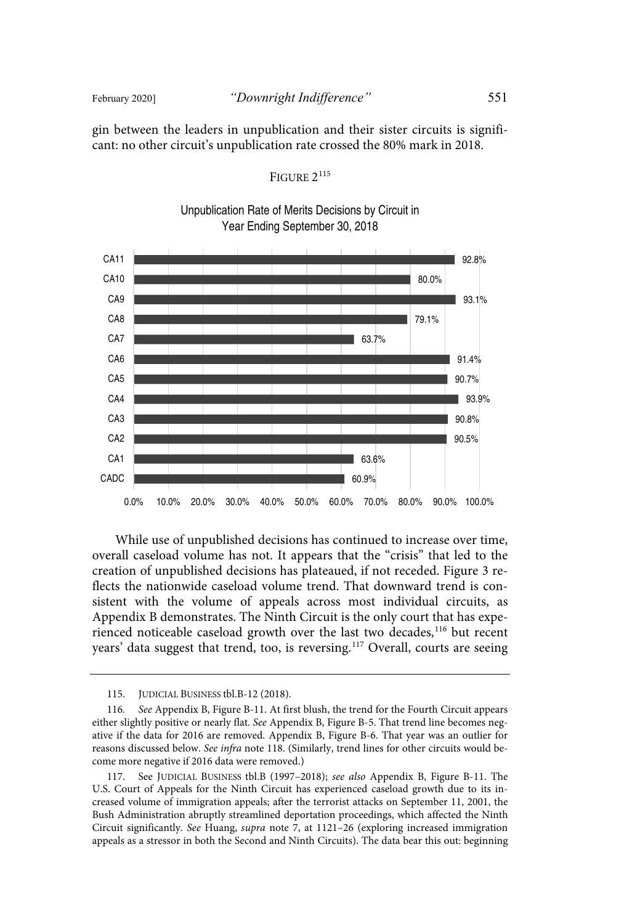gin between the leaders in unpublication and their sister circuits is significant: no other circuit's unpublication rate crossed the 80% mark in 2018.

# FIGURE 2<sup>115</sup>

Unpublication Rate of Merits Decisions by Circuit in Year Ending September 30, 2018



While use of unpublished decisions has continued to increase over time, overall caseload volume has not. It appears that the "crisis" that led to the creation of unpublished decisions has plateaued, if not receded. Figure 3 reflects the nationwide caseload volume trend. That downward trend is consistent with the volume of appeals across most individual circuits, as Appendix B demonstrates. The Ninth Circuit is the only court that has experienced noticeable caseload growth over the last two decades,<sup>116</sup> but recent years' data suggest that trend, too, is reversing.<sup>117</sup> Overall, courts are seeing

<sup>115.</sup> JUDICIAL BUSINESS tbl.B-12 (2018).

<sup>116.</sup> See Appendix B, Figure B-11. At first blush, the trend for the Fourth Circuit appears either slightly positive or nearly flat. See Appendix B, Figure B-5. That trend line becomes negative if the data for 2016 are removed. Appendix B, Figure B-6. That year was an outlier for reasons discussed below. See infra note 118. (Similarly, trend lines for other circuits would become more negative if 2016 data were removed.)

<sup>117.</sup> See JUDICIAL BUSINESS tbl.B (1997–2018); see also Appendix B, Figure B-11. The U.S. Court of Appeals for the Ninth Circuit has experienced caseload growth due to its increased volume of immigration appeals; after the terrorist attacks on September 11, 2001, the Bush Administration abruptly streamlined deportation proceedings, which affected the Ninth Circuit significantly. See Huang, supra note 7, at 1121–26 (exploring increased immigration appeals as a stressor in both the Second and Ninth Circuits). The data bear this out: beginning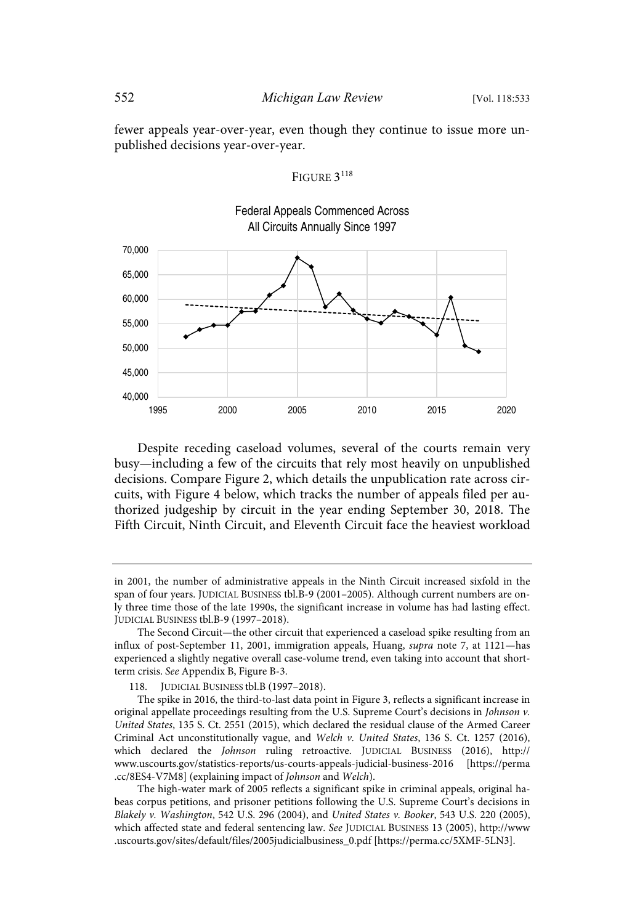fewer appeals year-over-year, even though they continue to issue more unpublished decisions year-over-year.

### FIGURE 3<sup>118</sup>



Despite receding caseload volumes, several of the courts remain very busy—including a few of the circuits that rely most heavily on unpublished decisions. Compare Figure 2, which details the unpublication rate across circuits, with Figure 4 below, which tracks the number of appeals filed per authorized judgeship by circuit in the year ending September 30, 2018. The Fifth Circuit, Ninth Circuit, and Eleventh Circuit face the heaviest workload

in 2001, the number of administrative appeals in the Ninth Circuit increased sixfold in the span of four years. JUDICIAL BUSINESS tbl.B-9 (2001–2005). Although current numbers are only three time those of the late 1990s, the significant increase in volume has had lasting effect. JUDICIAL BUSINESS tbl.B-9 (1997–2018).

The Second Circuit—the other circuit that experienced a caseload spike resulting from an influx of post-September 11, 2001, immigration appeals, Huang, supra note 7, at 1121—has experienced a slightly negative overall case-volume trend, even taking into account that shortterm crisis. See Appendix B, Figure B-3.

<sup>118.</sup> JUDICIAL BUSINESS tbl.B (1997–2018).

The spike in 2016, the third-to-last data point in Figure 3, reflects a significant increase in original appellate proceedings resulting from the U.S. Supreme Court's decisions in Johnson v. United States, 135 S. Ct. 2551 (2015), which declared the residual clause of the Armed Career Criminal Act unconstitutionally vague, and Welch v. United States, 136 S. Ct. 1257 (2016), which declared the Johnson ruling retroactive. JUDICIAL BUSINESS (2016), http:// www.uscourts.gov/statistics-reports/us-courts-appeals-judicial-business-2016 [https://perma .cc/8ES4-V7M8] (explaining impact of Johnson and Welch).

The high-water mark of 2005 reflects a significant spike in criminal appeals, original habeas corpus petitions, and prisoner petitions following the U.S. Supreme Court's decisions in Blakely v. Washington, 542 U.S. 296 (2004), and United States v. Booker, 543 U.S. 220 (2005), which affected state and federal sentencing law. See JUDICIAL BUSINESS 13 (2005), http://www .uscourts.gov/sites/default/files/2005judicialbusiness\_0.pdf [https://perma.cc/5XMF-5LN3].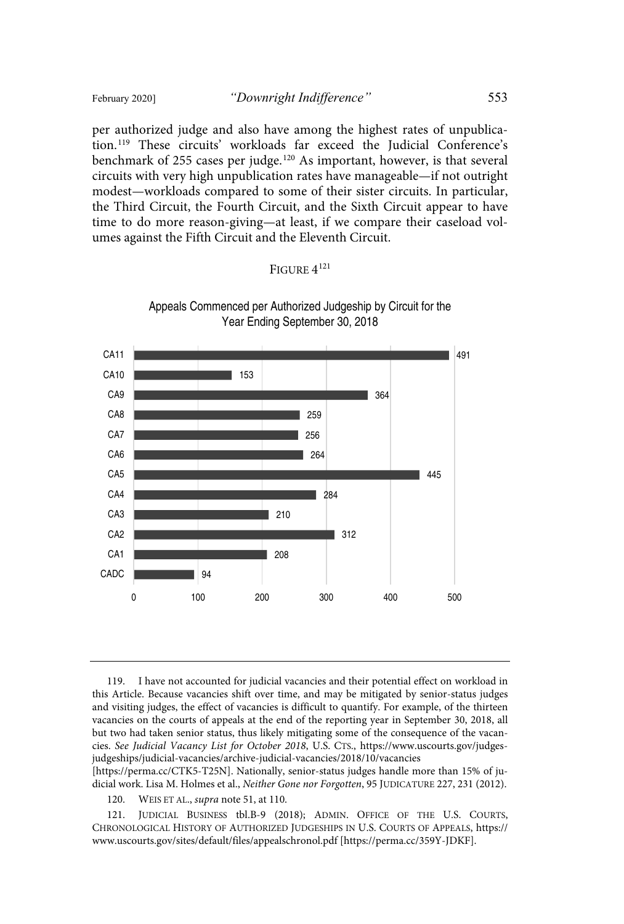per authorized judge and also have among the highest rates of unpublication. <sup>119</sup> These circuits' workloads far exceed the Judicial Conference's benchmark of 255 cases per judge.<sup>120</sup> As important, however, is that several circuits with very high unpublication rates have manageable—if not outright modest—workloads compared to some of their sister circuits. In particular, the Third Circuit, the Fourth Circuit, and the Sixth Circuit appear to have time to do more reason-giving—at least, if we compare their caseload volumes against the Fifth Circuit and the Eleventh Circuit.

# FIGURE  $4^{121}$



Appeals Commenced per Authorized Judgeship by Circuit for the Year Ending September 30, 2018

119. I have not accounted for judicial vacancies and their potential effect on workload in this Article. Because vacancies shift over time, and may be mitigated by senior-status judges and visiting judges, the effect of vacancies is difficult to quantify. For example, of the thirteen vacancies on the courts of appeals at the end of the reporting year in September 30, 2018, all but two had taken senior status, thus likely mitigating some of the consequence of the vacancies. See Judicial Vacancy List for October 2018, U.S. CTS., https://www.uscourts.gov/judgesjudgeships/judicial-vacancies/archive-judicial-vacancies/2018/10/vacancies

[https://perma.cc/CTK5-T25N]. Nationally, senior-status judges handle more than 15% of judicial work. Lisa M. Holmes et al., Neither Gone nor Forgotten, 95 JUDICATURE 227, 231 (2012).

120. WEIS ET AL., supra note 51, at 110.

121. JUDICIAL BUSINESS tbl.B-9 (2018); ADMIN. OFFICE OF THE U.S. COURTS, CHRONOLOGICAL HISTORY OF AUTHORIZED JUDGESHIPS IN U.S. COURTS OF APPEALS, https:// www.uscourts.gov/sites/default/files/appealschronol.pdf [https://perma.cc/359Y-JDKF].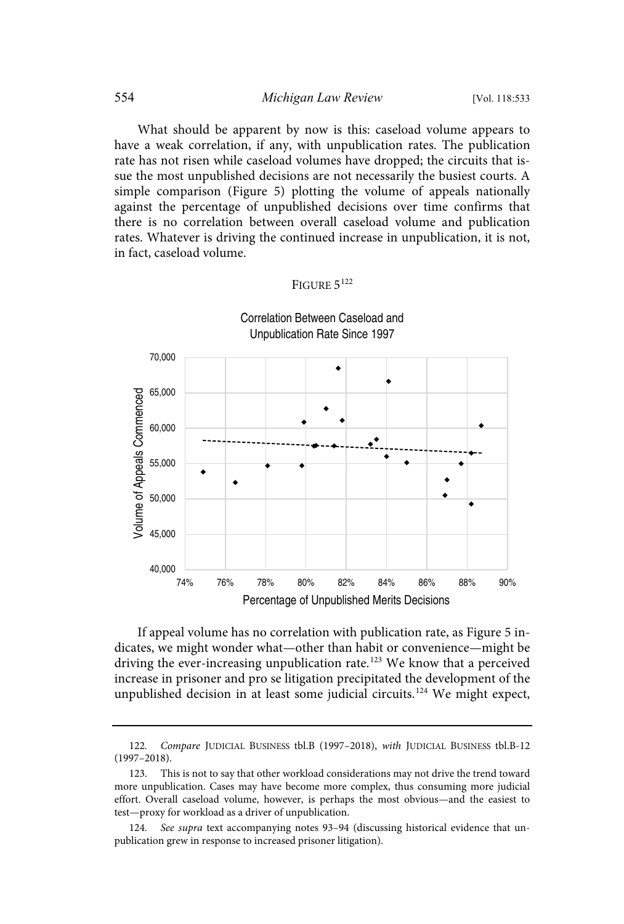What should be apparent by now is this: caseload volume appears to have a weak correlation, if any, with unpublication rates. The publication rate has not risen while caseload volumes have dropped; the circuits that issue the most unpublished decisions are not necessarily the busiest courts. A simple comparison (Figure 5) plotting the volume of appeals nationally against the percentage of unpublished decisions over time confirms that there is no correlation between overall caseload volume and publication rates. Whatever is driving the continued increase in unpublication, it is not, in fact, caseload volume.

### FIGURE  $5^{122}$



If appeal volume has no correlation with publication rate, as Figure 5 indicates, we might wonder what—other than habit or convenience—might be driving the ever-increasing unpublication rate.<sup>123</sup> We know that a perceived increase in prisoner and pro se litigation precipitated the development of the unpublished decision in at least some judicial circuits.<sup>124</sup> We might expect,

<sup>122.</sup> Compare JUDICIAL BUSINESS tbl.B (1997-2018), with JUDICIAL BUSINESS tbl.B-12 (1997–2018).

<sup>123.</sup> This is not to say that other workload considerations may not drive the trend toward more unpublication. Cases may have become more complex, thus consuming more judicial effort. Overall caseload volume, however, is perhaps the most obvious—and the easiest to test—proxy for workload as a driver of unpublication.

<sup>124.</sup> See supra text accompanying notes 93–94 (discussing historical evidence that unpublication grew in response to increased prisoner litigation).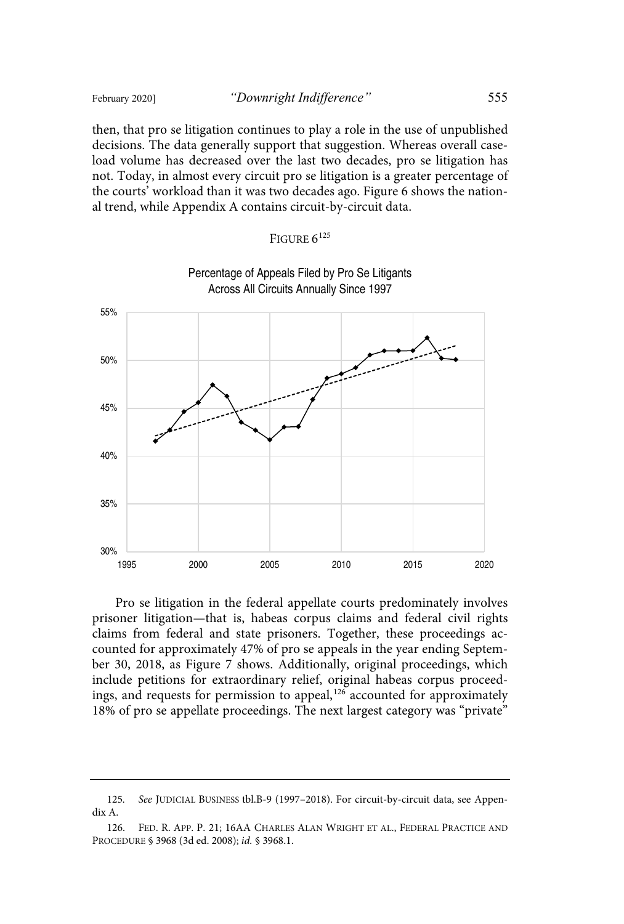then, that pro se litigation continues to play a role in the use of unpublished decisions. The data generally support that suggestion. Whereas overall caseload volume has decreased over the last two decades, pro se litigation has not. Today, in almost every circuit pro se litigation is a greater percentage of the courts' workload than it was two decades ago. Figure 6 shows the national trend, while Appendix A contains circuit-by-circuit data.

| FIGURE $6^{125}$ |
|------------------|
|                  |



Pro se litigation in the federal appellate courts predominately involves prisoner litigation—that is, habeas corpus claims and federal civil rights claims from federal and state prisoners. Together, these proceedings accounted for approximately 47% of pro se appeals in the year ending September 30, 2018, as Figure 7 shows. Additionally, original proceedings, which include petitions for extraordinary relief, original habeas corpus proceedings, and requests for permission to appeal,<sup>126</sup> accounted for approximately 18% of pro se appellate proceedings. The next largest category was "private"

<sup>125.</sup> See JUDICIAL BUSINESS tbl.B-9 (1997–2018). For circuit-by-circuit data, see Appendix A.

<sup>126.</sup> FED. R. APP. P. 21; 16AA CHARLES ALAN WRIGHT ET AL., FEDERAL PRACTICE AND PROCEDURE § 3968 (3d ed. 2008); id. § 3968.1.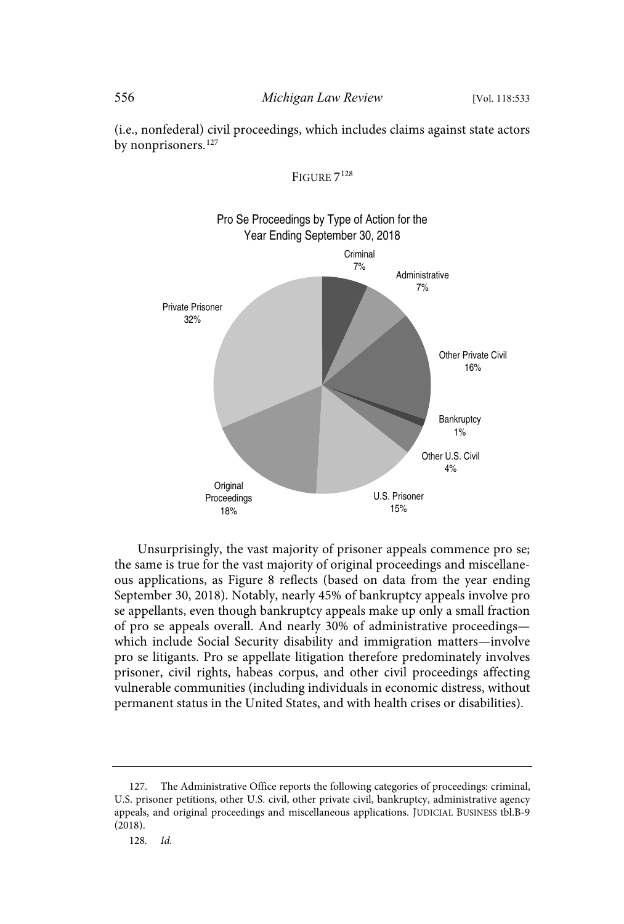by nonprisoners.<sup>127</sup>



(i.e., nonfederal) civil proceedings, which includes claims against state actors

Unsurprisingly, the vast majority of prisoner appeals commence pro se; the same is true for the vast majority of original proceedings and miscellaneous applications, as Figure 8 reflects (based on data from the year ending September 30, 2018). Notably, nearly 45% of bankruptcy appeals involve pro se appellants, even though bankruptcy appeals make up only a small fraction of pro se appeals overall. And nearly 30% of administrative proceedings which include Social Security disability and immigration matters—involve pro se litigants. Pro se appellate litigation therefore predominately involves prisoner, civil rights, habeas corpus, and other civil proceedings affecting vulnerable communities (including individuals in economic distress, without permanent status in the United States, and with health crises or disabilities).

<sup>127.</sup> The Administrative Office reports the following categories of proceedings: criminal, U.S. prisoner petitions, other U.S. civil, other private civil, bankruptcy, administrative agency appeals, and original proceedings and miscellaneous applications. JUDICIAL BUSINESS tbl.B-9 (2018).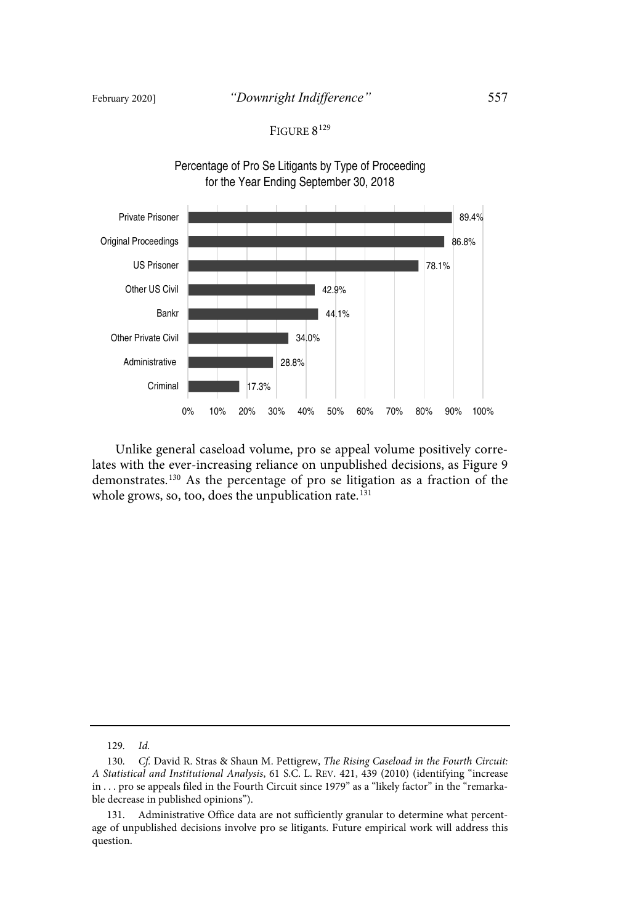# FIGURE 8<sup>129</sup>



Unlike general caseload volume, pro se appeal volume positively correlates with the ever-increasing reliance on unpublished decisions, as Figure 9 demonstrates.<sup>130</sup> As the percentage of pro se litigation as a fraction of the whole grows, so, too, does the unpublication rate.<sup>131</sup>

129. Id.

<sup>130.</sup> Cf. David R. Stras & Shaun M. Pettigrew, The Rising Caseload in the Fourth Circuit: A Statistical and Institutional Analysis, 61 S.C. L. REV. 421, 439 (2010) (identifying "increase in . . . pro se appeals filed in the Fourth Circuit since 1979" as a "likely factor" in the "remarkable decrease in published opinions").

<sup>131.</sup> Administrative Office data are not sufficiently granular to determine what percentage of unpublished decisions involve pro se litigants. Future empirical work will address this question.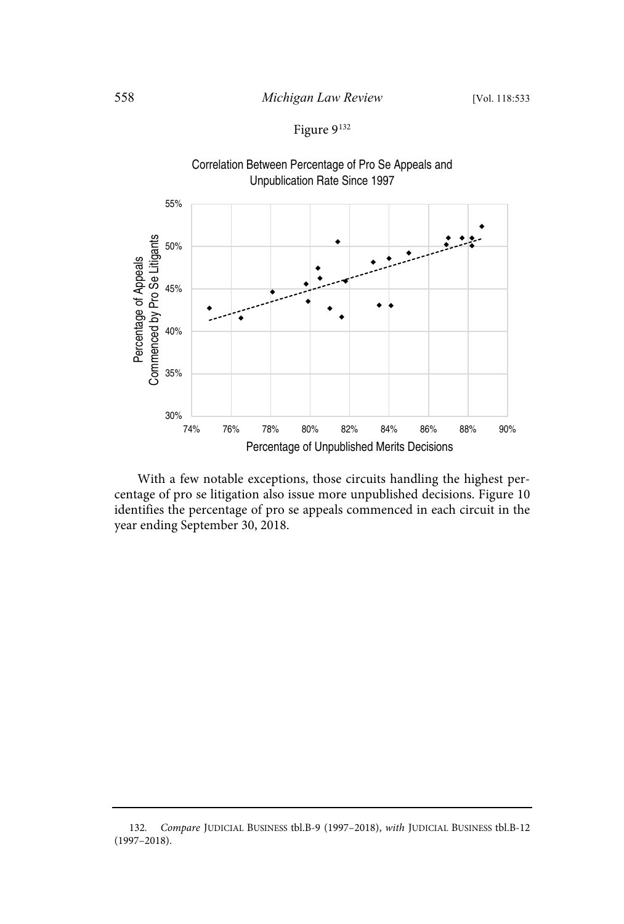# Figure 9 132

Correlation Between Percentage of Pro Se Appeals and Unpublication Rate Since 1997



With a few notable exceptions, those circuits handling the highest percentage of pro se litigation also issue more unpublished decisions. Figure 10 identifies the percentage of pro se appeals commenced in each circuit in the year ending September 30, 2018.

<sup>132.</sup> Compare JUDICIAL BUSINESS tbl.B-9 (1997-2018), with JUDICIAL BUSINESS tbl.B-12 (1997–2018).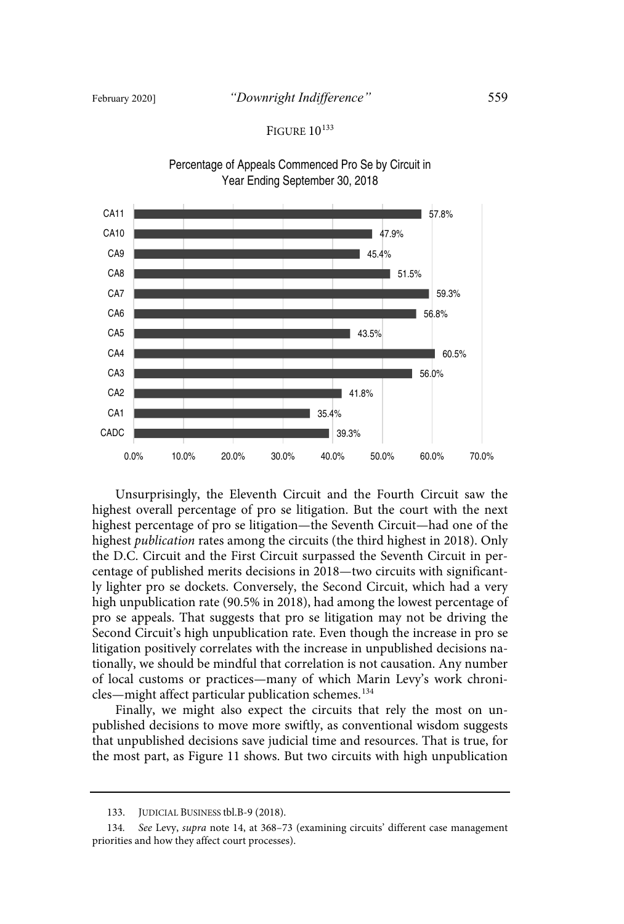## FIGURE 10<sup>133</sup>



Percentage of Appeals Commenced Pro Se by Circuit in Year Ending September 30, 2018

Unsurprisingly, the Eleventh Circuit and the Fourth Circuit saw the highest overall percentage of pro se litigation. But the court with the next highest percentage of pro se litigation—the Seventh Circuit—had one of the highest publication rates among the circuits (the third highest in 2018). Only the D.C. Circuit and the First Circuit surpassed the Seventh Circuit in percentage of published merits decisions in 2018—two circuits with significantly lighter pro se dockets. Conversely, the Second Circuit, which had a very high unpublication rate (90.5% in 2018), had among the lowest percentage of pro se appeals. That suggests that pro se litigation may not be driving the Second Circuit's high unpublication rate. Even though the increase in pro se litigation positively correlates with the increase in unpublished decisions nationally, we should be mindful that correlation is not causation. Any number of local customs or practices—many of which Marin Levy's work chronicles—might affect particular publication schemes.<sup>134</sup>

Finally, we might also expect the circuits that rely the most on unpublished decisions to move more swiftly, as conventional wisdom suggests that unpublished decisions save judicial time and resources. That is true, for the most part, as Figure 11 shows. But two circuits with high unpublication

<sup>133.</sup> JUDICIAL BUSINESS tbl.B-9 (2018).

<sup>134.</sup> See Levy, supra note 14, at 368–73 (examining circuits' different case management priorities and how they affect court processes).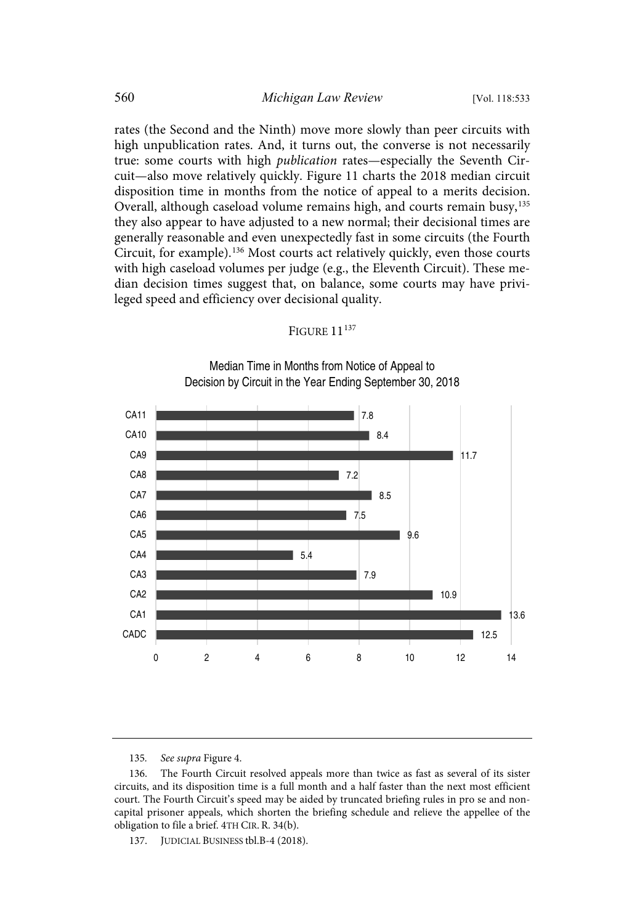rates (the Second and the Ninth) move more slowly than peer circuits with high unpublication rates. And, it turns out, the converse is not necessarily true: some courts with high *publication* rates—especially the Seventh Circuit—also move relatively quickly. Figure 11 charts the 2018 median circuit disposition time in months from the notice of appeal to a merits decision. Overall, although caseload volume remains high, and courts remain busy,<sup>135</sup> they also appear to have adjusted to a new normal; their decisional times are generally reasonable and even unexpectedly fast in some circuits (the Fourth Circuit, for example).<sup>136</sup> Most courts act relatively quickly, even those courts with high caseload volumes per judge (e.g., the Eleventh Circuit). These median decision times suggest that, on balance, some courts may have privileged speed and efficiency over decisional quality.

#### FIGURE 11<sup>137</sup>



Median Time in Months from Notice of Appeal to Decision by Circuit in the Year Ending September 30, 2018

135. See supra Figure 4.

137. JUDICIAL BUSINESS tbl.B-4 (2018).

<sup>136.</sup> The Fourth Circuit resolved appeals more than twice as fast as several of its sister circuits, and its disposition time is a full month and a half faster than the next most efficient court. The Fourth Circuit's speed may be aided by truncated briefing rules in pro se and noncapital prisoner appeals, which shorten the briefing schedule and relieve the appellee of the obligation to file a brief. 4TH CIR. R. 34(b).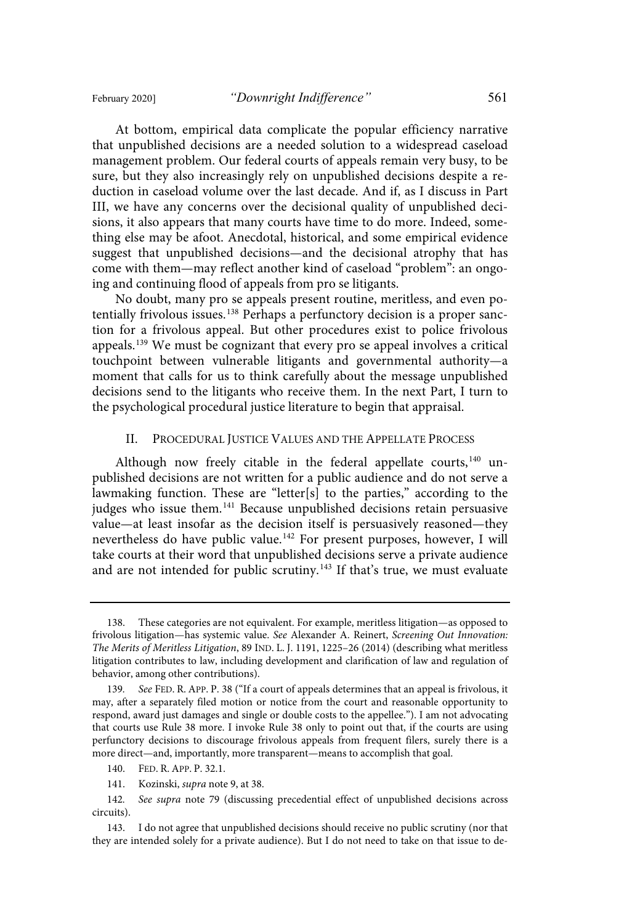At bottom, empirical data complicate the popular efficiency narrative that unpublished decisions are a needed solution to a widespread caseload management problem. Our federal courts of appeals remain very busy, to be sure, but they also increasingly rely on unpublished decisions despite a reduction in caseload volume over the last decade. And if, as I discuss in Part III, we have any concerns over the decisional quality of unpublished decisions, it also appears that many courts have time to do more. Indeed, something else may be afoot. Anecdotal, historical, and some empirical evidence suggest that unpublished decisions—and the decisional atrophy that has come with them—may reflect another kind of caseload "problem": an ongoing and continuing flood of appeals from pro se litigants.

No doubt, many pro se appeals present routine, meritless, and even potentially frivolous issues. <sup>138</sup> Perhaps a perfunctory decision is a proper sanction for a frivolous appeal. But other procedures exist to police frivolous appeals.<sup>139</sup> We must be cognizant that every pro se appeal involves a critical touchpoint between vulnerable litigants and governmental authority—a moment that calls for us to think carefully about the message unpublished decisions send to the litigants who receive them. In the next Part, I turn to the psychological procedural justice literature to begin that appraisal.

#### II. PROCEDURAL JUSTICE VALUES AND THE APPELLATE PROCESS

Although now freely citable in the federal appellate courts,<sup>140</sup> unpublished decisions are not written for a public audience and do not serve a lawmaking function. These are "letter[s] to the parties," according to the judges who issue them.<sup>141</sup> Because unpublished decisions retain persuasive value—at least insofar as the decision itself is persuasively reasoned—they nevertheless do have public value. <sup>142</sup> For present purposes, however, I will take courts at their word that unpublished decisions serve a private audience and are not intended for public scrutiny.<sup>143</sup> If that's true, we must evaluate

<sup>138.</sup> These categories are not equivalent. For example, meritless litigation—as opposed to frivolous litigation—has systemic value. See Alexander A. Reinert, Screening Out Innovation: The Merits of Meritless Litigation, 89 IND. L. J. 1191, 1225–26 (2014) (describing what meritless litigation contributes to law, including development and clarification of law and regulation of behavior, among other contributions).

<sup>139.</sup> See FED. R. APP. P. 38 ("If a court of appeals determines that an appeal is frivolous, it may, after a separately filed motion or notice from the court and reasonable opportunity to respond, award just damages and single or double costs to the appellee."). I am not advocating that courts use Rule 38 more. I invoke Rule 38 only to point out that, if the courts are using perfunctory decisions to discourage frivolous appeals from frequent filers, surely there is a more direct—and, importantly, more transparent—means to accomplish that goal.

<sup>140.</sup> FED. R. APP. P. 32.1.

<sup>141.</sup> Kozinski, supra note 9, at 38.

<sup>142.</sup> See supra note 79 (discussing precedential effect of unpublished decisions across circuits).

<sup>143.</sup> I do not agree that unpublished decisions should receive no public scrutiny (nor that they are intended solely for a private audience). But I do not need to take on that issue to de-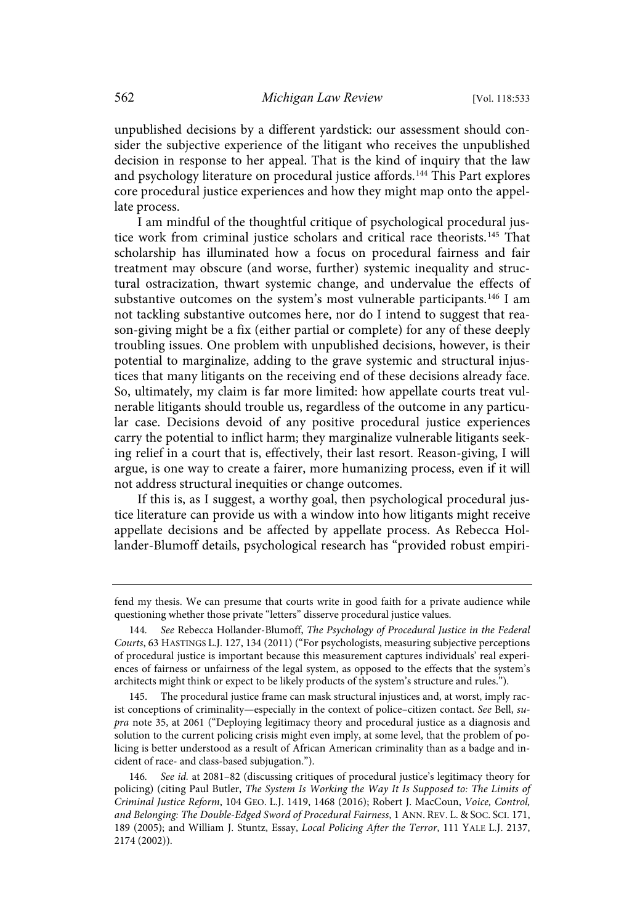unpublished decisions by a different yardstick: our assessment should consider the subjective experience of the litigant who receives the unpublished decision in response to her appeal. That is the kind of inquiry that the law and psychology literature on procedural justice affords.<sup>144</sup> This Part explores core procedural justice experiences and how they might map onto the appellate process.

I am mindful of the thoughtful critique of psychological procedural justice work from criminal justice scholars and critical race theorists.<sup>145</sup> That scholarship has illuminated how a focus on procedural fairness and fair treatment may obscure (and worse, further) systemic inequality and structural ostracization, thwart systemic change, and undervalue the effects of substantive outcomes on the system's most vulnerable participants.<sup>146</sup> I am not tackling substantive outcomes here, nor do I intend to suggest that reason-giving might be a fix (either partial or complete) for any of these deeply troubling issues. One problem with unpublished decisions, however, is their potential to marginalize, adding to the grave systemic and structural injustices that many litigants on the receiving end of these decisions already face. So, ultimately, my claim is far more limited: how appellate courts treat vulnerable litigants should trouble us, regardless of the outcome in any particular case. Decisions devoid of any positive procedural justice experiences carry the potential to inflict harm; they marginalize vulnerable litigants seeking relief in a court that is, effectively, their last resort. Reason-giving, I will argue, is one way to create a fairer, more humanizing process, even if it will not address structural inequities or change outcomes.

If this is, as I suggest, a worthy goal, then psychological procedural justice literature can provide us with a window into how litigants might receive appellate decisions and be affected by appellate process. As Rebecca Hollander-Blumoff details, psychological research has "provided robust empiri-

fend my thesis. We can presume that courts write in good faith for a private audience while questioning whether those private "letters" disserve procedural justice values.

<sup>144.</sup> See Rebecca Hollander-Blumoff, The Psychology of Procedural Justice in the Federal Courts, 63 HASTINGS L.J. 127, 134 (2011) ("For psychologists, measuring subjective perceptions of procedural justice is important because this measurement captures individuals' real experiences of fairness or unfairness of the legal system, as opposed to the effects that the system's architects might think or expect to be likely products of the system's structure and rules.").

<sup>145.</sup> The procedural justice frame can mask structural injustices and, at worst, imply racist conceptions of criminality—especially in the context of police–citizen contact. See Bell, supra note 35, at 2061 ("Deploying legitimacy theory and procedural justice as a diagnosis and solution to the current policing crisis might even imply, at some level, that the problem of policing is better understood as a result of African American criminality than as a badge and incident of race- and class-based subjugation.").

<sup>146.</sup> See id. at 2081-82 (discussing critiques of procedural justice's legitimacy theory for policing) (citing Paul Butler, The System Is Working the Way It Is Supposed to: The Limits of Criminal Justice Reform, 104 GEO. L.J. 1419, 1468 (2016); Robert J. MacCoun, Voice, Control, and Belonging: The Double-Edged Sword of Procedural Fairness, 1 ANN. REV. L. & SOC. SCI. 171, 189 (2005); and William J. Stuntz, Essay, Local Policing After the Terror, 111 YALE L.J. 2137, 2174 (2002)).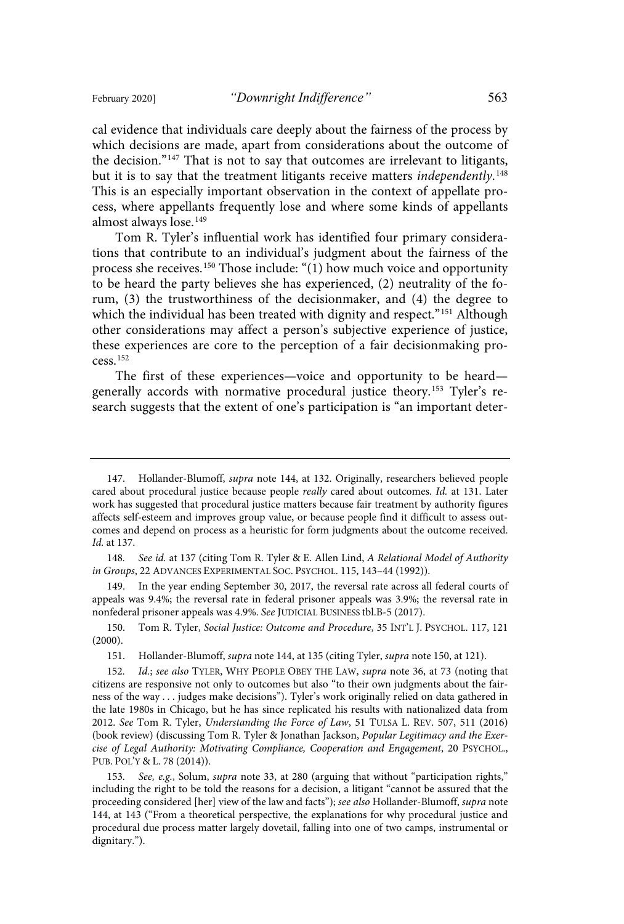cal evidence that individuals care deeply about the fairness of the process by which decisions are made, apart from considerations about the outcome of the decision."<sup>147</sup> That is not to say that outcomes are irrelevant to litigants, but it is to say that the treatment litigants receive matters independently.<sup>148</sup> This is an especially important observation in the context of appellate process, where appellants frequently lose and where some kinds of appellants almost always lose.<sup>149</sup>

Tom R. Tyler's influential work has identified four primary considerations that contribute to an individual's judgment about the fairness of the process she receives.<sup>150</sup> Those include: "(1) how much voice and opportunity to be heard the party believes she has experienced, (2) neutrality of the forum, (3) the trustworthiness of the decisionmaker, and (4) the degree to which the individual has been treated with dignity and respect."<sup>151</sup> Although other considerations may affect a person's subjective experience of justice, these experiences are core to the perception of a fair decisionmaking process.<sup>152</sup>

The first of these experiences—voice and opportunity to be heard generally accords with normative procedural justice theory.<sup>153</sup> Tyler's research suggests that the extent of one's participation is "an important deter-

149. In the year ending September 30, 2017, the reversal rate across all federal courts of appeals was 9.4%; the reversal rate in federal prisoner appeals was 3.9%; the reversal rate in nonfederal prisoner appeals was 4.9%. See JUDICIAL BUSINESS tbl.B-5 (2017).

150. Tom R. Tyler, Social Justice: Outcome and Procedure, 35 INT'L J. PSYCHOL. 117, 121 (2000).

<sup>147.</sup> Hollander-Blumoff, supra note 144, at 132. Originally, researchers believed people cared about procedural justice because people really cared about outcomes. Id. at 131. Later work has suggested that procedural justice matters because fair treatment by authority figures affects self-esteem and improves group value, or because people find it difficult to assess outcomes and depend on process as a heuristic for form judgments about the outcome received. Id. at 137.

<sup>148.</sup> See id. at 137 (citing Tom R. Tyler & E. Allen Lind, A Relational Model of Authority in Groups, 22 ADVANCES EXPERIMENTAL SOC. PSYCHOL. 115, 143–44 (1992)).

<sup>151.</sup> Hollander-Blumoff, supra note 144, at 135 (citing Tyler, supra note 150, at 121).

<sup>152.</sup> Id.; see also TYLER, WHY PEOPLE OBEY THE LAW, supra note 36, at 73 (noting that citizens are responsive not only to outcomes but also "to their own judgments about the fairness of the way . . . judges make decisions"). Tyler's work originally relied on data gathered in the late 1980s in Chicago, but he has since replicated his results with nationalized data from 2012. See Tom R. Tyler, Understanding the Force of Law, 51 TULSA L. REV. 507, 511 (2016) (book review) (discussing Tom R. Tyler & Jonathan Jackson, Popular Legitimacy and the Exercise of Legal Authority: Motivating Compliance, Cooperation and Engagement, 20 PSYCHOL., PUB. POL'Y & L. 78 (2014)).

<sup>153.</sup> See, e.g., Solum, supra note 33, at 280 (arguing that without "participation rights," including the right to be told the reasons for a decision, a litigant "cannot be assured that the proceeding considered [her] view of the law and facts"); see also Hollander-Blumoff, supra note 144, at 143 ("From a theoretical perspective, the explanations for why procedural justice and procedural due process matter largely dovetail, falling into one of two camps, instrumental or dignitary.").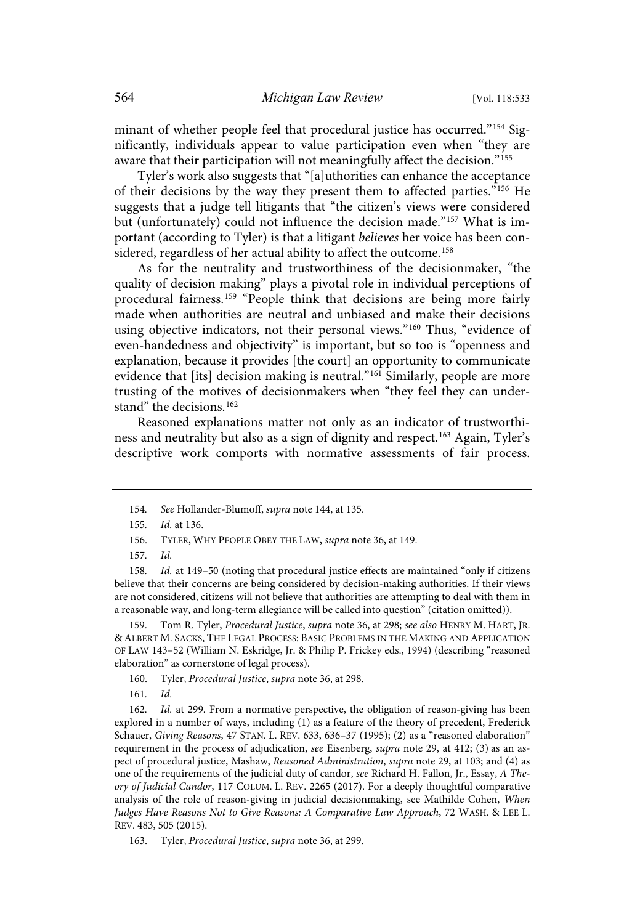minant of whether people feel that procedural justice has occurred."<sup>154</sup> Significantly, individuals appear to value participation even when "they are aware that their participation will not meaningfully affect the decision."<sup>155</sup>

Tyler's work also suggests that "[a]uthorities can enhance the acceptance of their decisions by the way they present them to affected parties."<sup>156</sup> He suggests that a judge tell litigants that "the citizen's views were considered but (unfortunately) could not influence the decision made."<sup>157</sup> What is important (according to Tyler) is that a litigant believes her voice has been considered, regardless of her actual ability to affect the outcome.<sup>158</sup>

As for the neutrality and trustworthiness of the decisionmaker, "the quality of decision making" plays a pivotal role in individual perceptions of procedural fairness.<sup>159</sup> "People think that decisions are being more fairly made when authorities are neutral and unbiased and make their decisions using objective indicators, not their personal views."<sup>160</sup> Thus, "evidence of even-handedness and objectivity" is important, but so too is "openness and explanation, because it provides [the court] an opportunity to communicate evidence that [its] decision making is neutral." <sup>161</sup> Similarly, people are more trusting of the motives of decisionmakers when "they feel they can understand" the decisions.<sup>162</sup>

Reasoned explanations matter not only as an indicator of trustworthiness and neutrality but also as a sign of dignity and respect.<sup>163</sup> Again, Tyler's descriptive work comports with normative assessments of fair process.

Tom R. Tyler, Procedural Justice, supra note 36, at 298; see also HENRY M. HART, JR. & ALBERT M. SACKS, THE LEGAL PROCESS: BASIC PROBLEMS IN THE MAKING AND APPLICATION OF LAW 143–52 (William N. Eskridge, Jr. & Philip P. Frickey eds., 1994) (describing "reasoned elaboration" as cornerstone of legal process).

<sup>154.</sup> See Hollander-Blumoff, supra note 144, at 135.

<sup>155.</sup> *Id.* at 136.

<sup>156.</sup> TYLER, WHY PEOPLE OBEY THE LAW, supra note 36, at 149.

<sup>157.</sup> Id.

<sup>158.</sup> Id. at 149-50 (noting that procedural justice effects are maintained "only if citizens believe that their concerns are being considered by decision-making authorities. If their views are not considered, citizens will not believe that authorities are attempting to deal with them in a reasonable way, and long-term allegiance will be called into question" (citation omitted)).

<sup>160.</sup> Tyler, Procedural Justice, supra note 36, at 298.

 $161.$   $Id.$ 

<sup>162.</sup> Id. at 299. From a normative perspective, the obligation of reason-giving has been explored in a number of ways, including (1) as a feature of the theory of precedent, Frederick Schauer, Giving Reasons, 47 STAN. L. REV. 633, 636–37 (1995); (2) as a "reasoned elaboration" requirement in the process of adjudication, see Eisenberg, supra note 29, at 412; (3) as an aspect of procedural justice, Mashaw, Reasoned Administration, supra note 29, at 103; and (4) as one of the requirements of the judicial duty of candor, see Richard H. Fallon, Jr., Essay, A Theory of Judicial Candor, 117 COLUM. L. REV. 2265 (2017). For a deeply thoughtful comparative analysis of the role of reason-giving in judicial decisionmaking, see Mathilde Cohen, When Judges Have Reasons Not to Give Reasons: A Comparative Law Approach, 72 WASH. & LEE L. REV. 483, 505 (2015).

<sup>163.</sup> Tyler, Procedural Justice, supra note 36, at 299.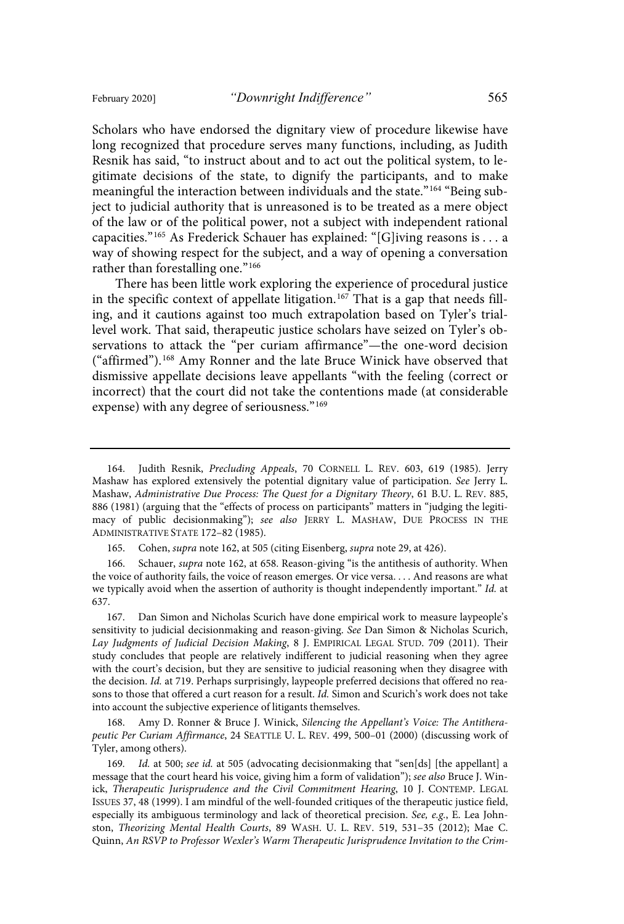Scholars who have endorsed the dignitary view of procedure likewise have long recognized that procedure serves many functions, including, as Judith Resnik has said, "to instruct about and to act out the political system, to legitimate decisions of the state, to dignify the participants, and to make meaningful the interaction between individuals and the state." <sup>164</sup> "Being subject to judicial authority that is unreasoned is to be treated as a mere object of the law or of the political power, not a subject with independent rational capacities." <sup>165</sup> As Frederick Schauer has explained: "[G]iving reasons is . . . a way of showing respect for the subject, and a way of opening a conversation rather than forestalling one."<sup>166</sup>

There has been little work exploring the experience of procedural justice in the specific context of appellate litigation.<sup>167</sup> That is a gap that needs filling, and it cautions against too much extrapolation based on Tyler's triallevel work. That said, therapeutic justice scholars have seized on Tyler's observations to attack the "per curiam affirmance"—the one-word decision ("affirmed"). <sup>168</sup> Amy Ronner and the late Bruce Winick have observed that dismissive appellate decisions leave appellants "with the feeling (correct or incorrect) that the court did not take the contentions made (at considerable expense) with any degree of seriousness."<sup>169</sup>

166. Schauer, supra note 162, at 658. Reason-giving "is the antithesis of authority. When the voice of authority fails, the voice of reason emerges. Or vice versa. . . . And reasons are what we typically avoid when the assertion of authority is thought independently important." Id. at 637.

167. Dan Simon and Nicholas Scurich have done empirical work to measure laypeople's sensitivity to judicial decisionmaking and reason-giving. See Dan Simon & Nicholas Scurich, Lay Judgments of Judicial Decision Making, 8 J. EMPIRICAL LEGAL STUD. 709 (2011). Their study concludes that people are relatively indifferent to judicial reasoning when they agree with the court's decision, but they are sensitive to judicial reasoning when they disagree with the decision. Id. at 719. Perhaps surprisingly, laypeople preferred decisions that offered no reasons to those that offered a curt reason for a result. Id. Simon and Scurich's work does not take into account the subjective experience of litigants themselves.

168. Amy D. Ronner & Bruce J. Winick, Silencing the Appellant's Voice: The Antitherapeutic Per Curiam Affirmance, 24 SEATTLE U. L. REV. 499, 500–01 (2000) (discussing work of Tyler, among others).

169. Id. at 500; see id. at 505 (advocating decisionmaking that "sen[ds] [the appellant] a message that the court heard his voice, giving him a form of validation"); see also Bruce J. Winick, Therapeutic Jurisprudence and the Civil Commitment Hearing, 10 J. CONTEMP. LEGAL ISSUES 37, 48 (1999). I am mindful of the well-founded critiques of the therapeutic justice field, especially its ambiguous terminology and lack of theoretical precision. See,  $e.g., E.$  Lea Johnston, Theorizing Mental Health Courts, 89 WASH. U. L. REV. 519, 531–35 (2012); Mae C. Quinn, An RSVP to Professor Wexler's Warm Therapeutic Jurisprudence Invitation to the Crim-

<sup>164.</sup> Judith Resnik, Precluding Appeals, 70 CORNELL L. REV. 603, 619 (1985). Jerry Mashaw has explored extensively the potential dignitary value of participation. See Jerry L. Mashaw, Administrative Due Process: The Quest for a Dignitary Theory, 61 B.U. L. REV. 885, 886 (1981) (arguing that the "effects of process on participants" matters in "judging the legitimacy of public decisionmaking"); see also JERRY L. MASHAW, DUE PROCESS IN THE ADMINISTRATIVE STATE 172–82 (1985).

<sup>165.</sup> Cohen, *supra* note 162, at 505 (citing Eisenberg, *supra* note 29, at 426).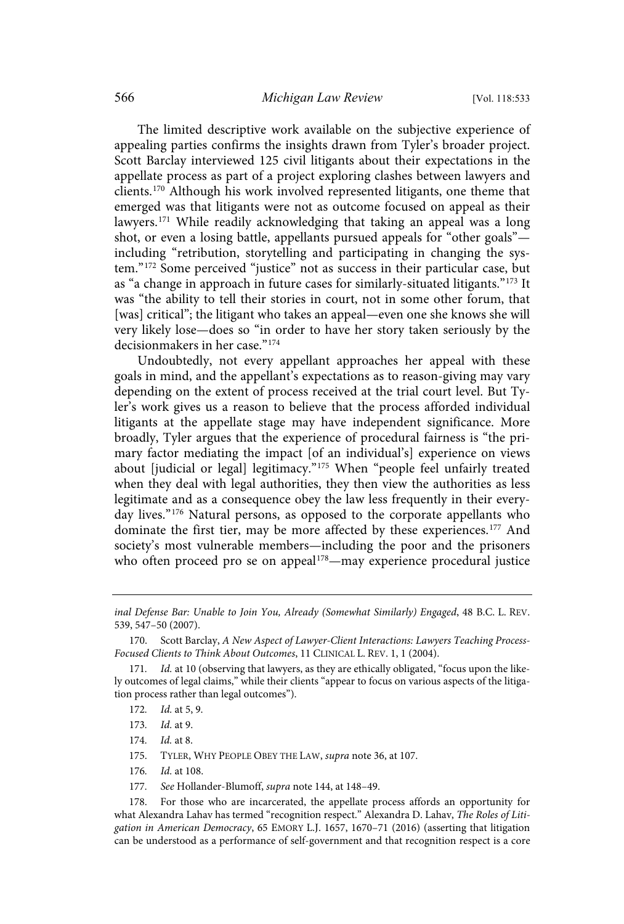The limited descriptive work available on the subjective experience of appealing parties confirms the insights drawn from Tyler's broader project. Scott Barclay interviewed 125 civil litigants about their expectations in the appellate process as part of a project exploring clashes between lawyers and clients.<sup>170</sup> Although his work involved represented litigants, one theme that emerged was that litigants were not as outcome focused on appeal as their lawyers.<sup>171</sup> While readily acknowledging that taking an appeal was a long shot, or even a losing battle, appellants pursued appeals for "other goals" including "retribution, storytelling and participating in changing the system." <sup>172</sup> Some perceived "justice" not as success in their particular case, but as "a change in approach in future cases for similarly-situated litigants."<sup>173</sup> It was "the ability to tell their stories in court, not in some other forum, that [was] critical"; the litigant who takes an appeal—even one she knows she will very likely lose—does so "in order to have her story taken seriously by the decisionmakers in her case."<sup>174</sup>

Undoubtedly, not every appellant approaches her appeal with these goals in mind, and the appellant's expectations as to reason-giving may vary depending on the extent of process received at the trial court level. But Tyler's work gives us a reason to believe that the process afforded individual litigants at the appellate stage may have independent significance. More broadly, Tyler argues that the experience of procedural fairness is "the primary factor mediating the impact [of an individual's] experience on views about [judicial or legal] legitimacy."<sup>175</sup> When "people feel unfairly treated when they deal with legal authorities, they then view the authorities as less legitimate and as a consequence obey the law less frequently in their everyday lives."<sup>176</sup> Natural persons, as opposed to the corporate appellants who dominate the first tier, may be more affected by these experiences.<sup>177</sup> And society's most vulnerable members—including the poor and the prisoners who often proceed pro se on appeal $178$ —may experience procedural justice

- 174. *Id.* at 8.
- 175. TYLER, WHY PEOPLE OBEY THE LAW, supra note 36, at 107.
- 176. Id. at 108.
- 177. See Hollander-Blumoff, supra note 144, at 148-49.

inal Defense Bar: Unable to Join You, Already (Somewhat Similarly) Engaged, 48 B.C. L. REV. 539, 547–50 (2007).

<sup>170.</sup> Scott Barclay, A New Aspect of Lawyer-Client Interactions: Lawyers Teaching Process-Focused Clients to Think About Outcomes, 11 CLINICAL L. REV. 1, 1 (2004).

<sup>171.</sup> Id. at 10 (observing that lawyers, as they are ethically obligated, "focus upon the likely outcomes of legal claims," while their clients "appear to focus on various aspects of the litigation process rather than legal outcomes").

<sup>172.</sup> *Id.* at 5, 9.

<sup>173.</sup> *Id.* at 9.

<sup>178.</sup> For those who are incarcerated, the appellate process affords an opportunity for what Alexandra Lahav has termed "recognition respect." Alexandra D. Lahav, The Roles of Litigation in American Democracy, 65 EMORY L.J. 1657, 1670–71 (2016) (asserting that litigation can be understood as a performance of self-government and that recognition respect is a core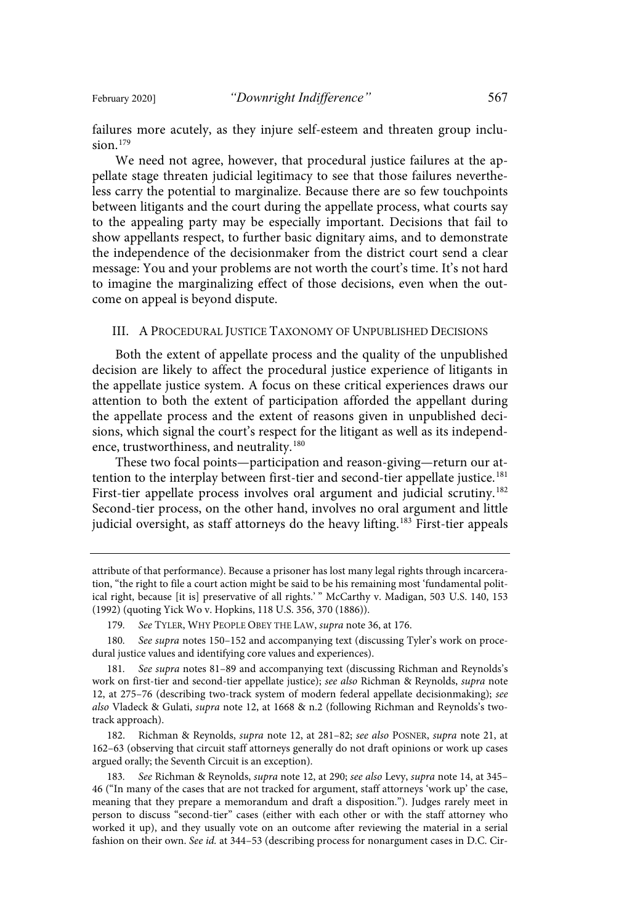failures more acutely, as they injure self-esteem and threaten group inclusion. 179

We need not agree, however, that procedural justice failures at the appellate stage threaten judicial legitimacy to see that those failures nevertheless carry the potential to marginalize. Because there are so few touchpoints between litigants and the court during the appellate process, what courts say to the appealing party may be especially important. Decisions that fail to show appellants respect, to further basic dignitary aims, and to demonstrate the independence of the decisionmaker from the district court send a clear message: You and your problems are not worth the court's time. It's not hard to imagine the marginalizing effect of those decisions, even when the outcome on appeal is beyond dispute.

#### III. A PROCEDURAL JUSTICE TAXONOMY OF UNPUBLISHED DECISIONS

Both the extent of appellate process and the quality of the unpublished decision are likely to affect the procedural justice experience of litigants in the appellate justice system. A focus on these critical experiences draws our attention to both the extent of participation afforded the appellant during the appellate process and the extent of reasons given in unpublished decisions, which signal the court's respect for the litigant as well as its independence, trustworthiness, and neutrality.<sup>180</sup>

These two focal points—participation and reason-giving—return our attention to the interplay between first-tier and second-tier appellate justice. 181 First-tier appellate process involves oral argument and judicial scrutiny.<sup>182</sup> Second-tier process, on the other hand, involves no oral argument and little judicial oversight, as staff attorneys do the heavy lifting. <sup>183</sup> First-tier appeals

179. See TYLER, WHY PEOPLE OBEY THE LAW, supra note 36, at 176.

180. See supra notes 150-152 and accompanying text (discussing Tyler's work on procedural justice values and identifying core values and experiences).

181. See supra notes 81-89 and accompanying text (discussing Richman and Reynolds's work on first-tier and second-tier appellate justice); see also Richman & Reynolds, supra note 12, at 275–76 (describing two-track system of modern federal appellate decisionmaking); see also Vladeck & Gulati, supra note 12, at 1668 & n.2 (following Richman and Reynolds's twotrack approach).

182. Richman & Reynolds, supra note 12, at 281–82; see also POSNER, supra note 21, at 162–63 (observing that circuit staff attorneys generally do not draft opinions or work up cases argued orally; the Seventh Circuit is an exception).

183. See Richman & Reynolds, supra note 12, at 290; see also Levy, supra note 14, at 345-46 ("In many of the cases that are not tracked for argument, staff attorneys 'work up' the case, meaning that they prepare a memorandum and draft a disposition."). Judges rarely meet in person to discuss "second-tier" cases (either with each other or with the staff attorney who worked it up), and they usually vote on an outcome after reviewing the material in a serial fashion on their own. See id. at 344-53 (describing process for nonargument cases in D.C. Cir-

attribute of that performance). Because a prisoner has lost many legal rights through incarceration, "the right to file a court action might be said to be his remaining most 'fundamental political right, because [it is] preservative of all rights.'" McCarthy v. Madigan, 503 U.S. 140, 153 (1992) (quoting Yick Wo v. Hopkins, 118 U.S. 356, 370 (1886)).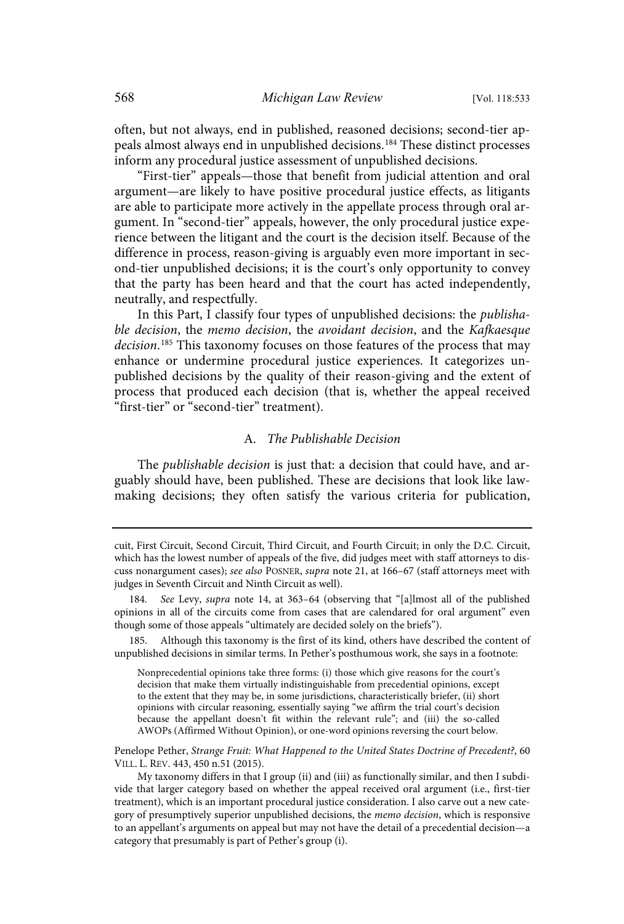often, but not always, end in published, reasoned decisions; second-tier appeals almost always end in unpublished decisions.<sup>184</sup> These distinct processes inform any procedural justice assessment of unpublished decisions.

"First-tier" appeals—those that benefit from judicial attention and oral argument—are likely to have positive procedural justice effects, as litigants are able to participate more actively in the appellate process through oral argument. In "second-tier" appeals, however, the only procedural justice experience between the litigant and the court is the decision itself. Because of the difference in process, reason-giving is arguably even more important in second-tier unpublished decisions; it is the court's only opportunity to convey that the party has been heard and that the court has acted independently, neutrally, and respectfully.

In this Part, I classify four types of unpublished decisions: the publishable decision, the memo decision, the avoidant decision, and the Kafkaesque decision.<sup>185</sup> This taxonomy focuses on those features of the process that may enhance or undermine procedural justice experiences. It categorizes unpublished decisions by the quality of their reason-giving and the extent of process that produced each decision (that is, whether the appeal received "first-tier" or "second-tier" treatment).

### A. The Publishable Decision

The *publishable decision* is just that: a decision that could have, and arguably should have, been published. These are decisions that look like lawmaking decisions; they often satisfy the various criteria for publication,

185. Although this taxonomy is the first of its kind, others have described the content of unpublished decisions in similar terms. In Pether's posthumous work, she says in a footnote:

Nonprecedential opinions take three forms: (i) those which give reasons for the court's decision that make them virtually indistinguishable from precedential opinions, except to the extent that they may be, in some jurisdictions, characteristically briefer, (ii) short opinions with circular reasoning, essentially saying "we affirm the trial court's decision because the appellant doesn't fit within the relevant rule"; and (iii) the so-called AWOPs (Affirmed Without Opinion), or one-word opinions reversing the court below.

Penelope Pether, Strange Fruit: What Happened to the United States Doctrine of Precedent?, 60 VILL. L. REV. 443, 450 n.51 (2015).

My taxonomy differs in that I group (ii) and (iii) as functionally similar, and then I subdivide that larger category based on whether the appeal received oral argument (i.e., first-tier treatment), which is an important procedural justice consideration. I also carve out a new category of presumptively superior unpublished decisions, the memo decision, which is responsive to an appellant's arguments on appeal but may not have the detail of a precedential decision—a category that presumably is part of Pether's group (i).

cuit, First Circuit, Second Circuit, Third Circuit, and Fourth Circuit; in only the D.C. Circuit, which has the lowest number of appeals of the five, did judges meet with staff attorneys to discuss nonargument cases); see also POSNER, supra note 21, at 166-67 (staff attorneys meet with judges in Seventh Circuit and Ninth Circuit as well).

<sup>184.</sup> See Levy, supra note 14, at 363-64 (observing that "[a]lmost all of the published opinions in all of the circuits come from cases that are calendared for oral argument" even though some of those appeals "ultimately are decided solely on the briefs").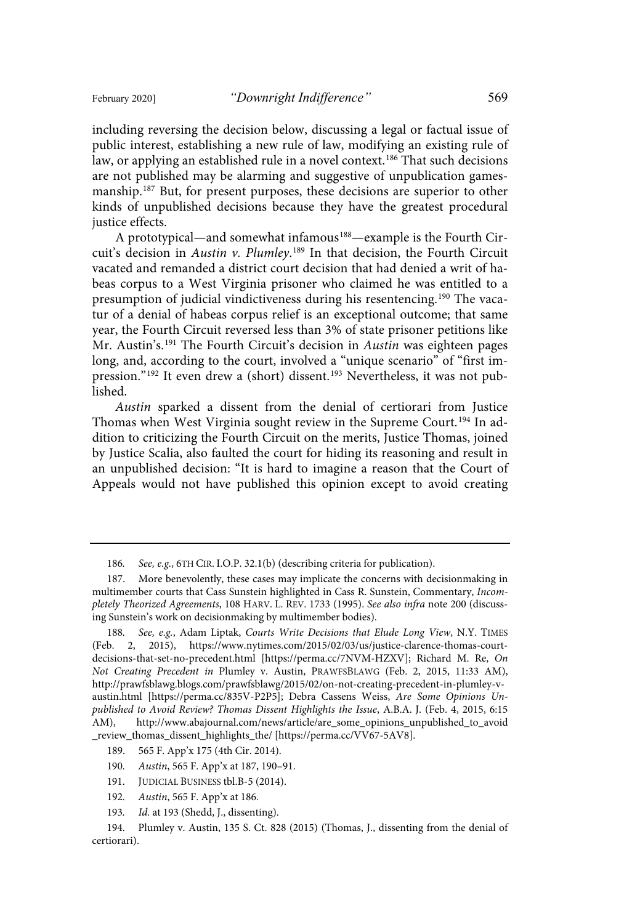including reversing the decision below, discussing a legal or factual issue of public interest, establishing a new rule of law, modifying an existing rule of law, or applying an established rule in a novel context.<sup>186</sup> That such decisions are not published may be alarming and suggestive of unpublication gamesmanship.<sup>187</sup> But, for present purposes, these decisions are superior to other kinds of unpublished decisions because they have the greatest procedural justice effects.

A prototypical—and somewhat infamous<sup>188</sup>—example is the Fourth Circuit's decision in Austin v. Plumley.<sup>189</sup> In that decision, the Fourth Circuit vacated and remanded a district court decision that had denied a writ of habeas corpus to a West Virginia prisoner who claimed he was entitled to a presumption of judicial vindictiveness during his resentencing.<sup>190</sup> The vacatur of a denial of habeas corpus relief is an exceptional outcome; that same year, the Fourth Circuit reversed less than 3% of state prisoner petitions like Mr. Austin's.<sup>191</sup> The Fourth Circuit's decision in Austin was eighteen pages long, and, according to the court, involved a "unique scenario" of "first impression."<sup>192</sup> It even drew a (short) dissent.<sup>193</sup> Nevertheless, it was not published.

Austin sparked a dissent from the denial of certiorari from Justice Thomas when West Virginia sought review in the Supreme Court.<sup>194</sup> In addition to criticizing the Fourth Circuit on the merits, Justice Thomas, joined by Justice Scalia, also faulted the court for hiding its reasoning and result in an unpublished decision: "It is hard to imagine a reason that the Court of Appeals would not have published this opinion except to avoid creating

- 189. 565 F. App'x 175 (4th Cir. 2014).
- 190. Austin, 565 F. App'x at 187, 190-91.

193. Id. at 193 (Shedd, J., dissenting).

<sup>186.</sup> See, e.g., 6TH CIR. I.O.P. 32.1(b) (describing criteria for publication).

<sup>187.</sup> More benevolently, these cases may implicate the concerns with decisionmaking in multimember courts that Cass Sunstein highlighted in Cass R. Sunstein, Commentary, Incompletely Theorized Agreements, 108 HARV. L. REV. 1733 (1995). See also infra note 200 (discussing Sunstein's work on decisionmaking by multimember bodies).

<sup>188.</sup> See, e.g., Adam Liptak, Courts Write Decisions that Elude Long View, N.Y. TIMES (Feb. 2, 2015), https://www.nytimes.com/2015/02/03/us/justice-clarence-thomas-courtdecisions-that-set-no-precedent.html [https://perma.cc/7NVM-HZXV]; Richard M. Re, On Not Creating Precedent in Plumley v. Austin, PRAWFSBLAWG (Feb. 2, 2015, 11:33 AM), http://prawfsblawg.blogs.com/prawfsblawg/2015/02/on-not-creating-precedent-in-plumley-vaustin.html [https://perma.cc/835V-P2P5]; Debra Cassens Weiss, Are Some Opinions Unpublished to Avoid Review? Thomas Dissent Highlights the Issue, A.B.A. J. (Feb. 4, 2015, 6:15 AM), http://www.abajournal.com/news/article/are\_some\_opinions\_unpublished\_to\_avoid \_review\_thomas\_dissent\_highlights\_the/ [https://perma.cc/VV67-5AV8].

<sup>191.</sup> JUDICIAL BUSINESS tbl.B-5 (2014).

<sup>192.</sup> Austin, 565 F. App'x at 186.

<sup>194.</sup> Plumley v. Austin, 135 S. Ct. 828 (2015) (Thomas, J., dissenting from the denial of certiorari).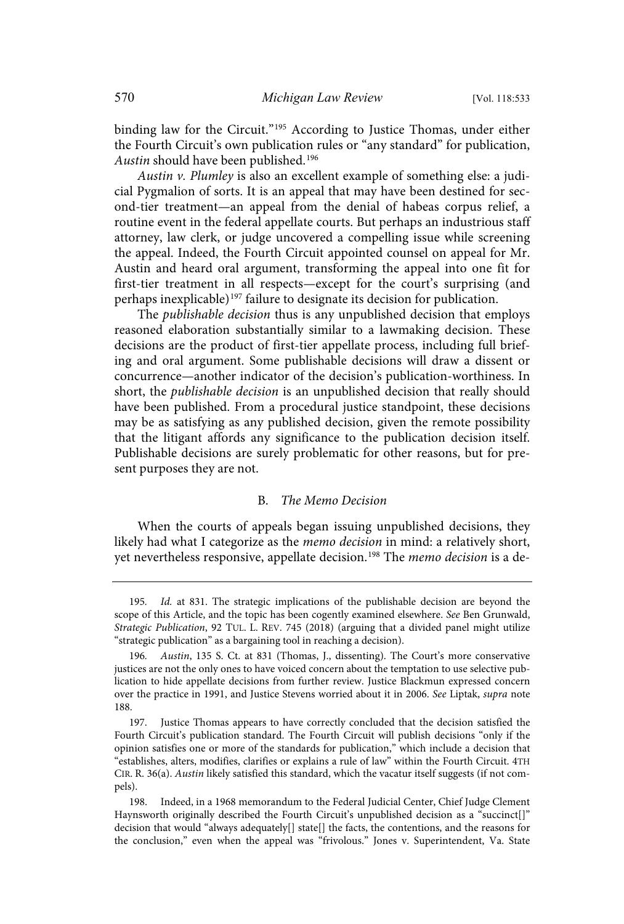binding law for the Circuit."<sup>195</sup> According to Justice Thomas, under either the Fourth Circuit's own publication rules or "any standard" for publication, Austin should have been published.<sup>196</sup>

Austin v. Plumley is also an excellent example of something else: a judicial Pygmalion of sorts. It is an appeal that may have been destined for second-tier treatment—an appeal from the denial of habeas corpus relief, a routine event in the federal appellate courts. But perhaps an industrious staff attorney, law clerk, or judge uncovered a compelling issue while screening the appeal. Indeed, the Fourth Circuit appointed counsel on appeal for Mr. Austin and heard oral argument, transforming the appeal into one fit for first-tier treatment in all respects—except for the court's surprising (and perhaps inexplicable) 197 failure to designate its decision for publication.

The *publishable decision* thus is any unpublished decision that employs reasoned elaboration substantially similar to a lawmaking decision. These decisions are the product of first-tier appellate process, including full briefing and oral argument. Some publishable decisions will draw a dissent or concurrence—another indicator of the decision's publication-worthiness. In short, the publishable decision is an unpublished decision that really should have been published. From a procedural justice standpoint, these decisions may be as satisfying as any published decision, given the remote possibility that the litigant affords any significance to the publication decision itself. Publishable decisions are surely problematic for other reasons, but for present purposes they are not.

### B. The Memo Decision

When the courts of appeals began issuing unpublished decisions, they likely had what I categorize as the memo decision in mind: a relatively short, yet nevertheless responsive, appellate decision.<sup>198</sup> The *memo decision* is a de-

<sup>195.</sup> Id. at 831. The strategic implications of the publishable decision are beyond the scope of this Article, and the topic has been cogently examined elsewhere. See Ben Grunwald, Strategic Publication, 92 TUL. L. REV. 745 (2018) (arguing that a divided panel might utilize "strategic publication" as a bargaining tool in reaching a decision).

<sup>196.</sup> Austin, 135 S. Ct. at 831 (Thomas, J., dissenting). The Court's more conservative justices are not the only ones to have voiced concern about the temptation to use selective publication to hide appellate decisions from further review. Justice Blackmun expressed concern over the practice in 1991, and Justice Stevens worried about it in 2006. See Liptak, supra note 188.

<sup>197.</sup> Justice Thomas appears to have correctly concluded that the decision satisfied the Fourth Circuit's publication standard. The Fourth Circuit will publish decisions "only if the opinion satisfies one or more of the standards for publication," which include a decision that "establishes, alters, modifies, clarifies or explains a rule of law" within the Fourth Circuit. 4TH CIR. R. 36(a). Austin likely satisfied this standard, which the vacatur itself suggests (if not compels).

<sup>198.</sup> Indeed, in a 1968 memorandum to the Federal Judicial Center, Chief Judge Clement Haynsworth originally described the Fourth Circuit's unpublished decision as a "succinct[]" decision that would "always adequately[] state[] the facts, the contentions, and the reasons for the conclusion," even when the appeal was "frivolous." Jones v. Superintendent, Va. State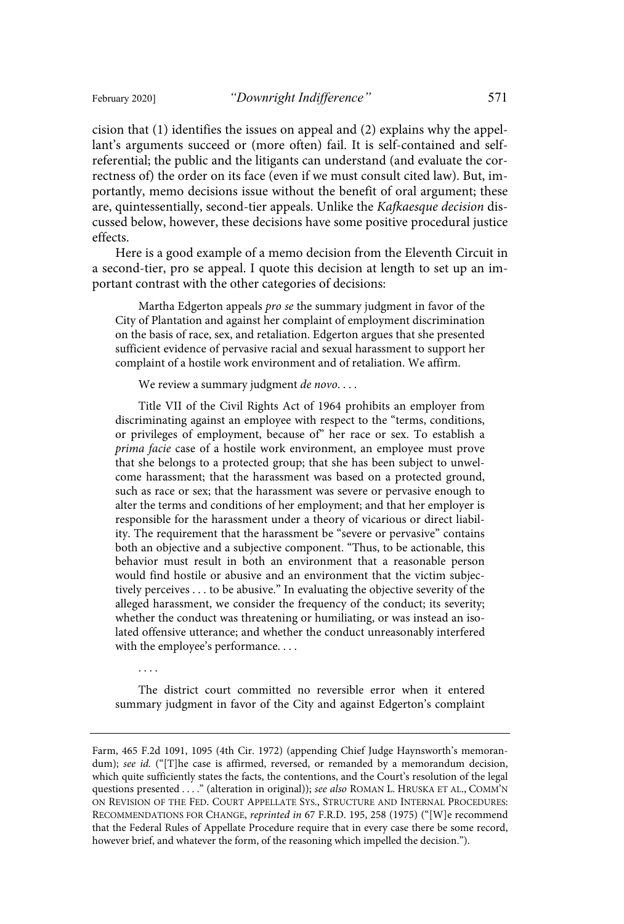cision that (1) identifies the issues on appeal and (2) explains why the appellant's arguments succeed or (more often) fail. It is self-contained and selfreferential; the public and the litigants can understand (and evaluate the correctness of) the order on its face (even if we must consult cited law). But, importantly, memo decisions issue without the benefit of oral argument; these are, quintessentially, second-tier appeals. Unlike the Kafkaesque decision discussed below, however, these decisions have some positive procedural justice effects.

Here is a good example of a memo decision from the Eleventh Circuit in a second-tier, pro se appeal. I quote this decision at length to set up an important contrast with the other categories of decisions:

Martha Edgerton appeals pro se the summary judgment in favor of the City of Plantation and against her complaint of employment discrimination on the basis of race, sex, and retaliation. Edgerton argues that she presented sufficient evidence of pervasive racial and sexual harassment to support her complaint of a hostile work environment and of retaliation. We affirm.

We review a summary judgment *de novo*....

Title VII of the Civil Rights Act of 1964 prohibits an employer from discriminating against an employee with respect to the "terms, conditions, or privileges of employment, because of" her race or sex. To establish a prima facie case of a hostile work environment, an employee must prove that she belongs to a protected group; that she has been subject to unwelcome harassment; that the harassment was based on a protected ground, such as race or sex; that the harassment was severe or pervasive enough to alter the terms and conditions of her employment; and that her employer is responsible for the harassment under a theory of vicarious or direct liability. The requirement that the harassment be "severe or pervasive" contains both an objective and a subjective component. "Thus, to be actionable, this behavior must result in both an environment that a reasonable person would find hostile or abusive and an environment that the victim subjectively perceives . . . to be abusive." In evaluating the objective severity of the alleged harassment, we consider the frequency of the conduct; its severity; whether the conduct was threatening or humiliating, or was instead an isolated offensive utterance; and whether the conduct unreasonably interfered with the employee's performance....

. . . .

The district court committed no reversible error when it entered summary judgment in favor of the City and against Edgerton's complaint

Farm, 465 F.2d 1091, 1095 (4th Cir. 1972) (appending Chief Judge Haynsworth's memorandum); see id. ("[T]he case is affirmed, reversed, or remanded by a memorandum decision, which quite sufficiently states the facts, the contentions, and the Court's resolution of the legal questions presented . . . . " (alteration in original)); see also ROMAN L. HRUSKA ET AL., COMM'N ON REVISION OF THE FED. COURT APPELLATE SYS., STRUCTURE AND INTERNAL PROCEDURES: RECOMMENDATIONS FOR CHANGE, reprinted in 67 F.R.D. 195, 258 (1975) ("[W]e recommend that the Federal Rules of Appellate Procedure require that in every case there be some record, however brief, and whatever the form, of the reasoning which impelled the decision.").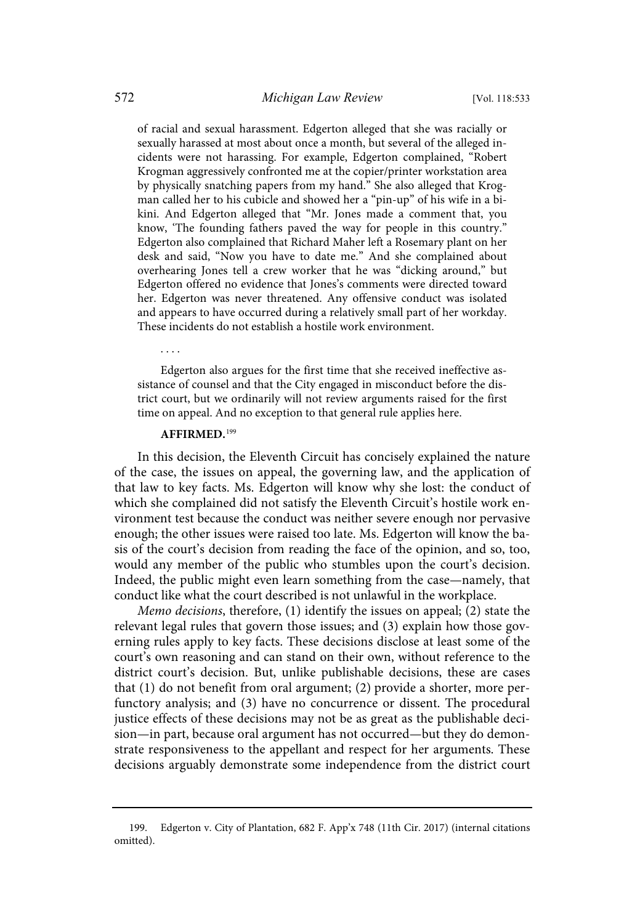of racial and sexual harassment. Edgerton alleged that she was racially or sexually harassed at most about once a month, but several of the alleged incidents were not harassing. For example, Edgerton complained, "Robert Krogman aggressively confronted me at the copier/printer workstation area by physically snatching papers from my hand." She also alleged that Krogman called her to his cubicle and showed her a "pin-up" of his wife in a bikini. And Edgerton alleged that "Mr. Jones made a comment that, you know, 'The founding fathers paved the way for people in this country." Edgerton also complained that Richard Maher left a Rosemary plant on her desk and said, "Now you have to date me." And she complained about overhearing Jones tell a crew worker that he was "dicking around," but Edgerton offered no evidence that Jones's comments were directed toward her. Edgerton was never threatened. Any offensive conduct was isolated and appears to have occurred during a relatively small part of her workday. These incidents do not establish a hostile work environment.

Edgerton also argues for the first time that she received ineffective assistance of counsel and that the City engaged in misconduct before the district court, but we ordinarily will not review arguments raised for the first time on appeal. And no exception to that general rule applies here.

### **AFFIRMED.**<sup>199</sup>

In this decision, the Eleventh Circuit has concisely explained the nature of the case, the issues on appeal, the governing law, and the application of that law to key facts. Ms. Edgerton will know why she lost: the conduct of which she complained did not satisfy the Eleventh Circuit's hostile work environment test because the conduct was neither severe enough nor pervasive enough; the other issues were raised too late. Ms. Edgerton will know the basis of the court's decision from reading the face of the opinion, and so, too, would any member of the public who stumbles upon the court's decision. Indeed, the public might even learn something from the case—namely, that conduct like what the court described is not unlawful in the workplace.

Memo decisions, therefore, (1) identify the issues on appeal; (2) state the relevant legal rules that govern those issues; and (3) explain how those governing rules apply to key facts. These decisions disclose at least some of the court's own reasoning and can stand on their own, without reference to the district court's decision. But, unlike publishable decisions, these are cases that (1) do not benefit from oral argument; (2) provide a shorter, more perfunctory analysis; and (3) have no concurrence or dissent. The procedural justice effects of these decisions may not be as great as the publishable decision—in part, because oral argument has not occurred—but they do demonstrate responsiveness to the appellant and respect for her arguments. These decisions arguably demonstrate some independence from the district court

<sup>199.</sup> Edgerton v. City of Plantation, 682 F. App'x 748 (11th Cir. 2017) (internal citations omitted).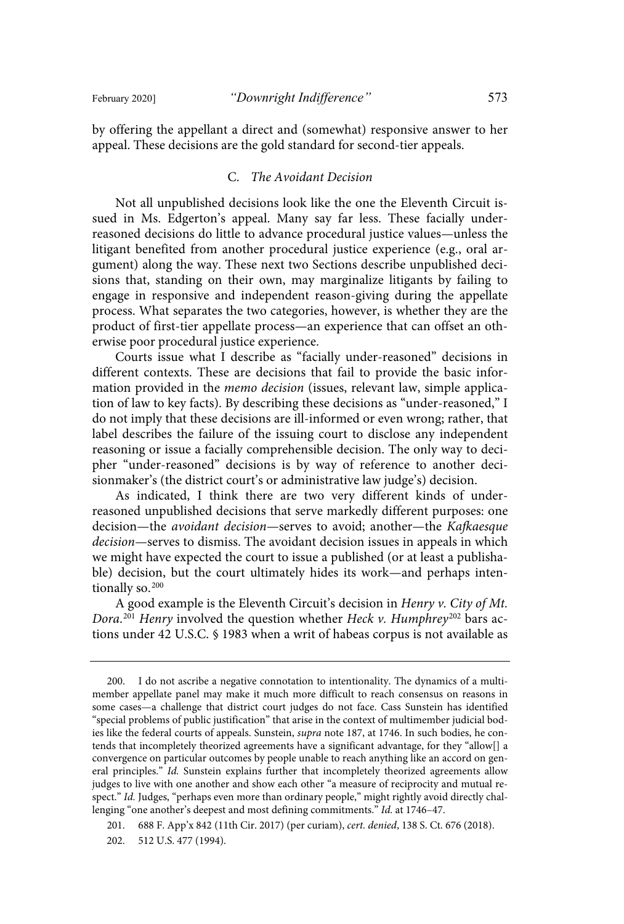by offering the appellant a direct and (somewhat) responsive answer to her appeal. These decisions are the gold standard for second-tier appeals.

### C. The Avoidant Decision

Not all unpublished decisions look like the one the Eleventh Circuit issued in Ms. Edgerton's appeal. Many say far less. These facially underreasoned decisions do little to advance procedural justice values—unless the litigant benefited from another procedural justice experience (e.g., oral argument) along the way. These next two Sections describe unpublished decisions that, standing on their own, may marginalize litigants by failing to engage in responsive and independent reason-giving during the appellate process. What separates the two categories, however, is whether they are the product of first-tier appellate process—an experience that can offset an otherwise poor procedural justice experience.

Courts issue what I describe as "facially under-reasoned" decisions in different contexts. These are decisions that fail to provide the basic information provided in the memo decision (issues, relevant law, simple application of law to key facts). By describing these decisions as "under-reasoned," I do not imply that these decisions are ill-informed or even wrong; rather, that label describes the failure of the issuing court to disclose any independent reasoning or issue a facially comprehensible decision. The only way to decipher "under-reasoned" decisions is by way of reference to another decisionmaker's (the district court's or administrative law judge's) decision.

As indicated, I think there are two very different kinds of underreasoned unpublished decisions that serve markedly different purposes: one decision—the avoidant decision—serves to avoid; another—the Kafkaesque decision—serves to dismiss. The avoidant decision issues in appeals in which we might have expected the court to issue a published (or at least a publishable) decision, but the court ultimately hides its work—and perhaps intentionally so.<sup>200</sup>

A good example is the Eleventh Circuit's decision in Henry v. City of Mt. Dora.<sup>201</sup> Henry involved the question whether Heck v. Humphrey<sup>202</sup> bars actions under 42 U.S.C. § 1983 when a writ of habeas corpus is not available as

<sup>200.</sup> I do not ascribe a negative connotation to intentionality. The dynamics of a multimember appellate panel may make it much more difficult to reach consensus on reasons in some cases—a challenge that district court judges do not face. Cass Sunstein has identified "special problems of public justification" that arise in the context of multimember judicial bodies like the federal courts of appeals. Sunstein, supra note 187, at 1746. In such bodies, he contends that incompletely theorized agreements have a significant advantage, for they "allow[] a convergence on particular outcomes by people unable to reach anything like an accord on general principles." Id. Sunstein explains further that incompletely theorized agreements allow judges to live with one another and show each other "a measure of reciprocity and mutual respect." Id. Judges, "perhaps even more than ordinary people," might rightly avoid directly challenging "one another's deepest and most defining commitments." Id. at 1746-47.

<sup>201.</sup> 688 F. App'x 842 (11th Cir. 2017) (per curiam), cert . denied, 138 S. Ct. 676 (2018).

<sup>202.</sup> 512 U.S. 477 (1994).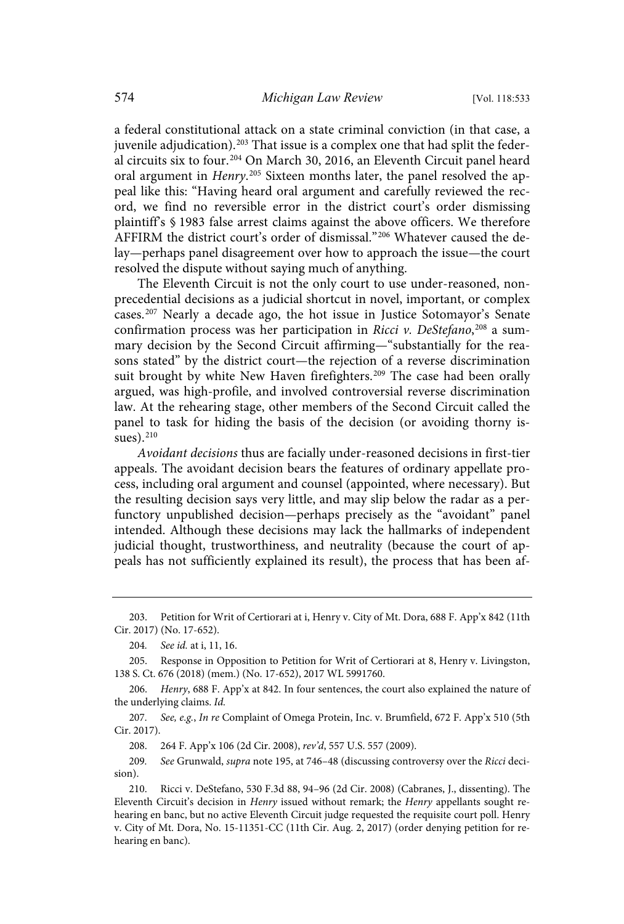a federal constitutional attack on a state criminal conviction (in that case, a juvenile adjudication). <sup>203</sup> That issue is a complex one that had split the federal circuits six to four. <sup>204</sup> On March 30, 2016, an Eleventh Circuit panel heard oral argument in *Henry*.<sup>205</sup> Sixteen months later, the panel resolved the appeal like this: "Having heard oral argument and carefully reviewed the record, we find no reversible error in the district court's order dismissing plaintiff's § 1983 false arrest claims against the above officers. We therefore AFFIRM the district court's order of dismissal."<sup>206</sup> Whatever caused the delay—perhaps panel disagreement over how to approach the issue—the court resolved the dispute without saying much of anything.

The Eleventh Circuit is not the only court to use under-reasoned, nonprecedential decisions as a judicial shortcut in novel, important, or complex cases.<sup>207</sup> Nearly a decade ago, the hot issue in Justice Sotomayor's Senate confirmation process was her participation in Ricci v. DeStefano,<sup>208</sup> a summary decision by the Second Circuit affirming—"substantially for the reasons stated" by the district court—the rejection of a reverse discrimination suit brought by white New Haven firefighters.<sup>209</sup> The case had been orally argued, was high-profile, and involved controversial reverse discrimination law. At the rehearing stage, other members of the Second Circuit called the panel to task for hiding the basis of the decision (or avoiding thorny issues). 210

Avoidant decisions thus are facially under-reasoned decisions in first-tier appeals. The avoidant decision bears the features of ordinary appellate process, including oral argument and counsel (appointed, where necessary). But the resulting decision says very little, and may slip below the radar as a perfunctory unpublished decision—perhaps precisely as the "avoidant" panel intended. Although these decisions may lack the hallmarks of independent judicial thought, trustworthiness, and neutrality (because the court of appeals has not sufficiently explained its result), the process that has been af-

207. See, e.g., In re Complaint of Omega Protein, Inc. v. Brumfield, 672 F. App'x 510 (5th Cir. 2017).

208. 264 F. App'x 106 (2d Cir. 2008), rev'd, 557 U.S. 557 (2009).

209. See Grunwald, supra note 195, at 746-48 (discussing controversy over the Ricci decision).

<sup>203.</sup> Petition for Writ of Certiorari at i, Henry v. City of Mt. Dora, 688 F. App'x 842 (11th Cir. 2017) (No. 17-652).

<sup>204.</sup> See id. at i, 11, 16.

<sup>205.</sup> Response in Opposition to Petition for Writ of Certiorari at 8, Henry v. Livingston, 138 S. Ct. 676 (2018) (mem.) (No. 17-652), 2017 WL 5991760.

<sup>206.</sup> Henry, 688 F. App'x at 842. In four sentences, the court also explained the nature of the underlying claims. Id.

<sup>210.</sup> Ricci v. DeStefano, 530 F.3d 88, 94–96 (2d Cir. 2008) (Cabranes, J., dissenting). The Eleventh Circuit's decision in Henry issued without remark; the Henry appellants sought rehearing en banc, but no active Eleventh Circuit judge requested the requisite court poll. Henry v. City of Mt. Dora, No. 15-11351-CC (11th Cir. Aug. 2, 2017) (order denying petition for rehearing en banc).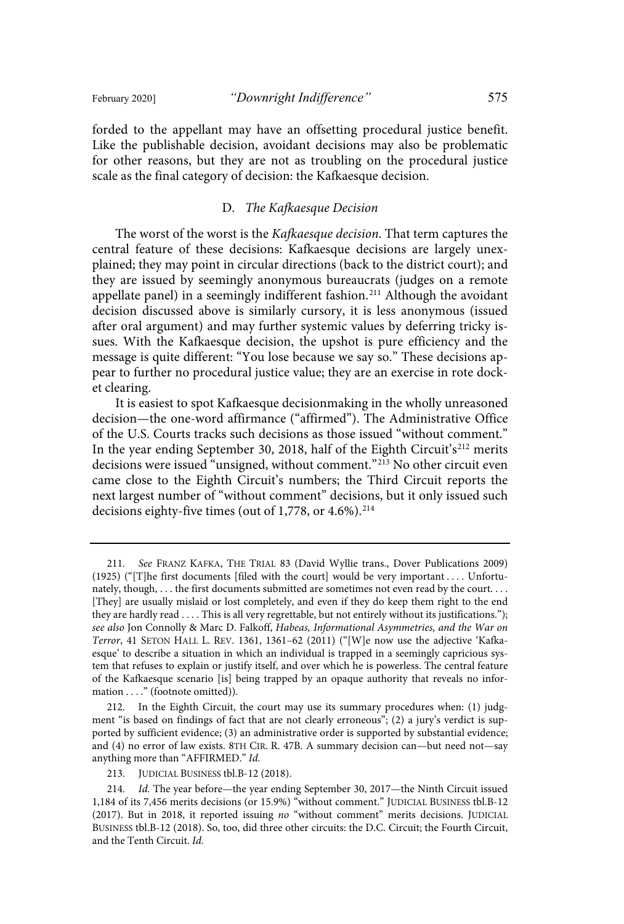forded to the appellant may have an offsetting procedural justice benefit. Like the publishable decision, avoidant decisions may also be problematic for other reasons, but they are not as troubling on the procedural justice scale as the final category of decision: the Kafkaesque decision.

### D. The Kafkaesque Decision

The worst of the worst is the Kafkaesque decision. That term captures the central feature of these decisions: Kafkaesque decisions are largely unexplained; they may point in circular directions (back to the district court); and they are issued by seemingly anonymous bureaucrats (judges on a remote appellate panel) in a seemingly indifferent fashion. <sup>211</sup> Although the avoidant decision discussed above is similarly cursory, it is less anonymous (issued after oral argument) and may further systemic values by deferring tricky issues. With the Kafkaesque decision, the upshot is pure efficiency and the message is quite different: "You lose because we say so." These decisions appear to further no procedural justice value; they are an exercise in rote docket clearing.

It is easiest to spot Kafkaesque decisionmaking in the wholly unreasoned decision—the one-word affirmance ("affirmed"). The Administrative Office of the U.S. Courts tracks such decisions as those issued "without comment." In the year ending September 30, 2018, half of the Eighth Circuit's<sup>212</sup> merits decisions were issued "unsigned, without comment."<sup>213</sup> No other circuit even came close to the Eighth Circuit's numbers; the Third Circuit reports the next largest number of "without comment" decisions, but it only issued such decisions eighty-five times (out of 1,778, or  $4.6\%$ ).<sup>214</sup>

<sup>211</sup> . See FRANZ KAFKA, THE TRIAL 83 (David Wyllie trans., Dover Publications 2009) (1925) ("[T]he first documents [filed with the court] would be very important . . . . Unfortunately, though, ... the first documents submitted are sometimes not even read by the court.... [They] are usually mislaid or lost completely, and even if they do keep them right to the end they are hardly read . . . . This is all very regrettable, but not entirely without its justifications."); see also Jon Connolly & Marc D. Falkoff, Habeas, Informational Asymmetries, and the War on Terror, 41 SETON HALL L. REV. 1361, 1361–62 (2011) ("[W]e now use the adjective 'Kafkaesque' to describe a situation in which an individual is trapped in a seemingly capricious system that refuses to explain or justify itself, and over which he is powerless. The central feature of the Kafkaesque scenario [is] being trapped by an opaque authority that reveals no information . . . ." (footnote omitted)).

<sup>212.</sup> In the Eighth Circuit, the court may use its summary procedures when: (1) judgment "is based on findings of fact that are not clearly erroneous"; (2) a jury's verdict is supported by sufficient evidence; (3) an administrative order is supported by substantial evidence; and (4) no error of law exists. 8TH CIR. R. 47B. A summary decision can—but need not—say anything more than "AFFIRMED." Id.

<sup>213.</sup> JUDICIAL BUSINESS tbl.B-12 (2018).

<sup>214.</sup> Id. The year before—the year ending September 30, 2017—the Ninth Circuit issued 1,184 of its 7,456 merits decisions (or 15.9%) "without comment." JUDICIAL BUSINESS tbl.B-12 (2017). But in 2018, it reported issuing no "without comment" merits decisions. JUDICIAL BUSINESS tbl.B-12 (2018). So, too, did three other circuits: the D.C. Circuit; the Fourth Circuit, and the Tenth Circuit. Id.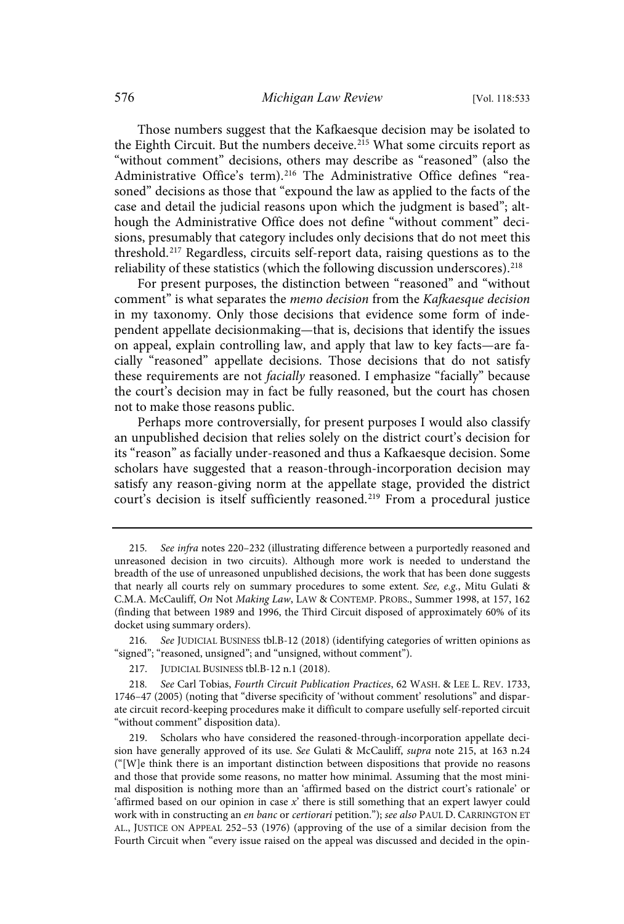Those numbers suggest that the Kafkaesque decision may be isolated to the Eighth Circuit. But the numbers deceive. $2^{15}$  What some circuits report as "without comment" decisions, others may describe as "reasoned" (also the Administrative Office's term).<sup>216</sup> The Administrative Office defines "reasoned" decisions as those that "expound the law as applied to the facts of the case and detail the judicial reasons upon which the judgment is based"; although the Administrative Office does not define "without comment" decisions, presumably that category includes only decisions that do not meet this threshold.<sup>217</sup> Regardless, circuits self-report data, raising questions as to the reliability of these statistics (which the following discussion underscores).  $218$ 

For present purposes, the distinction between "reasoned" and "without comment" is what separates the memo decision from the Kafkaesque decision in my taxonomy. Only those decisions that evidence some form of independent appellate decisionmaking—that is, decisions that identify the issues on appeal, explain controlling law, and apply that law to key facts—are facially "reasoned" appellate decisions. Those decisions that do not satisfy these requirements are not facially reasoned. I emphasize "facially" because the court's decision may in fact be fully reasoned, but the court has chosen not to make those reasons public.

Perhaps more controversially, for present purposes I would also classify an unpublished decision that relies solely on the district court's decision for its "reason" as facially under-reasoned and thus a Kafkaesque decision. Some scholars have suggested that a reason-through-incorporation decision may satisfy any reason-giving norm at the appellate stage, provided the district court's decision is itself sufficiently reasoned.<sup>219</sup> From a procedural justice

<sup>215.</sup> See infra notes 220-232 (illustrating difference between a purportedly reasoned and unreasoned decision in two circuits). Although more work is needed to understand the breadth of the use of unreasoned unpublished decisions, the work that has been done suggests that nearly all courts rely on summary procedures to some extent. See, e.g., Mitu Gulati & C.M.A. McCauliff, On Not Making Law, LAW & CONTEMP. PROBS., Summer 1998, at 157, 162 (finding that between 1989 and 1996, the Third Circuit disposed of approximately 60% of its docket using summary orders).

<sup>216</sup> . See JUDICIAL BUSINESS tbl.B-12 (2018) (identifying categories of written opinions as "signed"; "reasoned, unsigned"; and "unsigned, without comment").

<sup>217.</sup> JUDICIAL BUSINESS tbl.B-12 n.1 (2018).

<sup>218.</sup> See Carl Tobias, Fourth Circuit Publication Practices, 62 WASH. & LEE L. REV. 1733, 1746–47 (2005) (noting that "diverse specificity of 'without comment' resolutions" and disparate circuit record-keeping procedures make it difficult to compare usefully self-reported circuit "without comment" disposition data).

Scholars who have considered the reasoned-through-incorporation appellate decision have generally approved of its use. See Gulati & McCauliff, *supra* note 215, at 163 n.24 ("[W]e think there is an important distinction between dispositions that provide no reasons and those that provide some reasons, no matter how minimal. Assuming that the most minimal disposition is nothing more than an 'affirmed based on the district court's rationale' or 'affirmed based on our opinion in case x' there is still something that an expert lawyer could work with in constructing an en banc or certiorari petition."); see also PAUL D. CARRINGTON ET AL., JUSTICE ON APPEAL 252–53 (1976) (approving of the use of a similar decision from the Fourth Circuit when "every issue raised on the appeal was discussed and decided in the opin-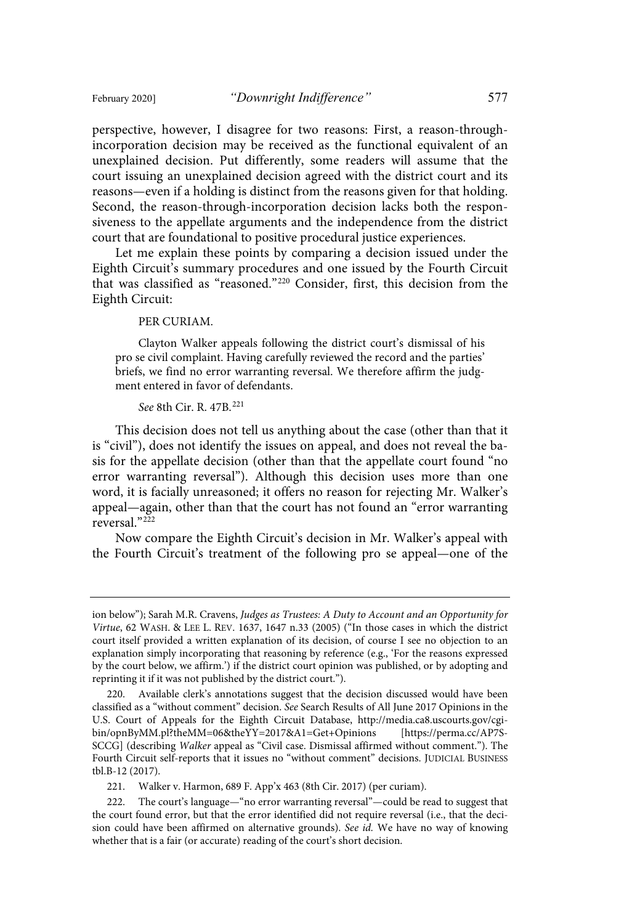perspective, however, I disagree for two reasons: First, a reason-throughincorporation decision may be received as the functional equivalent of an unexplained decision. Put differently, some readers will assume that the court issuing an unexplained decision agreed with the district court and its reasons—even if a holding is distinct from the reasons given for that holding. Second, the reason-through-incorporation decision lacks both the responsiveness to the appellate arguments and the independence from the district court that are foundational to positive procedural justice experiences.

Let me explain these points by comparing a decision issued under the Eighth Circuit's summary procedures and one issued by the Fourth Circuit that was classified as "reasoned."<sup>220</sup> Consider, first, this decision from the Eighth Circuit:

#### PER CURIAM.

Clayton Walker appeals following the district court's dismissal of his pro se civil complaint. Having carefully reviewed the record and the parties' briefs, we find no error warranting reversal. We therefore affirm the judgment entered in favor of defendants.

#### See 8th Cir. R. 47B.<sup>221</sup>

This decision does not tell us anything about the case (other than that it is "civil"), does not identify the issues on appeal, and does not reveal the basis for the appellate decision (other than that the appellate court found "no error warranting reversal"). Although this decision uses more than one word, it is facially unreasoned; it offers no reason for rejecting Mr. Walker's appeal—again, other than that the court has not found an "error warranting reversal. $222$ 

Now compare the Eighth Circuit's decision in Mr. Walker's appeal with the Fourth Circuit's treatment of the following pro se appeal—one of the

221. Walker v. Harmon, 689 F. App'x 463 (8th Cir. 2017) (per curiam).

ion below"); Sarah M.R. Cravens, Judges as Trustees: A Duty to Account and an Opportunity for Virtue, 62 WASH. & LEE L. REV. 1637, 1647 n.33 (2005) ("In those cases in which the district court itself provided a written explanation of its decision, of course I see no objection to an explanation simply incorporating that reasoning by reference (e.g., 'For the reasons expressed by the court below, we affirm.') if the district court opinion was published, or by adopting and reprinting it if it was not published by the district court.").

<sup>220.</sup> Available clerk's annotations suggest that the decision discussed would have been classified as a "without comment" decision. See Search Results of All June 2017 Opinions in the U.S. Court of Appeals for the Eighth Circuit Database, http://media.ca8.uscourts.gov/cgibin/opnByMM.pl?theMM=06&theYY=2017&A1=Get+Opinions [https://perma.cc/AP7S-SCCG] (describing Walker appeal as "Civil case. Dismissal affirmed without comment."). The Fourth Circuit self-reports that it issues no "without comment" decisions. JUDICIAL BUSINESS tbl.B-12 (2017).

<sup>222.</sup> The court's language—"no error warranting reversal"—could be read to suggest that the court found error, but that the error identified did not require reversal (i.e., that the decision could have been affirmed on alternative grounds). See id. We have no way of knowing whether that is a fair (or accurate) reading of the court's short decision.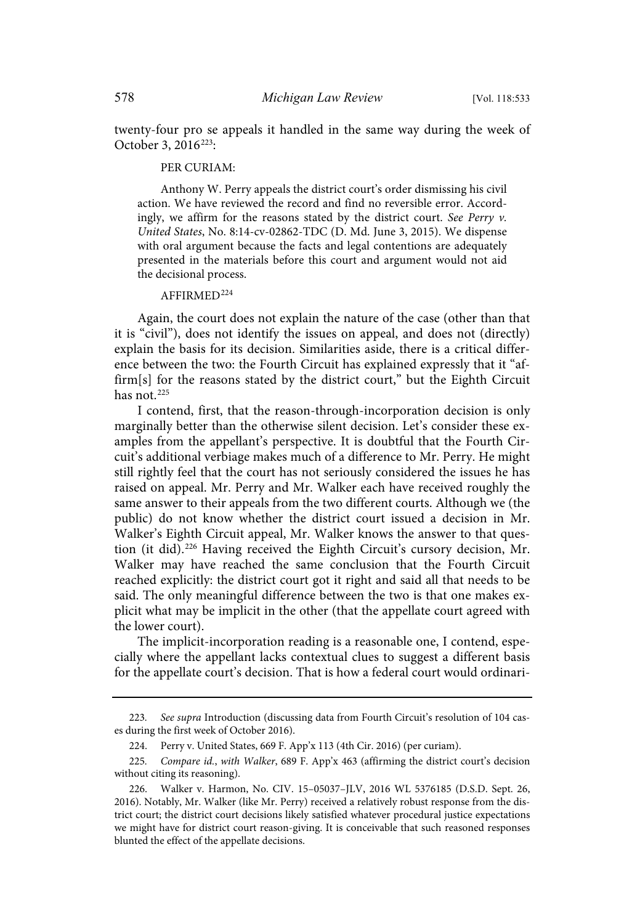twenty-four pro se appeals it handled in the same way during the week of October 3, 2016<sup>223</sup>:

#### PER CURIAM:

Anthony W. Perry appeals the district court's order dismissing his civil action. We have reviewed the record and find no reversible error. Accordingly, we affirm for the reasons stated by the district court. See Perry  $v$ . United States, No. 8:14-cv-02862-TDC (D. Md. June 3, 2015). We dispense with oral argument because the facts and legal contentions are adequately presented in the materials before this court and argument would not aid the decisional process.

### AFFIRMED<sup>224</sup>

Again, the court does not explain the nature of the case (other than that it is "civil"), does not identify the issues on appeal, and does not (directly) explain the basis for its decision. Similarities aside, there is a critical difference between the two: the Fourth Circuit has explained expressly that it "affirm[s] for the reasons stated by the district court," but the Eighth Circuit has not  $225$ 

I contend, first, that the reason-through-incorporation decision is only marginally better than the otherwise silent decision. Let's consider these examples from the appellant's perspective. It is doubtful that the Fourth Circuit's additional verbiage makes much of a difference to Mr. Perry. He might still rightly feel that the court has not seriously considered the issues he has raised on appeal. Mr. Perry and Mr. Walker each have received roughly the same answer to their appeals from the two different courts. Although we (the public) do not know whether the district court issued a decision in Mr. Walker's Eighth Circuit appeal, Mr. Walker knows the answer to that question (it did). <sup>226</sup> Having received the Eighth Circuit's cursory decision, Mr. Walker may have reached the same conclusion that the Fourth Circuit reached explicitly: the district court got it right and said all that needs to be said. The only meaningful difference between the two is that one makes explicit what may be implicit in the other (that the appellate court agreed with the lower court).

The implicit-incorporation reading is a reasonable one, I contend, especially where the appellant lacks contextual clues to suggest a different basis for the appellate court's decision. That is how a federal court would ordinari-

<sup>223.</sup> See supra Introduction (discussing data from Fourth Circuit's resolution of 104 cases during the first week of October 2016).

<sup>224.</sup> Perry v. United States, 669 F. App'x 113 (4th Cir. 2016) (per curiam).

<sup>225.</sup> Compare id., with Walker, 689 F. App'x 463 (affirming the district court's decision without citing its reasoning).

<sup>226.</sup> Walker v. Harmon, No. CIV. 15–05037–JLV, 2016 WL 5376185 (D.S.D. Sept. 26, 2016). Notably, Mr. Walker (like Mr. Perry) received a relatively robust response from the district court; the district court decisions likely satisfied whatever procedural justice expectations we might have for district court reason-giving. It is conceivable that such reasoned responses blunted the effect of the appellate decisions.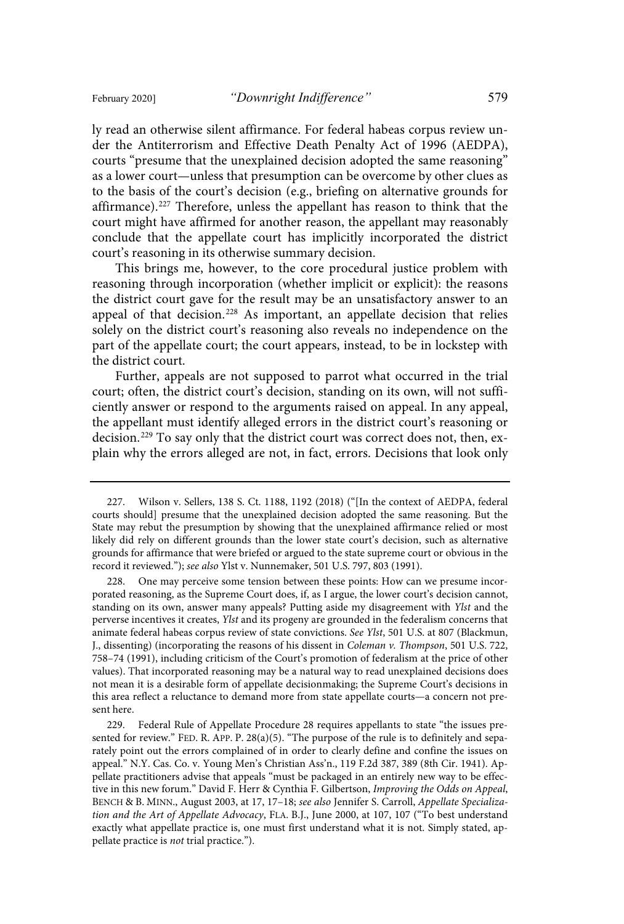ly read an otherwise silent affirmance. For federal habeas corpus review under the Antiterrorism and Effective Death Penalty Act of 1996 (AEDPA), courts "presume that the unexplained decision adopted the same reasoning" as a lower court—unless that presumption can be overcome by other clues as to the basis of the court's decision (e.g., briefing on alternative grounds for affirmance).<sup>227</sup> Therefore, unless the appellant has reason to think that the court might have affirmed for another reason, the appellant may reasonably conclude that the appellate court has implicitly incorporated the district court's reasoning in its otherwise summary decision.

This brings me, however, to the core procedural justice problem with reasoning through incorporation (whether implicit or explicit): the reasons the district court gave for the result may be an unsatisfactory answer to an appeal of that decision.<sup>228</sup> As important, an appellate decision that relies solely on the district court's reasoning also reveals no independence on the part of the appellate court; the court appears, instead, to be in lockstep with the district court.

Further, appeals are not supposed to parrot what occurred in the trial court; often, the district court's decision, standing on its own, will not sufficiently answer or respond to the arguments raised on appeal. In any appeal, the appellant must identify alleged errors in the district court's reasoning or decision.<sup>229</sup> To say only that the district court was correct does not, then, explain why the errors alleged are not, in fact, errors. Decisions that look only

<sup>227.</sup> Wilson v. Sellers, 138 S. Ct. 1188, 1192 (2018) ("[In the context of AEDPA, federal courts should] presume that the unexplained decision adopted the same reasoning. But the State may rebut the presumption by showing that the unexplained affirmance relied or most likely did rely on different grounds than the lower state court's decision, such as alternative grounds for affirmance that were briefed or argued to the state supreme court or obvious in the record it reviewed."); see also Ylst v. Nunnemaker, 501 U.S. 797, 803 (1991).

One may perceive some tension between these points: How can we presume incorporated reasoning, as the Supreme Court does, if, as I argue, the lower court's decision cannot, standing on its own, answer many appeals? Putting aside my disagreement with Ylst and the perverse incentives it creates, Ylst and its progeny are grounded in the federalism concerns that animate federal habeas corpus review of state convictions. See Ylst, 501 U.S. at 807 (Blackmun, J., dissenting) (incorporating the reasons of his dissent in *Coleman v. Thompson*, 501 U.S. 722, 758–74 (1991), including criticism of the Court's promotion of federalism at the price of other values). That incorporated reasoning may be a natural way to read unexplained decisions does not mean it is a desirable form of appellate decisionmaking; the Supreme Court's decisions in this area reflect a reluctance to demand more from state appellate courts—a concern not present here.

<sup>229.</sup> Federal Rule of Appellate Procedure 28 requires appellants to state "the issues presented for review." FED. R. APP. P. 28(a)(5). "The purpose of the rule is to definitely and separately point out the errors complained of in order to clearly define and confine the issues on appeal." N.Y. Cas. Co. v. Young Men's Christian Ass'n., 119 F.2d 387, 389 (8th Cir. 1941). Appellate practitioners advise that appeals "must be packaged in an entirely new way to be effective in this new forum." David F. Herr & Cynthia F. Gilbertson, Improving the Odds on Appeal, BENCH & B. MINN., August 2003, at 17, 17–18; see also Jennifer S. Carroll, Appellate Specialization and the Art of Appellate Advocacy, FLA. B.J., June 2000, at 107, 107 ("To best understand exactly what appellate practice is, one must first understand what it is not. Simply stated, appellate practice is not trial practice.").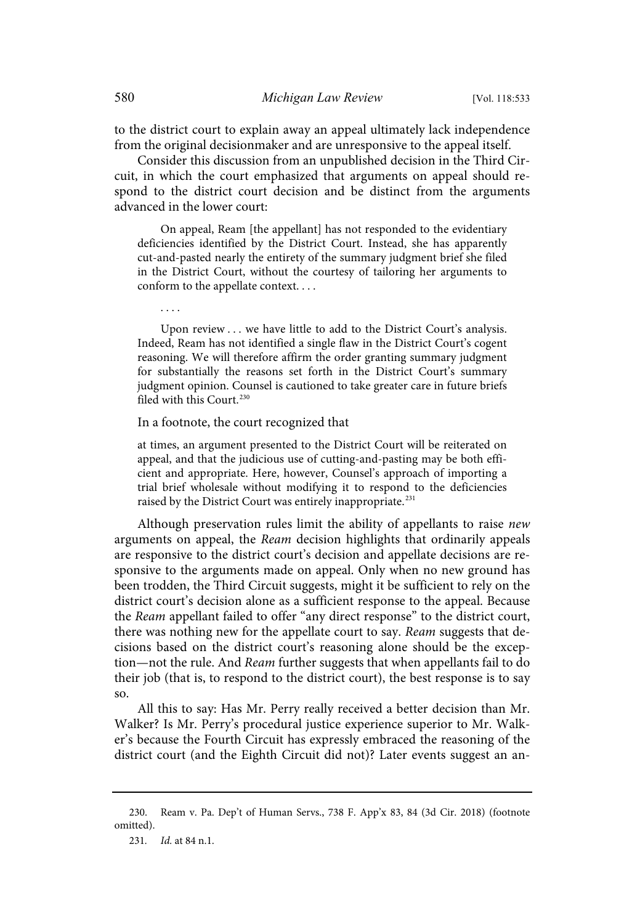to the district court to explain away an appeal ultimately lack independence from the original decisionmaker and are unresponsive to the appeal itself.

Consider this discussion from an unpublished decision in the Third Circuit, in which the court emphasized that arguments on appeal should respond to the district court decision and be distinct from the arguments advanced in the lower court:

On appeal, Ream [the appellant] has not responded to the evidentiary deficiencies identified by the District Court. Instead, she has apparently cut-and-pasted nearly the entirety of the summary judgment brief she filed in the District Court, without the courtesy of tailoring her arguments to conform to the appellate context. . . .

Upon review . . . we have little to add to the District Court's analysis. Indeed, Ream has not identified a single flaw in the District Court's cogent reasoning. We will therefore affirm the order granting summary judgment for substantially the reasons set forth in the District Court's summary judgment opinion. Counsel is cautioned to take greater care in future briefs filed with this Court.<sup>230</sup>

In a footnote, the court recognized that

at times, an argument presented to the District Court will be reiterated on appeal, and that the judicious use of cutting-and-pasting may be both efficient and appropriate. Here, however, Counsel's approach of importing a trial brief wholesale without modifying it to respond to the deficiencies raised by the District Court was entirely inappropriate.<sup>231</sup>

Although preservation rules limit the ability of appellants to raise new arguments on appeal, the Ream decision highlights that ordinarily appeals are responsive to the district court's decision and appellate decisions are responsive to the arguments made on appeal. Only when no new ground has been trodden, the Third Circuit suggests, might it be sufficient to rely on the district court's decision alone as a sufficient response to the appeal. Because the Ream appellant failed to offer "any direct response" to the district court, there was nothing new for the appellate court to say. Ream suggests that decisions based on the district court's reasoning alone should be the exception—not the rule. And Ream further suggests that when appellants fail to do their job (that is, to respond to the district court), the best response is to say so.

All this to say: Has Mr. Perry really received a better decision than Mr. Walker? Is Mr. Perry's procedural justice experience superior to Mr. Walker's because the Fourth Circuit has expressly embraced the reasoning of the district court (and the Eighth Circuit did not)? Later events suggest an an-

. . . .

<sup>230.</sup> Ream v. Pa. Dep't of Human Servs., 738 F. App'x 83, 84 (3d Cir. 2018) (footnote omitted).

<sup>231.</sup> *Id.* at 84 n.1.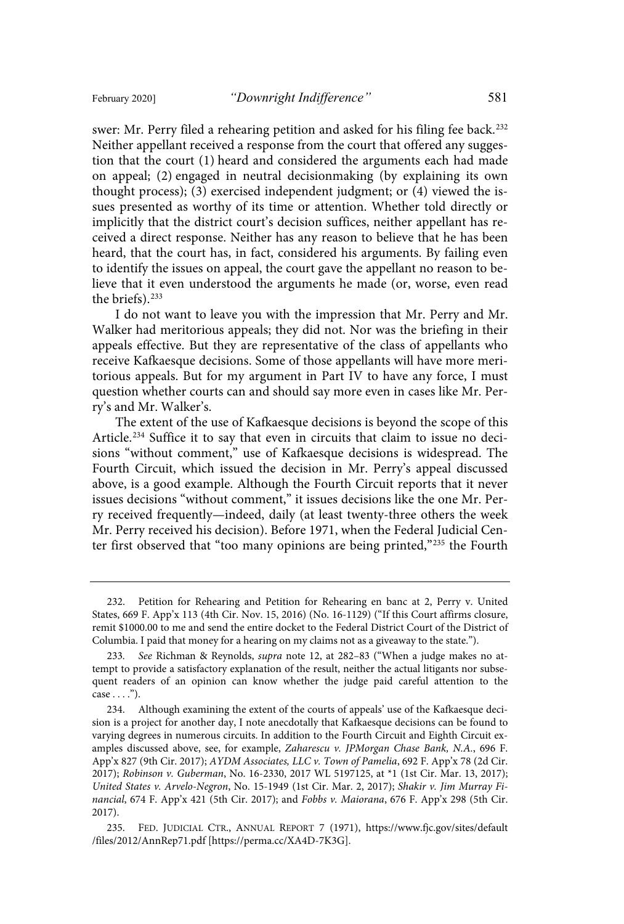swer: Mr. Perry filed a rehearing petition and asked for his filing fee back.<sup>232</sup> Neither appellant received a response from the court that offered any suggestion that the court (1) heard and considered the arguments each had made on appeal; (2) engaged in neutral decisionmaking (by explaining its own thought process); (3) exercised independent judgment; or (4) viewed the issues presented as worthy of its time or attention. Whether told directly or implicitly that the district court's decision suffices, neither appellant has received a direct response. Neither has any reason to believe that he has been heard, that the court has, in fact, considered his arguments. By failing even to identify the issues on appeal, the court gave the appellant no reason to believe that it even understood the arguments he made (or, worse, even read the briefs). 233

I do not want to leave you with the impression that Mr. Perry and Mr. Walker had meritorious appeals; they did not. Nor was the briefing in their appeals effective. But they are representative of the class of appellants who receive Kafkaesque decisions. Some of those appellants will have more meritorious appeals. But for my argument in Part IV to have any force, I must question whether courts can and should say more even in cases like Mr. Perry's and Mr. Walker's.

The extent of the use of Kafkaesque decisions is beyond the scope of this Article.<sup>234</sup> Suffice it to say that even in circuits that claim to issue no decisions "without comment," use of Kafkaesque decisions is widespread. The Fourth Circuit, which issued the decision in Mr. Perry's appeal discussed above, is a good example. Although the Fourth Circuit reports that it never issues decisions "without comment," it issues decisions like the one Mr. Perry received frequently—indeed, daily (at least twenty-three others the week Mr. Perry received his decision). Before 1971, when the Federal Judicial Center first observed that "too many opinions are being printed," <sup>235</sup> the Fourth

<sup>232.</sup> Petition for Rehearing and Petition for Rehearing en banc at 2, Perry v. United States, 669 F. App'x 113 (4th Cir. Nov. 15, 2016) (No. 16-1129) ("If this Court affirms closure, remit \$1000.00 to me and send the entire docket to the Federal District Court of the District of Columbia. I paid that money for a hearing on my claims not as a giveaway to the state.").

<sup>233.</sup> See Richman & Reynolds, *supra* note 12, at 282–83 ("When a judge makes no attempt to provide a satisfactory explanation of the result, neither the actual litigants nor subsequent readers of an opinion can know whether the judge paid careful attention to the case . . . .").

<sup>234.</sup> Although examining the extent of the courts of appeals' use of the Kafkaesque decision is a project for another day, I note anecdotally that Kafkaesque decisions can be found to varying degrees in numerous circuits. In addition to the Fourth Circuit and Eighth Circuit examples discussed above, see, for example, Zaharescu v. JPMorgan Chase Bank, N.A., 696 F. App'x 827 (9th Cir. 2017); AYDM Associates, LLC v. Town of Pamelia, 692 F. App'x 78 (2d Cir. 2017); Robinson v. Guberman, No. 16-2330, 2017 WL 5197125, at \*1 (1st Cir. Mar. 13, 2017); United States v. Arvelo-Negron, No. 15-1949 (1st Cir. Mar. 2, 2017); Shakir v. Jim Murray Financial, 674 F. App'x 421 (5th Cir. 2017); and Fobbs v. Maiorana, 676 F. App'x 298 (5th Cir. 2017).

<sup>235.</sup> FED. JUDICIAL CTR., ANNUAL REPORT 7 (1971), https://www.fjc.gov/sites/default /files/2012/AnnRep71.pdf [https://perma.cc/XA4D-7K3G].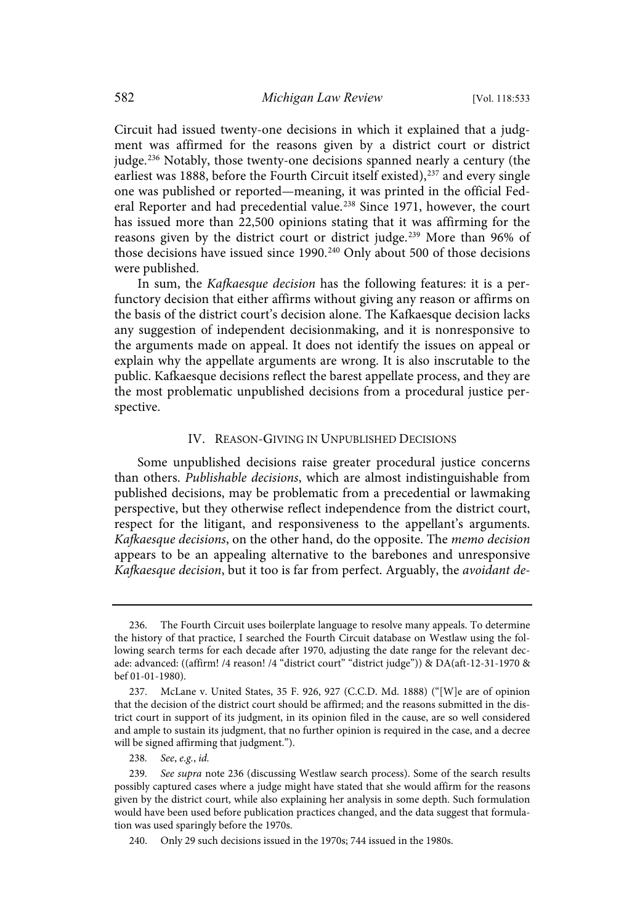Circuit had issued twenty-one decisions in which it explained that a judgment was affirmed for the reasons given by a district court or district judge. <sup>236</sup> Notably, those twenty-one decisions spanned nearly a century (the earliest was 1888, before the Fourth Circuit itself existed),<sup>237</sup> and every single one was published or reported—meaning, it was printed in the official Federal Reporter and had precedential value.<sup>238</sup> Since 1971, however, the court has issued more than 22,500 opinions stating that it was affirming for the reasons given by the district court or district judge. <sup>239</sup> More than 96% of those decisions have issued since 1990.<sup>240</sup> Only about 500 of those decisions were published.

In sum, the Kafkaesque decision has the following features: it is a perfunctory decision that either affirms without giving any reason or affirms on the basis of the district court's decision alone. The Kafkaesque decision lacks any suggestion of independent decisionmaking, and it is nonresponsive to the arguments made on appeal. It does not identify the issues on appeal or explain why the appellate arguments are wrong. It is also inscrutable to the public. Kafkaesque decisions reflect the barest appellate process, and they are the most problematic unpublished decisions from a procedural justice perspective.

### IV. REASON-GIVING IN UNPUBLISHED DECISIONS

Some unpublished decisions raise greater procedural justice concerns than others. Publishable decisions, which are almost indistinguishable from published decisions, may be problematic from a precedential or lawmaking perspective, but they otherwise reflect independence from the district court, respect for the litigant, and responsiveness to the appellant's arguments. Kafkaesque decisions, on the other hand, do the opposite. The memo decision appears to be an appealing alternative to the barebones and unresponsive Kafkaesque decision, but it too is far from perfect. Arguably, the avoidant de-

<sup>236.</sup> The Fourth Circuit uses boilerplate language to resolve many appeals. To determine the history of that practice, I searched the Fourth Circuit database on Westlaw using the following search terms for each decade after 1970, adjusting the date range for the relevant decade: advanced: ((affirm! /4 reason! /4 "district court" "district judge")) & DA(aft-12-31-1970 & bef 01-01-1980).

<sup>237.</sup> McLane v. United States, 35 F. 926, 927 (C.C.D. Md. 1888) ("[W]e are of opinion that the decision of the district court should be affirmed; and the reasons submitted in the district court in support of its judgment, in its opinion filed in the cause, are so well considered and ample to sustain its judgment, that no further opinion is required in the case, and a decree will be signed affirming that judgment.").

<sup>238.</sup> See, e.g., id.

<sup>239.</sup> See supra note 236 (discussing Westlaw search process). Some of the search results possibly captured cases where a judge might have stated that she would affirm for the reasons given by the district court, while also explaining her analysis in some depth. Such formulation would have been used before publication practices changed, and the data suggest that formulation was used sparingly before the 1970s.

<sup>240.</sup> Only 29 such decisions issued in the 1970s; 744 issued in the 1980s.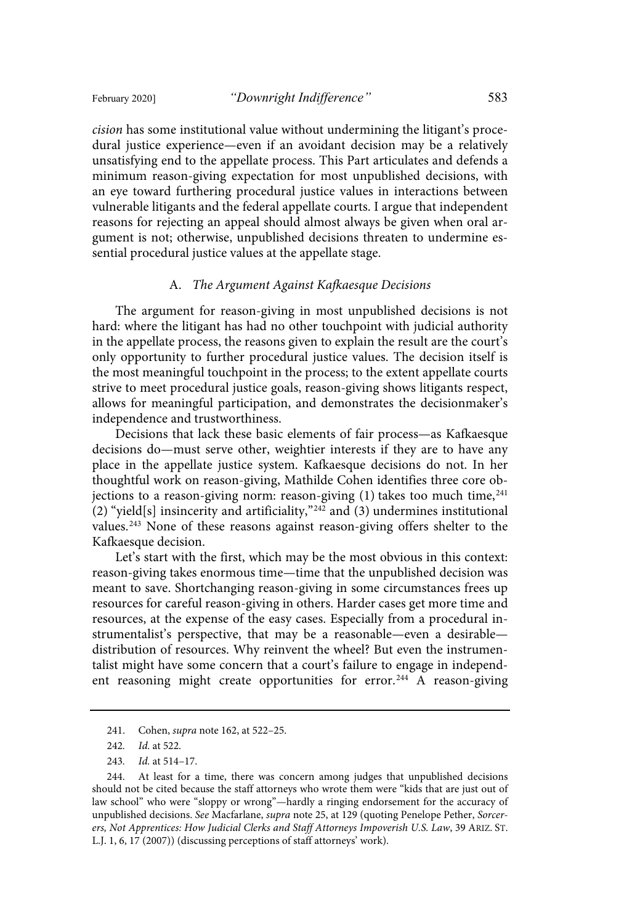cision has some institutional value without undermining the litigant's procedural justice experience—even if an avoidant decision may be a relatively unsatisfying end to the appellate process. This Part articulates and defends a minimum reason-giving expectation for most unpublished decisions, with an eye toward furthering procedural justice values in interactions between vulnerable litigants and the federal appellate courts. I argue that independent reasons for rejecting an appeal should almost always be given when oral argument is not; otherwise, unpublished decisions threaten to undermine essential procedural justice values at the appellate stage.

#### A. The Argument Against Kafkaesque Decisions

The argument for reason-giving in most unpublished decisions is not hard: where the litigant has had no other touchpoint with judicial authority in the appellate process, the reasons given to explain the result are the court's only opportunity to further procedural justice values. The decision itself is the most meaningful touchpoint in the process; to the extent appellate courts strive to meet procedural justice goals, reason-giving shows litigants respect, allows for meaningful participation, and demonstrates the decisionmaker's independence and trustworthiness.

Decisions that lack these basic elements of fair process—as Kafkaesque decisions do—must serve other, weightier interests if they are to have any place in the appellate justice system. Kafkaesque decisions do not. In her thoughtful work on reason-giving, Mathilde Cohen identifies three core objections to a reason-giving norm: reason-giving  $(1)$  takes too much time,<sup>241</sup> (2) "yield[s] insincerity and artificiality," <sup>242</sup> and (3) undermines institutional values.<sup>243</sup> None of these reasons against reason-giving offers shelter to the Kafkaesque decision.

Let's start with the first, which may be the most obvious in this context: reason-giving takes enormous time—time that the unpublished decision was meant to save. Shortchanging reason-giving in some circumstances frees up resources for careful reason-giving in others. Harder cases get more time and resources, at the expense of the easy cases. Especially from a procedural instrumentalist's perspective, that may be a reasonable—even a desirable distribution of resources. Why reinvent the wheel? But even the instrumentalist might have some concern that a court's failure to engage in independent reasoning might create opportunities for error.<sup>244</sup> A reason-giving

<sup>241.</sup> Cohen, supra note 162, at 522–25.

<sup>242.</sup> *Id.* at 522.

<sup>243.</sup> *Id.* at 514-17.

<sup>244.</sup> At least for a time, there was concern among judges that unpublished decisions should not be cited because the staff attorneys who wrote them were "kids that are just out of law school" who were "sloppy or wrong"—hardly a ringing endorsement for the accuracy of unpublished decisions. See Macfarlane, supra note 25, at 129 (quoting Penelope Pether, Sorcerers, Not Apprentices: How Judicial Clerks and Staff Attorneys Impoverish U.S. Law, 39 ARIZ. ST. L.J. 1, 6, 17 (2007)) (discussing perceptions of staff attorneys' work).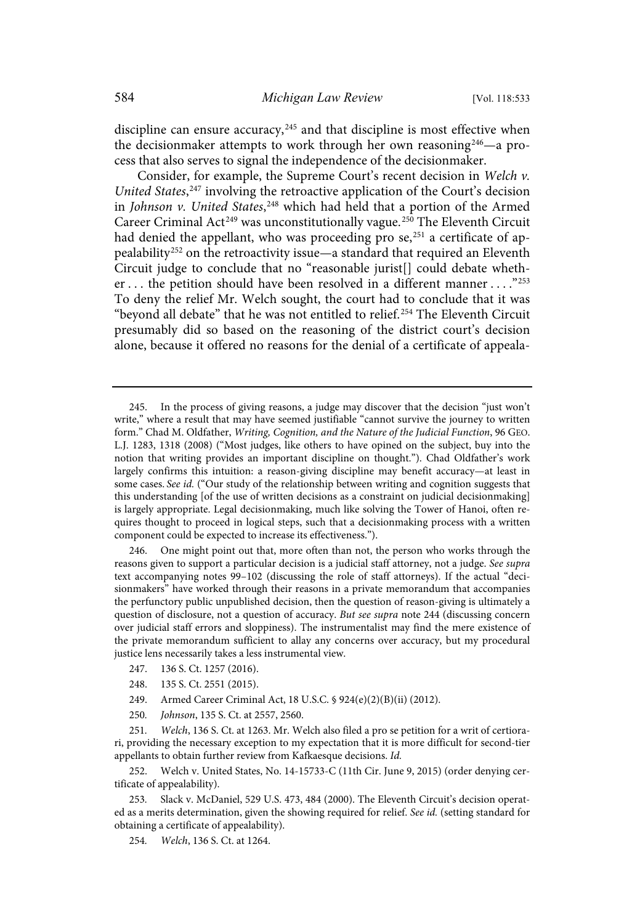discipline can ensure accuracy,<sup>245</sup> and that discipline is most effective when the decisionmaker attempts to work through her own reasoning<sup>246</sup>—a process that also serves to signal the independence of the decisionmaker.

Consider, for example, the Supreme Court's recent decision in Welch v. United States,<sup>247</sup> involving the retroactive application of the Court's decision in Johnson v. United States,<sup>248</sup> which had held that a portion of the Armed Career Criminal Act<sup>249</sup> was unconstitutionally vague.<sup>250</sup> The Eleventh Circuit had denied the appellant, who was proceeding pro se,<sup>251</sup> a certificate of appealability<sup>252</sup> on the retroactivity issue—a standard that required an Eleventh Circuit judge to conclude that no "reasonable jurist[] could debate whether ... the petition should have been resolved in a different manner ...."<sup>253</sup> To deny the relief Mr. Welch sought, the court had to conclude that it was "beyond all debate" that he was not entitled to relief. <sup>254</sup> The Eleventh Circuit presumably did so based on the reasoning of the district court's decision alone, because it offered no reasons for the denial of a certificate of appeala-

246. One might point out that, more often than not, the person who works through the reasons given to support a particular decision is a judicial staff attorney, not a judge. See supra text accompanying notes 99–102 (discussing the role of staff attorneys). If the actual "decisionmakers" have worked through their reasons in a private memorandum that accompanies the perfunctory public unpublished decision, then the question of reason-giving is ultimately a question of disclosure, not a question of accuracy. But see supra note 244 (discussing concern over judicial staff errors and sloppiness). The instrumentalist may find the mere existence of the private memorandum sufficient to allay any concerns over accuracy, but my procedural justice lens necessarily takes a less instrumental view.

- 247. 136 S. Ct. 1257 (2016).
- 248. 135 S. Ct. 2551 (2015).
- 249. Armed Career Criminal Act, 18 U.S.C. § 924(e)(2)(B)(ii) (2012).
- 250. *Johnson*, 135 S. Ct. at 2557, 2560.

251. Welch, 136 S. Ct. at 1263. Mr. Welch also filed a pro se petition for a writ of certiorari, providing the necessary exception to my expectation that it is more difficult for second-tier appellants to obtain further review from Kafkaesque decisions. Id.

252. Welch v. United States, No. 14-15733-C (11th Cir. June 9, 2015) (order denying certificate of appealability).

Slack v. McDaniel, 529 U.S. 473, 484 (2000). The Eleventh Circuit's decision operated as a merits determination, given the showing required for relief. See id. (setting standard for obtaining a certificate of appealability).

254. Welch, 136 S. Ct. at 1264.

<sup>245.</sup> In the process of giving reasons, a judge may discover that the decision "just won't write," where a result that may have seemed justifiable "cannot survive the journey to written form." Chad M. Oldfather, Writing, Cognition, and the Nature of the Judicial Function, 96 GEO. L.J. 1283, 1318 (2008) ("Most judges, like others to have opined on the subject, buy into the notion that writing provides an important discipline on thought."). Chad Oldfather's work largely confirms this intuition: a reason-giving discipline may benefit accuracy—at least in some cases. See id. ("Our study of the relationship between writing and cognition suggests that this understanding [of the use of written decisions as a constraint on judicial decisionmaking] is largely appropriate. Legal decisionmaking, much like solving the Tower of Hanoi, often requires thought to proceed in logical steps, such that a decisionmaking process with a written component could be expected to increase its effectiveness.").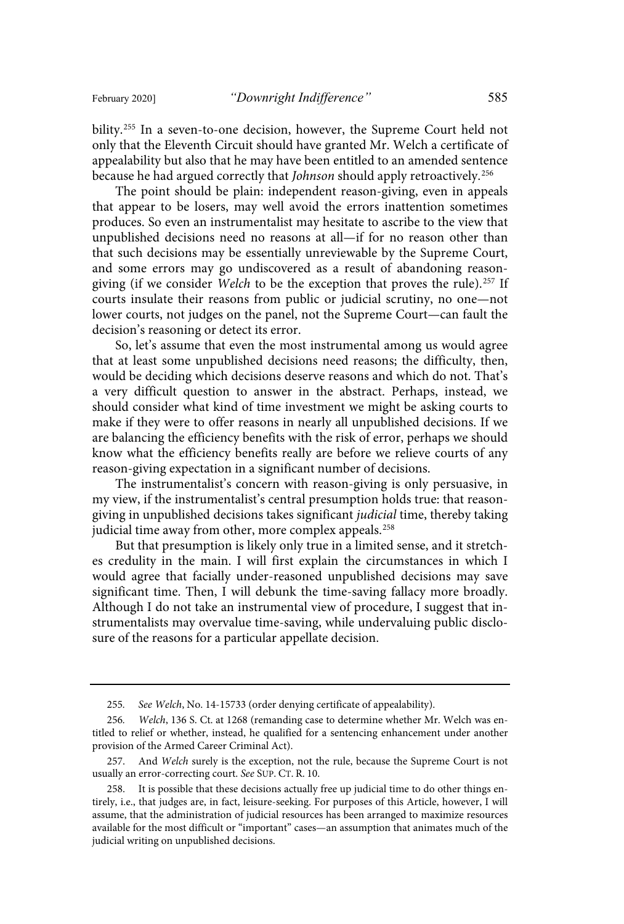bility.<sup>255</sup> In a seven-to-one decision, however, the Supreme Court held not only that the Eleventh Circuit should have granted Mr. Welch a certificate of appealability but also that he may have been entitled to an amended sentence because he had argued correctly that *Johnson* should apply retroactively.<sup>256</sup>

The point should be plain: independent reason-giving, even in appeals that appear to be losers, may well avoid the errors inattention sometimes produces. So even an instrumentalist may hesitate to ascribe to the view that unpublished decisions need no reasons at all—if for no reason other than that such decisions may be essentially unreviewable by the Supreme Court, and some errors may go undiscovered as a result of abandoning reasongiving (if we consider Welch to be the exception that proves the rule).<sup>257</sup> If courts insulate their reasons from public or judicial scrutiny, no one—not lower courts, not judges on the panel, not the Supreme Court—can fault the decision's reasoning or detect its error.

So, let's assume that even the most instrumental among us would agree that at least some unpublished decisions need reasons; the difficulty, then, would be deciding which decisions deserve reasons and which do not. That's a very difficult question to answer in the abstract. Perhaps, instead, we should consider what kind of time investment we might be asking courts to make if they were to offer reasons in nearly all unpublished decisions. If we are balancing the efficiency benefits with the risk of error, perhaps we should know what the efficiency benefits really are before we relieve courts of any reason-giving expectation in a significant number of decisions.

The instrumentalist's concern with reason-giving is only persuasive, in my view, if the instrumentalist's central presumption holds true: that reasongiving in unpublished decisions takes significant judicial time, thereby taking judicial time away from other, more complex appeals.<sup>258</sup>

But that presumption is likely only true in a limited sense, and it stretches credulity in the main. I will first explain the circumstances in which I would agree that facially under-reasoned unpublished decisions may save significant time. Then, I will debunk the time-saving fallacy more broadly. Although I do not take an instrumental view of procedure, I suggest that instrumentalists may overvalue time-saving, while undervaluing public disclosure of the reasons for a particular appellate decision.

<sup>255.</sup> See Welch, No. 14-15733 (order denying certificate of appealability).

<sup>256.</sup> Welch, 136 S. Ct. at 1268 (remanding case to determine whether Mr. Welch was entitled to relief or whether, instead, he qualified for a sentencing enhancement under another provision of the Armed Career Criminal Act).

<sup>257.</sup> And Welch surely is the exception, not the rule, because the Supreme Court is not usually an error-correcting court. See SUP. CT. R. 10.

<sup>258.</sup> It is possible that these decisions actually free up judicial time to do other things entirely, i.e., that judges are, in fact, leisure-seeking. For purposes of this Article, however, I will assume, that the administration of judicial resources has been arranged to maximize resources available for the most difficult or "important" cases—an assumption that animates much of the judicial writing on unpublished decisions.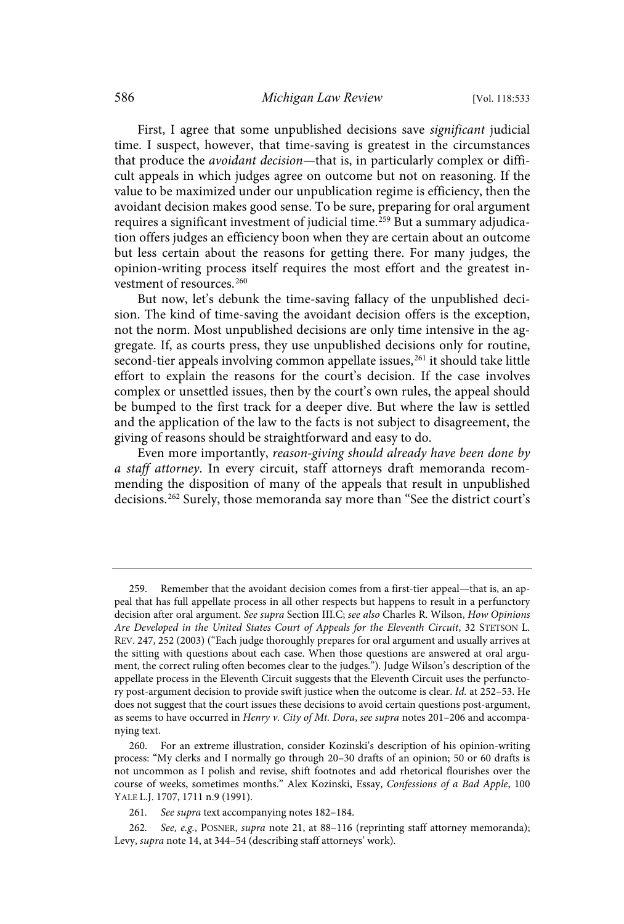First, I agree that some unpublished decisions save significant judicial time. I suspect, however, that time-saving is greatest in the circumstances that produce the *avoidant decision*—that is, in particularly complex or difficult appeals in which judges agree on outcome but not on reasoning. If the value to be maximized under our unpublication regime is efficiency, then the avoidant decision makes good sense. To be sure, preparing for oral argument requires a significant investment of judicial time.<sup>259</sup> But a summary adjudication offers judges an efficiency boon when they are certain about an outcome but less certain about the reasons for getting there. For many judges, the opinion-writing process itself requires the most effort and the greatest investment of resources.<sup>260</sup>

But now, let's debunk the time-saving fallacy of the unpublished decision. The kind of time-saving the avoidant decision offers is the exception, not the norm. Most unpublished decisions are only time intensive in the aggregate. If, as courts press, they use unpublished decisions only for routine, second-tier appeals involving common appellate issues,<sup>261</sup> it should take little effort to explain the reasons for the court's decision. If the case involves complex or unsettled issues, then by the court's own rules, the appeal should be bumped to the first track for a deeper dive. But where the law is settled and the application of the law to the facts is not subject to disagreement, the giving of reasons should be straightforward and easy to do.

Even more importantly, reason-giving should already have been done by a staff attorney. In every circuit, staff attorneys draft memoranda recommending the disposition of many of the appeals that result in unpublished decisions.<sup>262</sup> Surely, those memoranda say more than "See the district court's

<sup>259.</sup> Remember that the avoidant decision comes from a first-tier appeal—that is, an appeal that has full appellate process in all other respects but happens to result in a perfunctory decision after oral argument. See supra Section III.C; see also Charles R. Wilson, How Opinions Are Developed in the United States Court of Appeals for the Eleventh Circuit, 32 STETSON L. REV. 247, 252 (2003) ("Each judge thoroughly prepares for oral argument and usually arrives at the sitting with questions about each case. When those questions are answered at oral argument, the correct ruling often becomes clear to the judges."). Judge Wilson's description of the appellate process in the Eleventh Circuit suggests that the Eleventh Circuit uses the perfunctory post-argument decision to provide swift justice when the outcome is clear. Id. at 252–53. He does not suggest that the court issues these decisions to avoid certain questions post-argument, as seems to have occurred in Henry v. City of Mt. Dora, see supra notes 201-206 and accompanying text.

<sup>260.</sup> For an extreme illustration, consider Kozinski's description of his opinion-writing process: "My clerks and I normally go through 20–30 drafts of an opinion; 50 or 60 drafts is not uncommon as I polish and revise, shift footnotes and add rhetorical flourishes over the course of weeks, sometimes months." Alex Kozinski, Essay, Confessions of a Bad Apple, 100 YALE L.J. 1707, 1711 n.9 (1991).

<sup>261.</sup> See supra text accompanying notes 182-184.

<sup>262.</sup> See, e.g., POSNER, supra note 21, at 88-116 (reprinting staff attorney memoranda); Levy, supra note 14, at 344–54 (describing staff attorneys' work).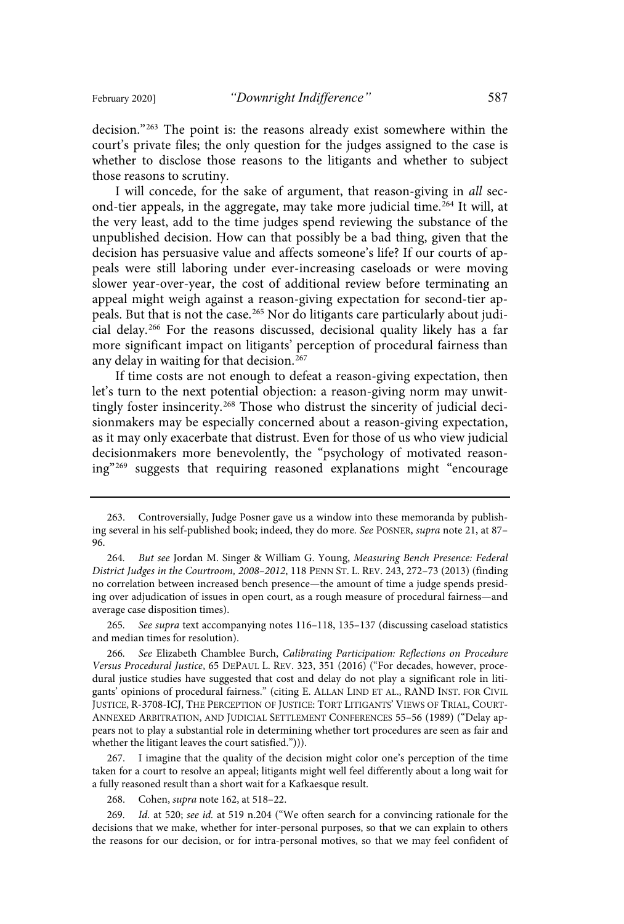decision."<sup>263</sup> The point is: the reasons already exist somewhere within the court's private files; the only question for the judges assigned to the case is whether to disclose those reasons to the litigants and whether to subject those reasons to scrutiny.

I will concede, for the sake of argument, that reason-giving in all second-tier appeals, in the aggregate, may take more judicial time.<sup>264</sup> It will, at the very least, add to the time judges spend reviewing the substance of the unpublished decision. How can that possibly be a bad thing, given that the decision has persuasive value and affects someone's life? If our courts of appeals were still laboring under ever-increasing caseloads or were moving slower year-over-year, the cost of additional review before terminating an appeal might weigh against a reason-giving expectation for second-tier appeals. But that is not the case.<sup>265</sup> Nor do litigants care particularly about judicial delay.<sup>266</sup> For the reasons discussed, decisional quality likely has a far more significant impact on litigants' perception of procedural fairness than any delay in waiting for that decision.<sup>267</sup>

If time costs are not enough to defeat a reason-giving expectation, then let's turn to the next potential objection: a reason-giving norm may unwittingly foster insincerity.<sup>268</sup> Those who distrust the sincerity of judicial decisionmakers may be especially concerned about a reason-giving expectation, as it may only exacerbate that distrust. Even for those of us who view judicial decisionmakers more benevolently, the "psychology of motivated reasoning"<sup>269</sup> suggests that requiring reasoned explanations might "encourage

265. See supra text accompanying notes 116-118, 135-137 (discussing caseload statistics and median times for resolution).

266. See Elizabeth Chamblee Burch, Calibrating Participation: Reflections on Procedure Versus Procedural Justice, 65 DEPAUL L. REV. 323, 351 (2016) ("For decades, however, procedural justice studies have suggested that cost and delay do not play a significant role in litigants' opinions of procedural fairness." (citing E. ALLAN LIND ET AL., RAND INST. FOR CIVIL JUSTICE, R-3708-ICJ, THE PERCEPTION OF JUSTICE: TORT LITIGANTS' VIEWS OF TRIAL, COURT-ANNEXED ARBITRATION, AND JUDICIAL SETTLEMENT CONFERENCES 55–56 (1989) ("Delay appears not to play a substantial role in determining whether tort procedures are seen as fair and whether the litigant leaves the court satisfied."))).

267. I imagine that the quality of the decision might color one's perception of the time taken for a court to resolve an appeal; litigants might well feel differently about a long wait for a fully reasoned result than a short wait for a Kafkaesque result.

268. Cohen, supra note 162, at 518–22.

269. Id. at 520; see id. at 519 n.204 ("We often search for a convincing rationale for the decisions that we make, whether for inter-personal purposes, so that we can explain to others the reasons for our decision, or for intra-personal motives, so that we may feel confident of

<sup>263.</sup> Controversially, Judge Posner gave us a window into these memoranda by publishing several in his self-published book; indeed, they do more. See POSNER, supra note 21, at 87– 96.

<sup>264.</sup> But see Jordan M. Singer & William G. Young, Measuring Bench Presence: Federal District Judges in the Courtroom, 2008–2012, 118 PENN ST. L. REV. 243, 272–73 (2013) (finding no correlation between increased bench presence—the amount of time a judge spends presiding over adjudication of issues in open court, as a rough measure of procedural fairness—and average case disposition times).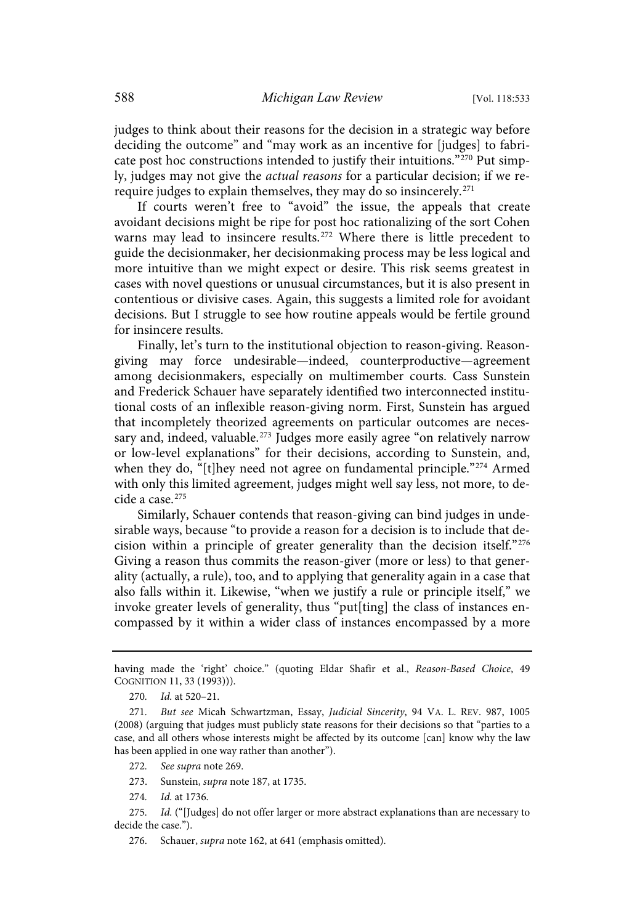judges to think about their reasons for the decision in a strategic way before deciding the outcome" and "may work as an incentive for [judges] to fabricate post hoc constructions intended to justify their intuitions." $270$  Put simply, judges may not give the actual reasons for a particular decision; if we rerequire judges to explain themselves, they may do so insincerely. 271

If courts weren't free to "avoid" the issue, the appeals that create avoidant decisions might be ripe for post hoc rationalizing of the sort Cohen warns may lead to insincere results.<sup>272</sup> Where there is little precedent to guide the decisionmaker, her decisionmaking process may be less logical and more intuitive than we might expect or desire. This risk seems greatest in cases with novel questions or unusual circumstances, but it is also present in contentious or divisive cases. Again, this suggests a limited role for avoidant decisions. But I struggle to see how routine appeals would be fertile ground for insincere results.

Finally, let's turn to the institutional objection to reason-giving. Reasongiving may force undesirable—indeed, counterproductive—agreement among decisionmakers, especially on multimember courts. Cass Sunstein and Frederick Schauer have separately identified two interconnected institutional costs of an inflexible reason-giving norm. First, Sunstein has argued that incompletely theorized agreements on particular outcomes are necessary and, indeed, valuable.<sup>273</sup> Judges more easily agree "on relatively narrow or low-level explanations" for their decisions, according to Sunstein, and, when they do, "[t]hey need not agree on fundamental principle."<sup>274</sup> Armed with only this limited agreement, judges might well say less, not more, to decide a case.<sup>275</sup>

Similarly, Schauer contends that reason-giving can bind judges in undesirable ways, because "to provide a reason for a decision is to include that decision within a principle of greater generality than the decision itself."<sup>276</sup> Giving a reason thus commits the reason-giver (more or less) to that generality (actually, a rule), too, and to applying that generality again in a case that also falls within it. Likewise, "when we justify a rule or principle itself," we invoke greater levels of generality, thus "put[ting] the class of instances encompassed by it within a wider class of instances encompassed by a more

- 272. See supra note 269.
- 273. Sunstein, supra note 187, at 1735.
- 274. *Id.* at 1736.

276. Schauer, supra note 162, at 641 (emphasis omitted).

having made the 'right' choice." (quoting Eldar Shafir et al., Reason-Based Choice, 49 COGNITION 11, 33 (1993))).

<sup>270.</sup> *Id.* at 520-21.

<sup>271.</sup> But see Micah Schwartzman, Essay, Judicial Sincerity, 94 VA. L. REV. 987, 1005 (2008) (arguing that judges must publicly state reasons for their decisions so that "parties to a case, and all others whose interests might be affected by its outcome [can] know why the law has been applied in one way rather than another").

<sup>275.</sup> Id. ("[Judges] do not offer larger or more abstract explanations than are necessary to decide the case.").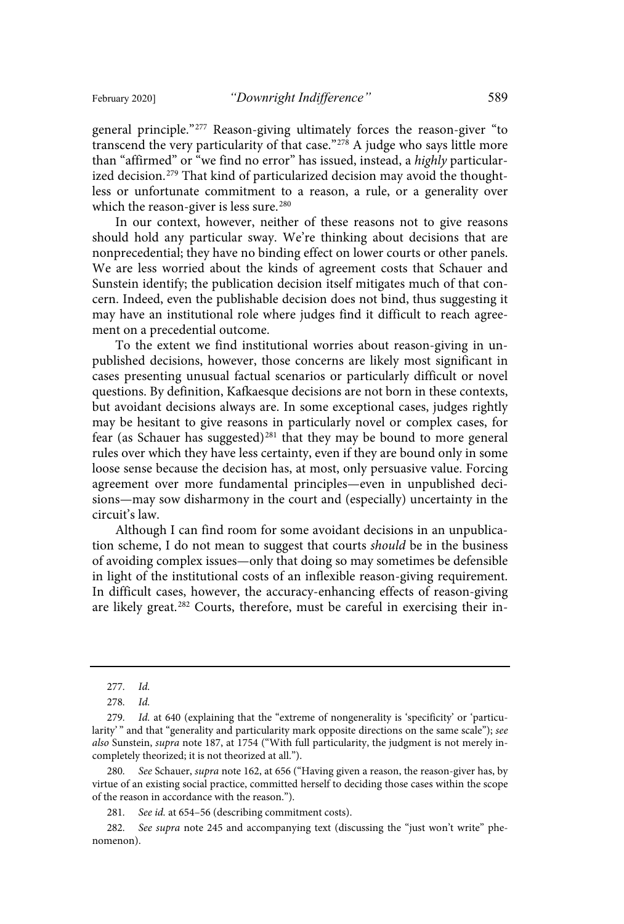general principle."<sup>277</sup> Reason-giving ultimately forces the reason-giver "to transcend the very particularity of that case."<sup>278</sup> A judge who says little more than "affirmed" or "we find no error" has issued, instead, a highly particularized decision.<sup>279</sup> That kind of particularized decision may avoid the thoughtless or unfortunate commitment to a reason, a rule, or a generality over which the reason-giver is less sure.<sup>280</sup>

In our context, however, neither of these reasons not to give reasons should hold any particular sway. We're thinking about decisions that are nonprecedential; they have no binding effect on lower courts or other panels. We are less worried about the kinds of agreement costs that Schauer and Sunstein identify; the publication decision itself mitigates much of that concern. Indeed, even the publishable decision does not bind, thus suggesting it may have an institutional role where judges find it difficult to reach agreement on a precedential outcome.

To the extent we find institutional worries about reason-giving in unpublished decisions, however, those concerns are likely most significant in cases presenting unusual factual scenarios or particularly difficult or novel questions. By definition, Kafkaesque decisions are not born in these contexts, but avoidant decisions always are. In some exceptional cases, judges rightly may be hesitant to give reasons in particularly novel or complex cases, for fear (as Schauer has suggested)<sup>281</sup> that they may be bound to more general rules over which they have less certainty, even if they are bound only in some loose sense because the decision has, at most, only persuasive value. Forcing agreement over more fundamental principles—even in unpublished decisions—may sow disharmony in the court and (especially) uncertainty in the circuit's law.

Although I can find room for some avoidant decisions in an unpublication scheme, I do not mean to suggest that courts should be in the business of avoiding complex issues—only that doing so may sometimes be defensible in light of the institutional costs of an inflexible reason-giving requirement. In difficult cases, however, the accuracy-enhancing effects of reason-giving are likely great.<sup>282</sup> Courts, therefore, must be careful in exercising their in-

280. See Schauer, supra note 162, at 656 ("Having given a reason, the reason-giver has, by virtue of an existing social practice, committed herself to deciding those cases within the scope of the reason in accordance with the reason.").

281. See id. at 654–56 (describing commitment costs).

282. See supra note 245 and accompanying text (discussing the "just won't write" phenomenon).

<sup>277.</sup> Id.

<sup>278.</sup> Id.

Id. at 640 (explaining that the "extreme of nongenerality is 'specificity' or 'particularity'" and that "generality and particularity mark opposite directions on the same scale"); see also Sunstein, supra note 187, at 1754 ("With full particularity, the judgment is not merely incompletely theorized; it is not theorized at all.").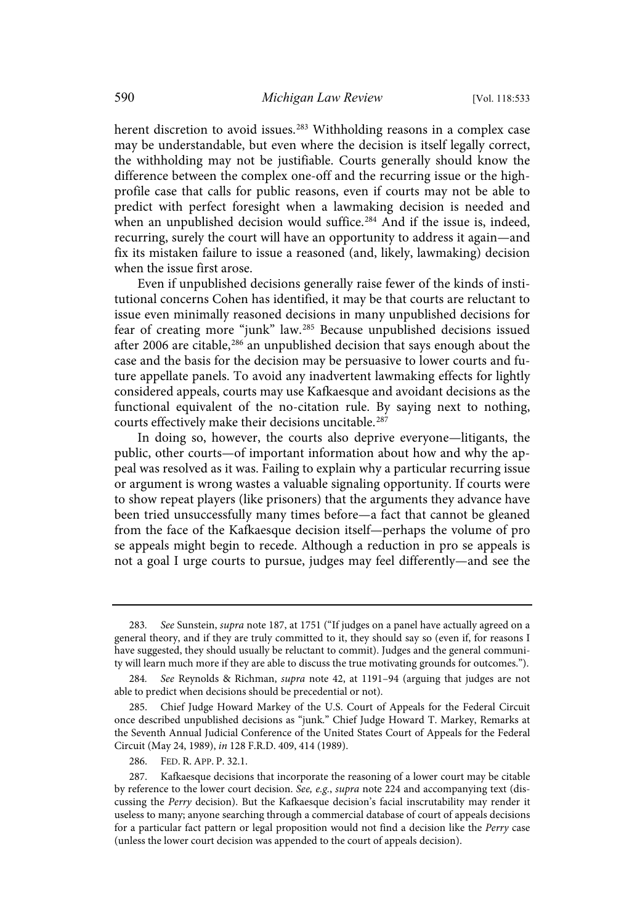herent discretion to avoid issues.<sup>283</sup> Withholding reasons in a complex case may be understandable, but even where the decision is itself legally correct, the withholding may not be justifiable. Courts generally should know the difference between the complex one-off and the recurring issue or the highprofile case that calls for public reasons, even if courts may not be able to predict with perfect foresight when a lawmaking decision is needed and when an unpublished decision would suffice.<sup>284</sup> And if the issue is, indeed, recurring, surely the court will have an opportunity to address it again—and fix its mistaken failure to issue a reasoned (and, likely, lawmaking) decision when the issue first arose.

Even if unpublished decisions generally raise fewer of the kinds of institutional concerns Cohen has identified, it may be that courts are reluctant to issue even minimally reasoned decisions in many unpublished decisions for fear of creating more "junk" law.<sup>285</sup> Because unpublished decisions issued after 2006 are citable,  $286$  an unpublished decision that says enough about the case and the basis for the decision may be persuasive to lower courts and future appellate panels. To avoid any inadvertent lawmaking effects for lightly considered appeals, courts may use Kafkaesque and avoidant decisions as the functional equivalent of the no-citation rule. By saying next to nothing, courts effectively make their decisions uncitable.<sup>287</sup>

In doing so, however, the courts also deprive everyone—litigants, the public, other courts—of important information about how and why the appeal was resolved as it was. Failing to explain why a particular recurring issue or argument is wrong wastes a valuable signaling opportunity. If courts were to show repeat players (like prisoners) that the arguments they advance have been tried unsuccessfully many times before—a fact that cannot be gleaned from the face of the Kafkaesque decision itself—perhaps the volume of pro se appeals might begin to recede. Although a reduction in pro se appeals is not a goal I urge courts to pursue, judges may feel differently—and see the

<sup>283.</sup> See Sunstein, supra note 187, at 1751 ("If judges on a panel have actually agreed on a general theory, and if they are truly committed to it, they should say so (even if, for reasons I have suggested, they should usually be reluctant to commit). Judges and the general community will learn much more if they are able to discuss the true motivating grounds for outcomes.").

<sup>284.</sup> See Reynolds & Richman, supra note 42, at 1191-94 (arguing that judges are not able to predict when decisions should be precedential or not).

<sup>285.</sup> Chief Judge Howard Markey of the U.S. Court of Appeals for the Federal Circuit once described unpublished decisions as "junk." Chief Judge Howard T. Markey, Remarks at the Seventh Annual Judicial Conference of the United States Court of Appeals for the Federal Circuit (May 24, 1989), in 128 F.R.D. 409, 414 (1989).

<sup>286.</sup> FED. R. APP. P. 32.1.

<sup>287.</sup> Kafkaesque decisions that incorporate the reasoning of a lower court may be citable by reference to the lower court decision. See, e.g., supra note 224 and accompanying text (discussing the Perry decision). But the Kafkaesque decision's facial inscrutability may render it useless to many; anyone searching through a commercial database of court of appeals decisions for a particular fact pattern or legal proposition would not find a decision like the Perry case (unless the lower court decision was appended to the court of appeals decision).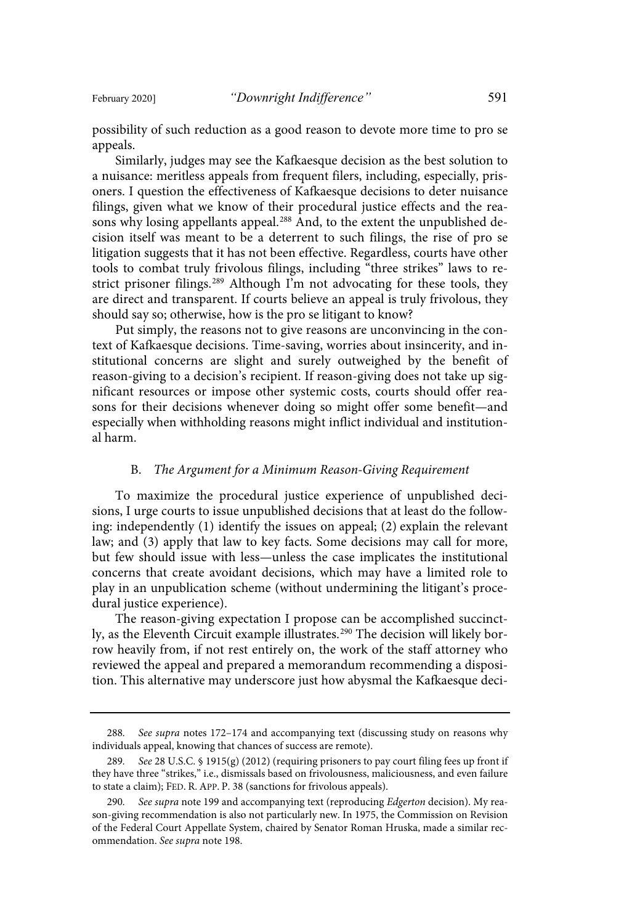possibility of such reduction as a good reason to devote more time to pro se appeals.

Similarly, judges may see the Kafkaesque decision as the best solution to a nuisance: meritless appeals from frequent filers, including, especially, prisoners. I question the effectiveness of Kafkaesque decisions to deter nuisance filings, given what we know of their procedural justice effects and the reasons why losing appellants appeal.<sup>288</sup> And, to the extent the unpublished decision itself was meant to be a deterrent to such filings, the rise of pro se litigation suggests that it has not been effective. Regardless, courts have other tools to combat truly frivolous filings, including "three strikes" laws to restrict prisoner filings.<sup>289</sup> Although I'm not advocating for these tools, they are direct and transparent. If courts believe an appeal is truly frivolous, they should say so; otherwise, how is the pro se litigant to know?

Put simply, the reasons not to give reasons are unconvincing in the context of Kafkaesque decisions. Time-saving, worries about insincerity, and institutional concerns are slight and surely outweighed by the benefit of reason-giving to a decision's recipient. If reason-giving does not take up significant resources or impose other systemic costs, courts should offer reasons for their decisions whenever doing so might offer some benefit—and especially when withholding reasons might inflict individual and institutional harm.

### B. The Argument for a Minimum Reason-Giving Requirement

To maximize the procedural justice experience of unpublished decisions, I urge courts to issue unpublished decisions that at least do the following: independently (1) identify the issues on appeal; (2) explain the relevant law; and (3) apply that law to key facts. Some decisions may call for more, but few should issue with less—unless the case implicates the institutional concerns that create avoidant decisions, which may have a limited role to play in an unpublication scheme (without undermining the litigant's procedural justice experience).

The reason-giving expectation I propose can be accomplished succinctly, as the Eleventh Circuit example illustrates.<sup>290</sup> The decision will likely borrow heavily from, if not rest entirely on, the work of the staff attorney who reviewed the appeal and prepared a memorandum recommending a disposition. This alternative may underscore just how abysmal the Kafkaesque deci-

<sup>288.</sup> See supra notes 172-174 and accompanying text (discussing study on reasons why individuals appeal, knowing that chances of success are remote).

<sup>289.</sup> See 28 U.S.C. § 1915(g) (2012) (requiring prisoners to pay court filing fees up front if they have three "strikes," i.e., dismissals based on frivolousness, maliciousness, and even failure to state a claim); FED. R. APP. P. 38 (sanctions for frivolous appeals).

<sup>290.</sup> See supra note 199 and accompanying text (reproducing Edgerton decision). My reason-giving recommendation is also not particularly new. In 1975, the Commission on Revision of the Federal Court Appellate System, chaired by Senator Roman Hruska, made a similar recommendation. See supra note 198.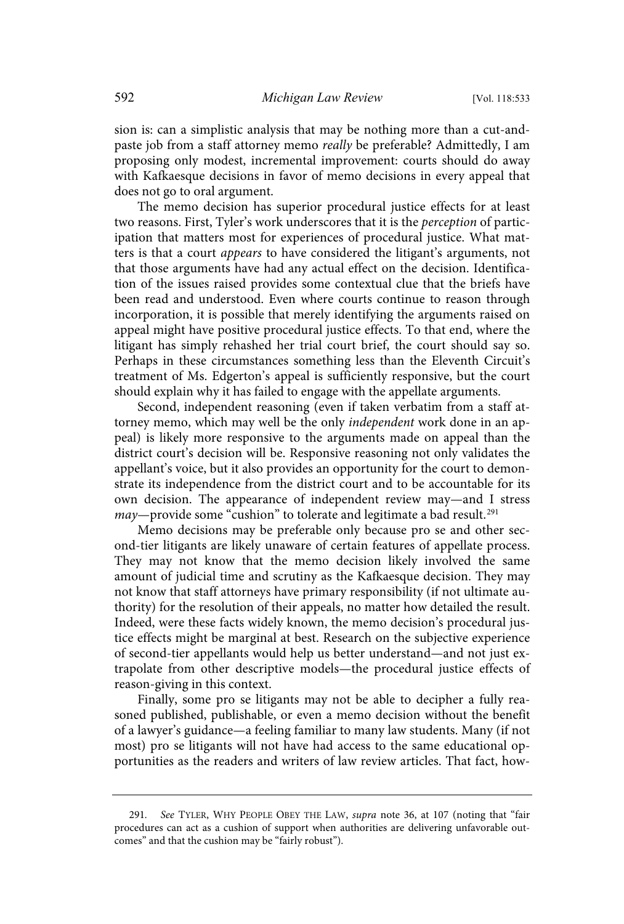sion is: can a simplistic analysis that may be nothing more than a cut-andpaste job from a staff attorney memo really be preferable? Admittedly, I am proposing only modest, incremental improvement: courts should do away with Kafkaesque decisions in favor of memo decisions in every appeal that does not go to oral argument.

The memo decision has superior procedural justice effects for at least two reasons. First, Tyler's work underscores that it is the *perception* of participation that matters most for experiences of procedural justice. What matters is that a court appears to have considered the litigant's arguments, not that those arguments have had any actual effect on the decision. Identification of the issues raised provides some contextual clue that the briefs have been read and understood. Even where courts continue to reason through incorporation, it is possible that merely identifying the arguments raised on appeal might have positive procedural justice effects. To that end, where the litigant has simply rehashed her trial court brief, the court should say so. Perhaps in these circumstances something less than the Eleventh Circuit's treatment of Ms. Edgerton's appeal is sufficiently responsive, but the court should explain why it has failed to engage with the appellate arguments.

Second, independent reasoning (even if taken verbatim from a staff attorney memo, which may well be the only *independent* work done in an appeal) is likely more responsive to the arguments made on appeal than the district court's decision will be. Responsive reasoning not only validates the appellant's voice, but it also provides an opportunity for the court to demonstrate its independence from the district court and to be accountable for its own decision. The appearance of independent review may—and I stress may—provide some "cushion" to tolerate and legitimate a bad result.<sup>291</sup>

Memo decisions may be preferable only because pro se and other second-tier litigants are likely unaware of certain features of appellate process. They may not know that the memo decision likely involved the same amount of judicial time and scrutiny as the Kafkaesque decision. They may not know that staff attorneys have primary responsibility (if not ultimate authority) for the resolution of their appeals, no matter how detailed the result. Indeed, were these facts widely known, the memo decision's procedural justice effects might be marginal at best. Research on the subjective experience of second-tier appellants would help us better understand—and not just extrapolate from other descriptive models—the procedural justice effects of reason-giving in this context.

Finally, some pro se litigants may not be able to decipher a fully reasoned published, publishable, or even a memo decision without the benefit of a lawyer's guidance—a feeling familiar to many law students. Many (if not most) pro se litigants will not have had access to the same educational opportunities as the readers and writers of law review articles. That fact, how-

<sup>291.</sup> See TYLER, WHY PEOPLE OBEY THE LAW, supra note 36, at 107 (noting that "fair procedures can act as a cushion of support when authorities are delivering unfavorable outcomes" and that the cushion may be "fairly robust").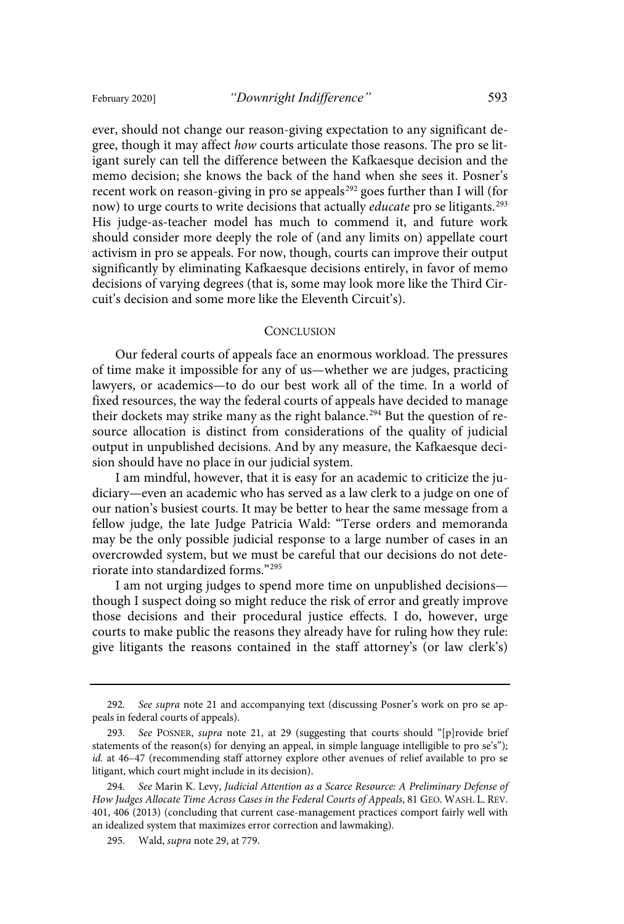ever, should not change our reason-giving expectation to any significant degree, though it may affect how courts articulate those reasons. The pro se litigant surely can tell the difference between the Kafkaesque decision and the memo decision; she knows the back of the hand when she sees it. Posner's recent work on reason-giving in pro se appeals <sup>292</sup> goes further than I will (for now) to urge courts to write decisions that actually *educate* pro se litigants.<sup>293</sup> His judge-as-teacher model has much to commend it, and future work should consider more deeply the role of (and any limits on) appellate court activism in pro se appeals. For now, though, courts can improve their output significantly by eliminating Kafkaesque decisions entirely, in favor of memo decisions of varying degrees (that is, some may look more like the Third Circuit's decision and some more like the Eleventh Circuit's).

#### **CONCLUSION**

Our federal courts of appeals face an enormous workload. The pressures of time make it impossible for any of us—whether we are judges, practicing lawyers, or academics—to do our best work all of the time. In a world of fixed resources, the way the federal courts of appeals have decided to manage their dockets may strike many as the right balance. <sup>294</sup> But the question of resource allocation is distinct from considerations of the quality of judicial output in unpublished decisions. And by any measure, the Kafkaesque decision should have no place in our judicial system.

I am mindful, however, that it is easy for an academic to criticize the judiciary—even an academic who has served as a law clerk to a judge on one of our nation's busiest courts. It may be better to hear the same message from a fellow judge, the late Judge Patricia Wald: "Terse orders and memoranda may be the only possible judicial response to a large number of cases in an overcrowded system, but we must be careful that our decisions do not deteriorate into standardized forms."<sup>295</sup>

I am not urging judges to spend more time on unpublished decisions though I suspect doing so might reduce the risk of error and greatly improve those decisions and their procedural justice effects. I do, however, urge courts to make public the reasons they already have for ruling how they rule: give litigants the reasons contained in the staff attorney's (or law clerk's)

<sup>292.</sup> See supra note 21 and accompanying text (discussing Posner's work on pro se appeals in federal courts of appeals).

See POSNER, supra note 21, at 29 (suggesting that courts should "[p]rovide brief statements of the reason(s) for denying an appeal, in simple language intelligible to pro se's"); id. at 46-47 (recommending staff attorney explore other avenues of relief available to pro se litigant, which court might include in its decision).

<sup>294.</sup> See Marin K. Levy, Judicial Attention as a Scarce Resource: A Preliminary Defense of How Judges Allocate Time Across Cases in the Federal Courts of Appeals, 81 GEO. WASH. L. REV. 401, 406 (2013) (concluding that current case-management practices comport fairly well with an idealized system that maximizes error correction and lawmaking).

<sup>295.</sup> Wald, supra note 29, at 779.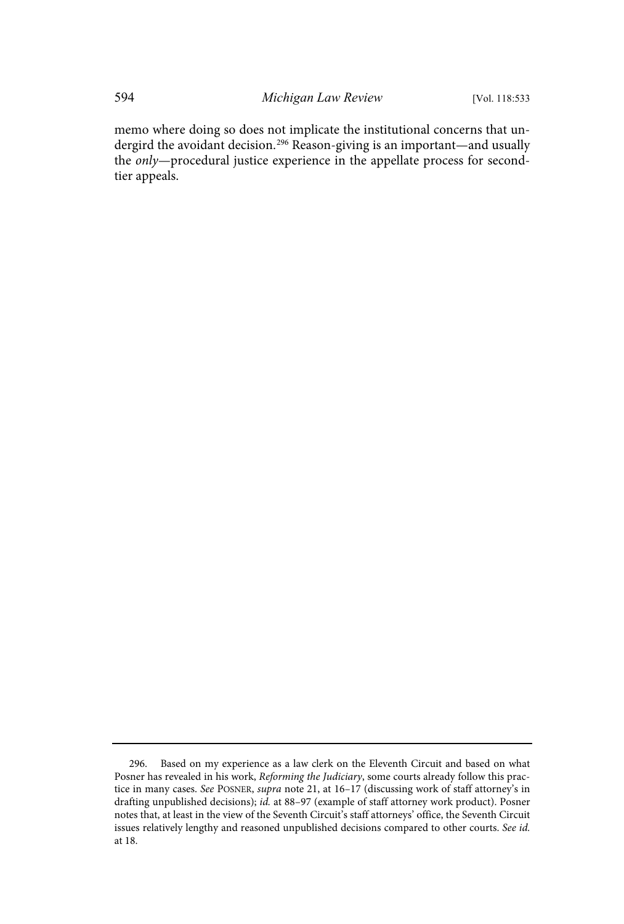memo where doing so does not implicate the institutional concerns that undergird the avoidant decision.<sup>296</sup> Reason-giving is an important—and usually the only—procedural justice experience in the appellate process for secondtier appeals.

<sup>296.</sup> Based on my experience as a law clerk on the Eleventh Circuit and based on what Posner has revealed in his work, Reforming the Judiciary, some courts already follow this practice in many cases. See POSNER, supra note 21, at 16–17 (discussing work of staff attorney's in drafting unpublished decisions); id. at 88-97 (example of staff attorney work product). Posner notes that, at least in the view of the Seventh Circuit's staff attorneys' office, the Seventh Circuit issues relatively lengthy and reasoned unpublished decisions compared to other courts. See id. at 18.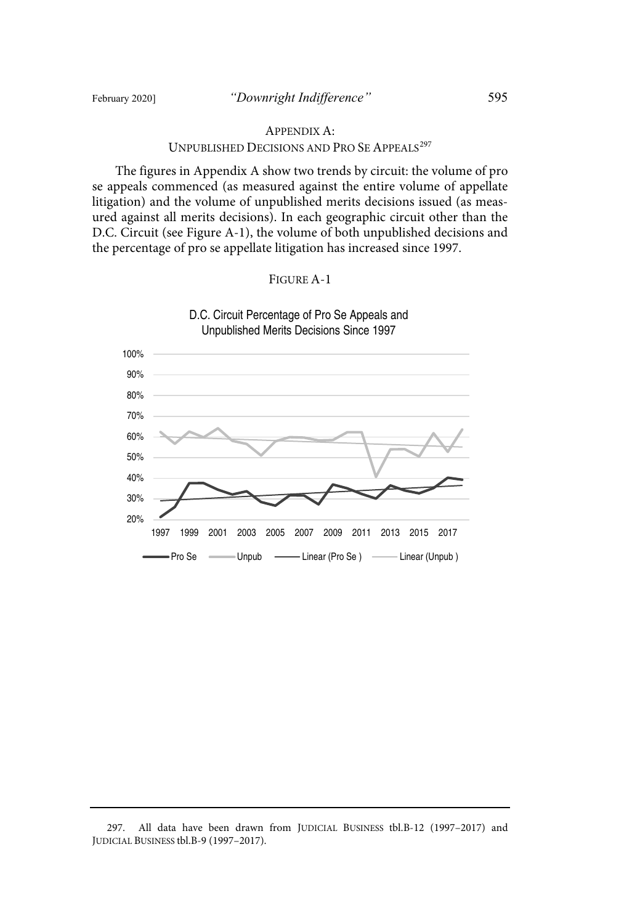### APPENDIX A:

#### UNPUBLISHED DECISIONS AND PRO SE APPEALS<sup>297</sup>

The figures in Appendix A show two trends by circuit: the volume of pro se appeals commenced (as measured against the entire volume of appellate litigation) and the volume of unpublished merits decisions issued (as measured against all merits decisions). In each geographic circuit other than the D.C. Circuit (see Figure A-1), the volume of both unpublished decisions and the percentage of pro se appellate litigation has increased since 1997.





<sup>297.</sup> All data have been drawn from JUDICIAL BUSINESS tbl.B-12 (1997–2017) and JUDICIAL BUSINESS tbl.B-9 (1997–2017).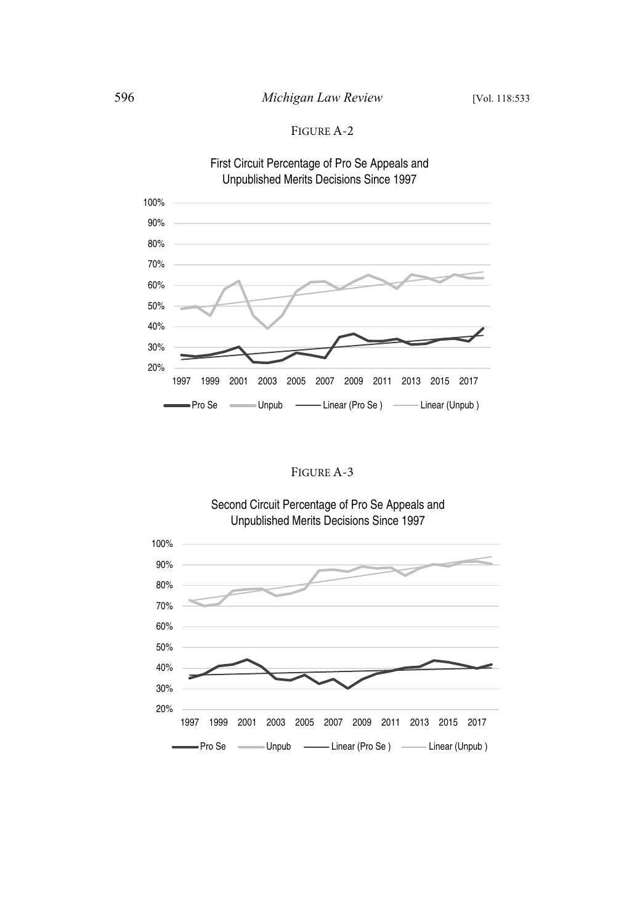

FIGURE A-3



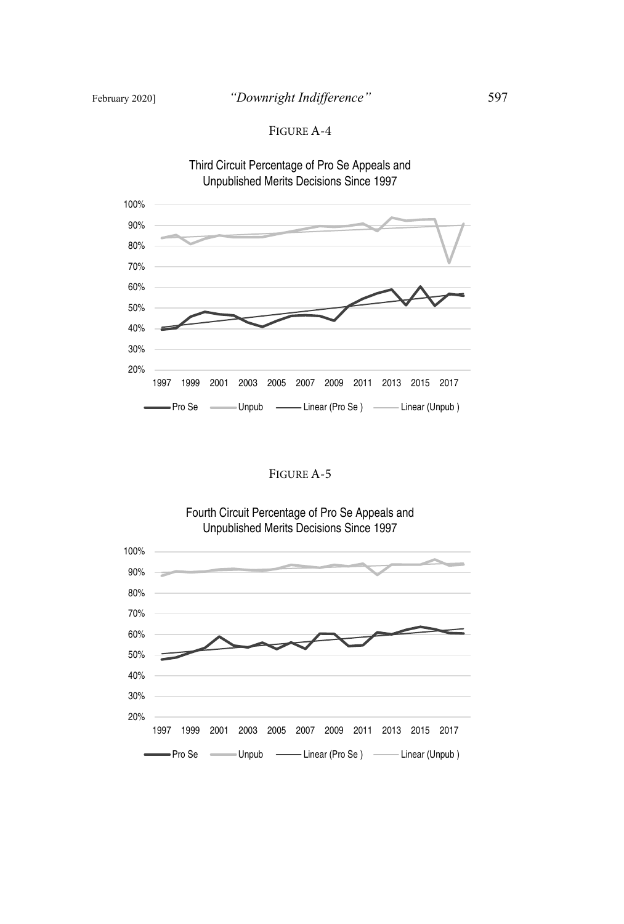

### FIGURE A-5



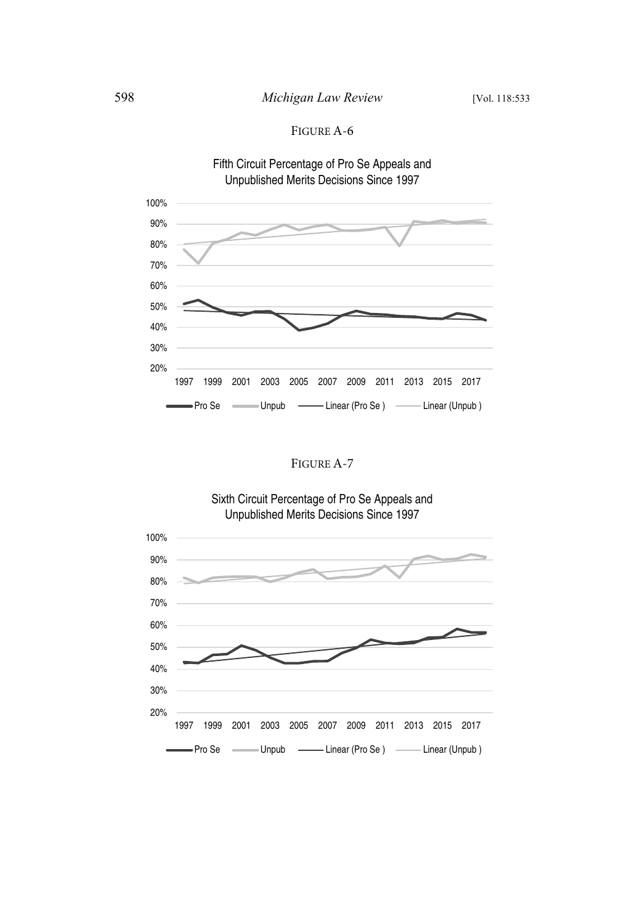



FIGURE A-7

## Sixth Circuit Percentage of Pro Se Appeals and Unpublished Merits Decisions Since 1997



100%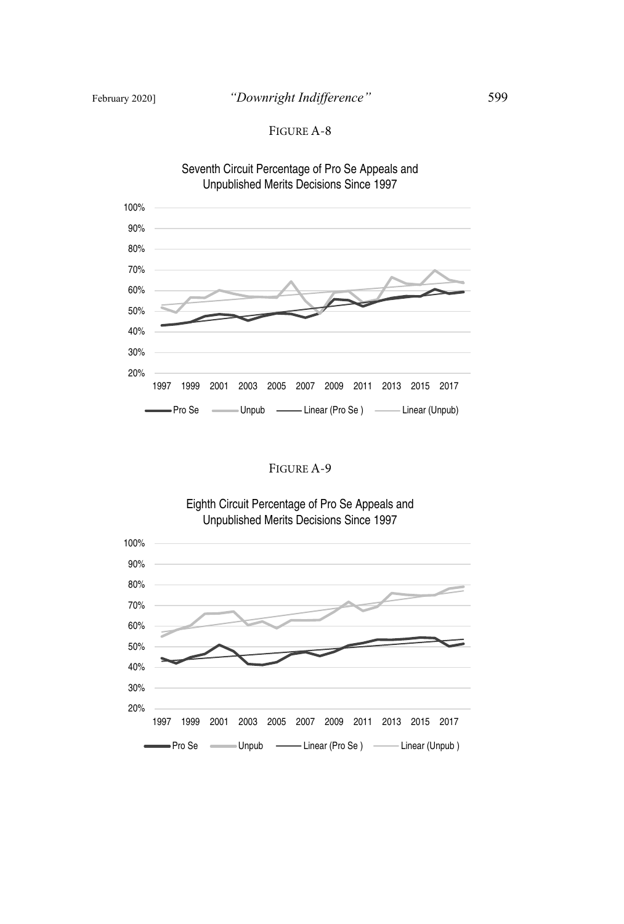

### FIGURE A-9



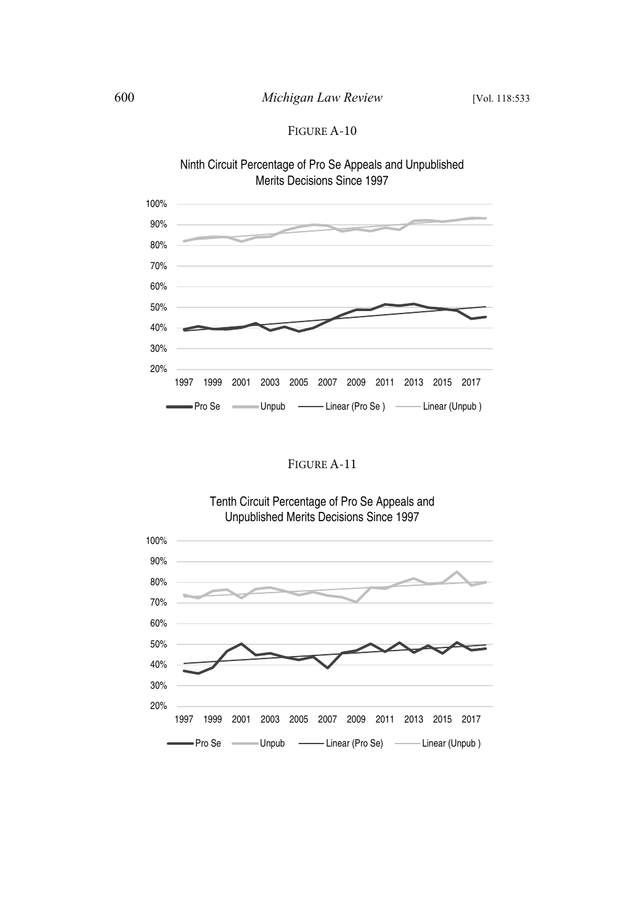



## FIGURE A-11

## Tenth Circuit Percentage of Pro Se Appeals and Unpublished Merits Decisions Since 1997

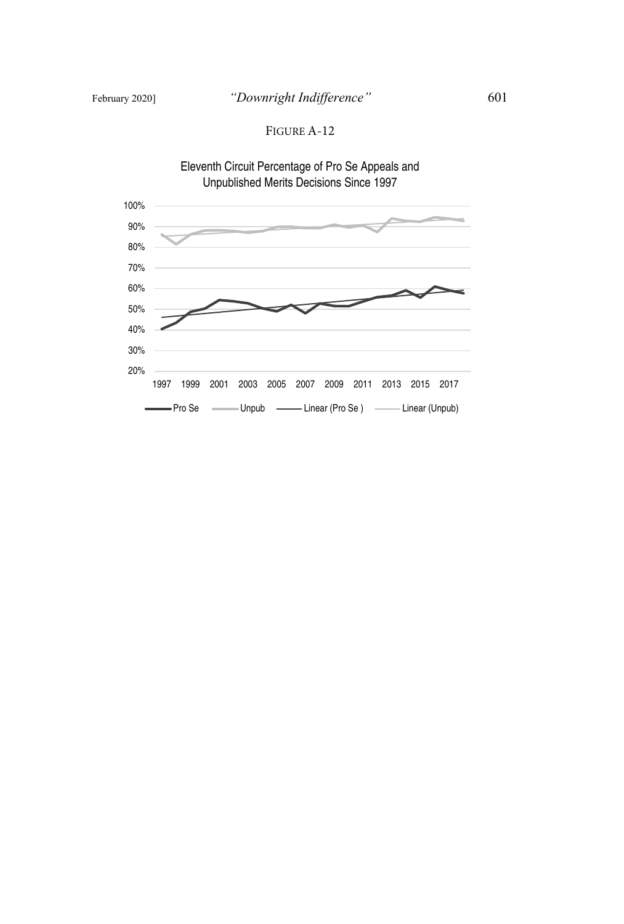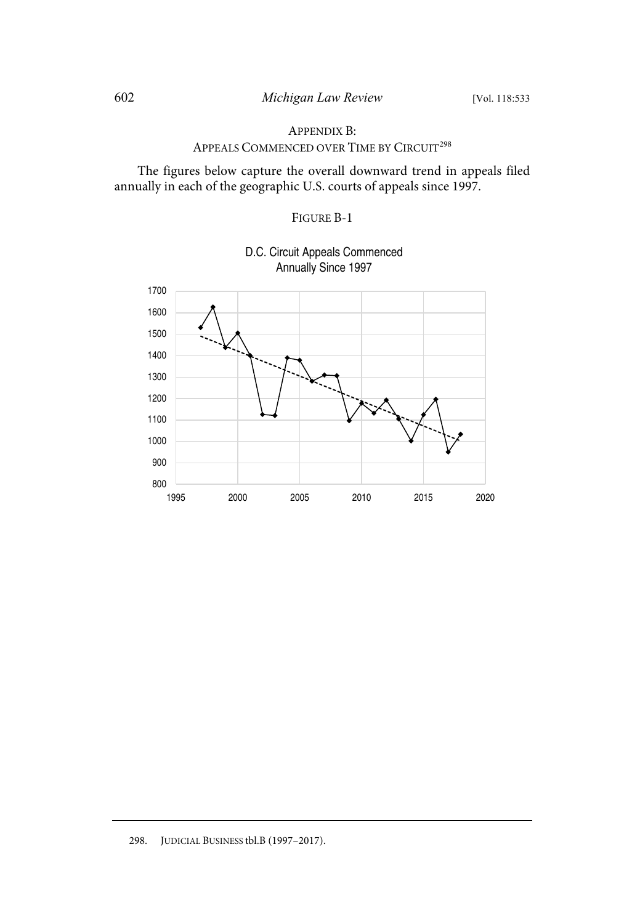### APPENDIX B:

# APPEALS COMMENCED OVER TIME BY CIRCUIT<sup>298</sup>

The figures below capture the overall downward trend in appeals filed annually in each of the geographic U.S. courts of appeals since 1997.

### FIGURE B-1



D.C. Circuit Appeals Commenced Annually Since 1997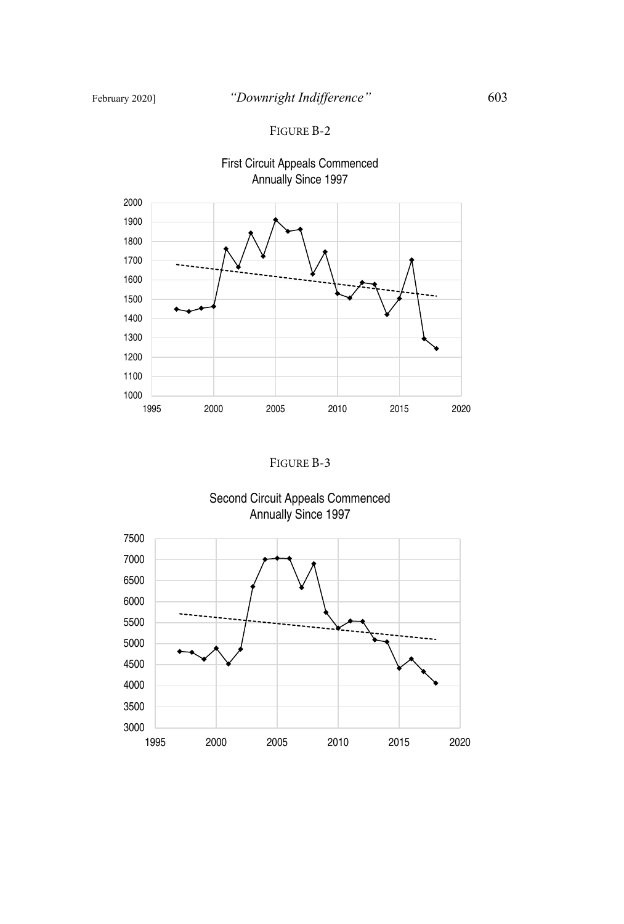### FIGURE B-2



FIGURE B-3

Second Circuit Appeals Commenced Annually Since 1997

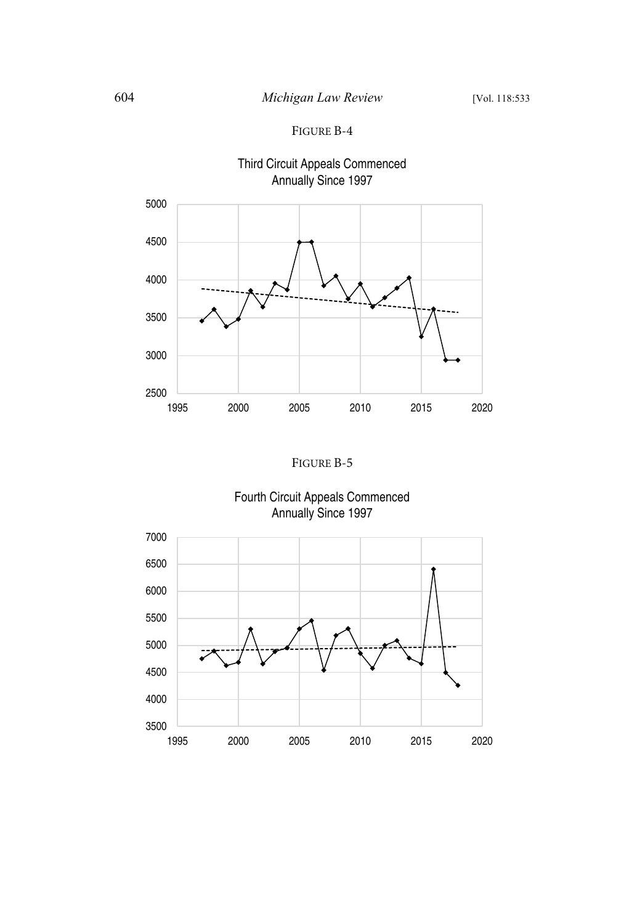



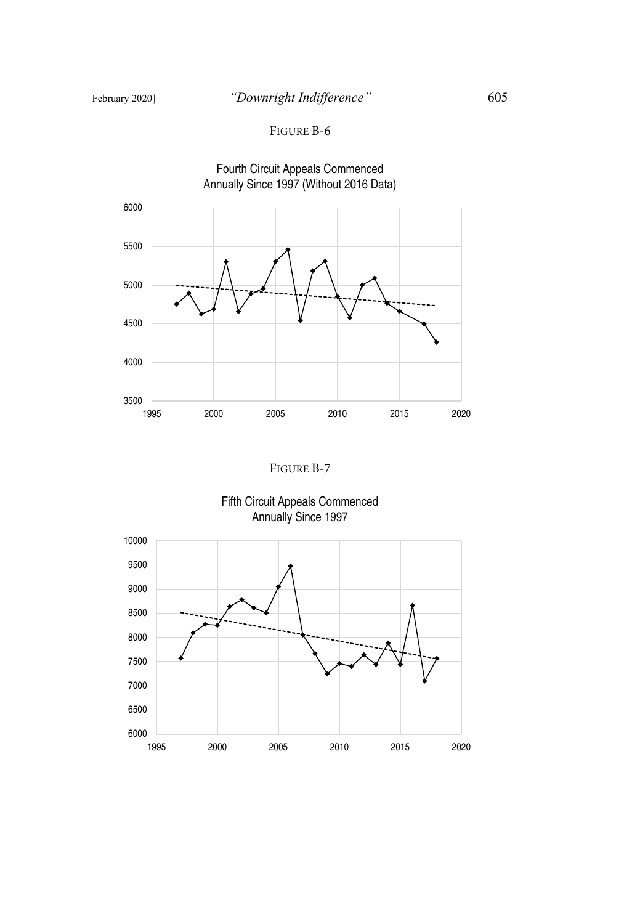

FIGURE B-7

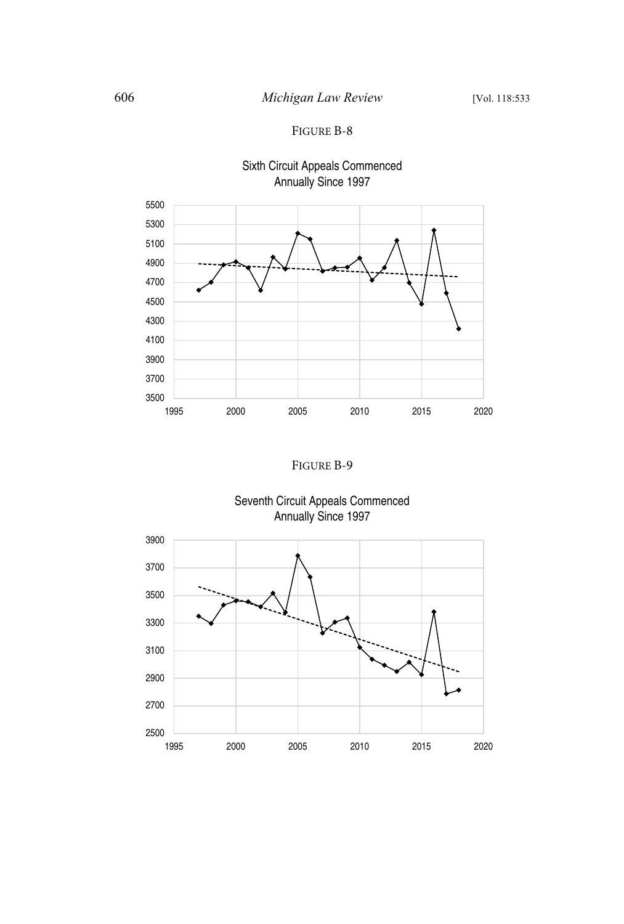

# Sixth Circuit Appeals Commenced Annually Since 1997





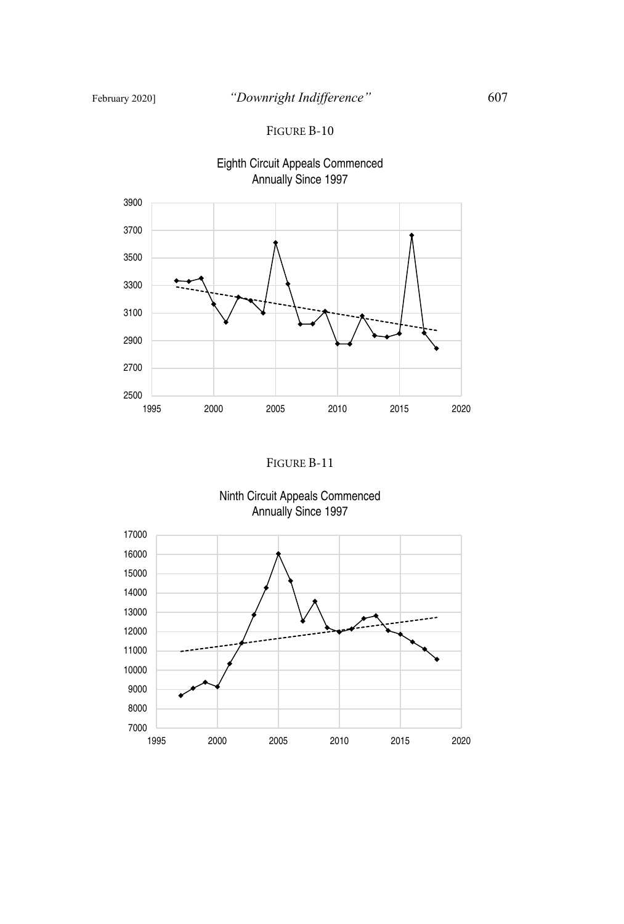



Ninth Circuit Appeals Commenced Annually Since 1997